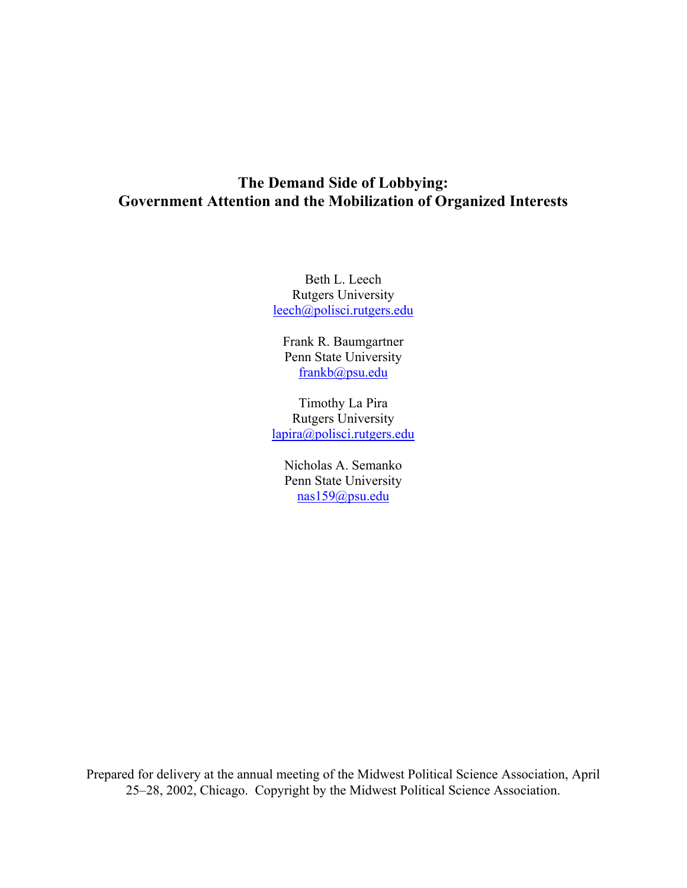## **The Demand Side of Lobbying: Government Attention and the Mobilization of Organized Interests**

Beth L. Leech Rutgers University leech@polisci.rutgers.edu

Frank R. Baumgartner Penn State University frankb@psu.edu

Timothy La Pira Rutgers University lapira@polisci.rutgers.edu

Nicholas A. Semanko Penn State University nas159@psu.edu

Prepared for delivery at the annual meeting of the Midwest Political Science Association, April 25–28, 2002, Chicago. Copyright by the Midwest Political Science Association.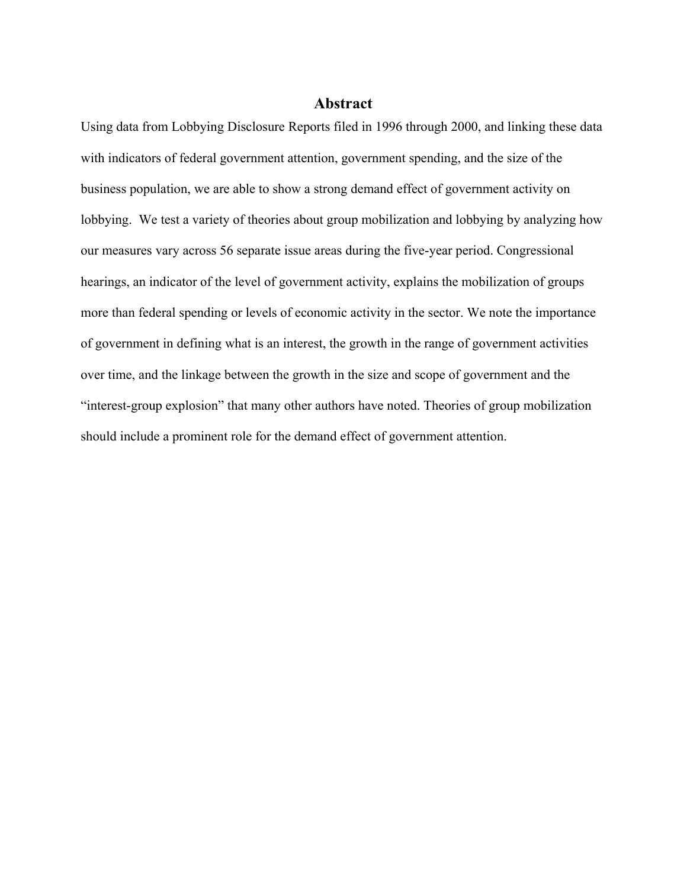## **Abstract**

Using data from Lobbying Disclosure Reports filed in 1996 through 2000, and linking these data with indicators of federal government attention, government spending, and the size of the business population, we are able to show a strong demand effect of government activity on lobbying. We test a variety of theories about group mobilization and lobbying by analyzing how our measures vary across 56 separate issue areas during the five-year period. Congressional hearings, an indicator of the level of government activity, explains the mobilization of groups more than federal spending or levels of economic activity in the sector. We note the importance of government in defining what is an interest, the growth in the range of government activities over time, and the linkage between the growth in the size and scope of government and the "interest-group explosion" that many other authors have noted. Theories of group mobilization should include a prominent role for the demand effect of government attention.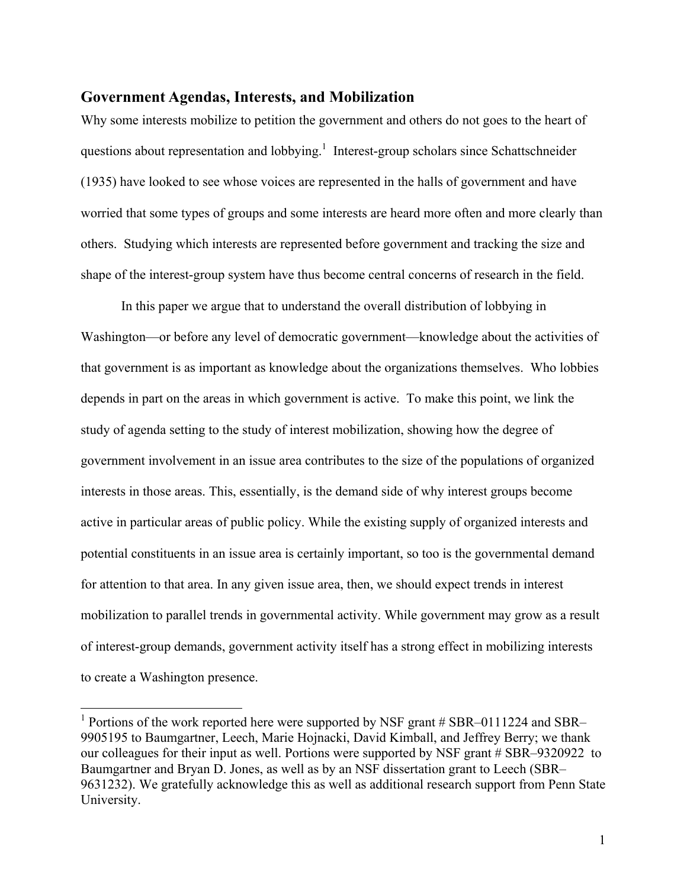#### **Government Agendas, Interests, and Mobilization**

Why some interests mobilize to petition the government and others do not goes to the heart of questions about representation and lobbying.<sup>1</sup> Interest-group scholars since Schattschneider (1935) have looked to see whose voices are represented in the halls of government and have worried that some types of groups and some interests are heard more often and more clearly than others. Studying which interests are represented before government and tracking the size and shape of the interest-group system have thus become central concerns of research in the field.

In this paper we argue that to understand the overall distribution of lobbying in Washington—or before any level of democratic government—knowledge about the activities of that government is as important as knowledge about the organizations themselves. Who lobbies depends in part on the areas in which government is active. To make this point, we link the study of agenda setting to the study of interest mobilization, showing how the degree of government involvement in an issue area contributes to the size of the populations of organized interests in those areas. This, essentially, is the demand side of why interest groups become active in particular areas of public policy. While the existing supply of organized interests and potential constituents in an issue area is certainly important, so too is the governmental demand for attention to that area. In any given issue area, then, we should expect trends in interest mobilization to parallel trends in governmental activity. While government may grow as a result of interest-group demands, government activity itself has a strong effect in mobilizing interests to create a Washington presence.

 $\overline{a}$ 

<sup>&</sup>lt;sup>1</sup> Portions of the work reported here were supported by NSF grant # SBR–0111224 and SBR– 9905195 to Baumgartner, Leech, Marie Hojnacki, David Kimball, and Jeffrey Berry; we thank our colleagues for their input as well. Portions were supported by NSF grant # SBR–9320922 to Baumgartner and Bryan D. Jones, as well as by an NSF dissertation grant to Leech (SBR– 9631232). We gratefully acknowledge this as well as additional research support from Penn State University.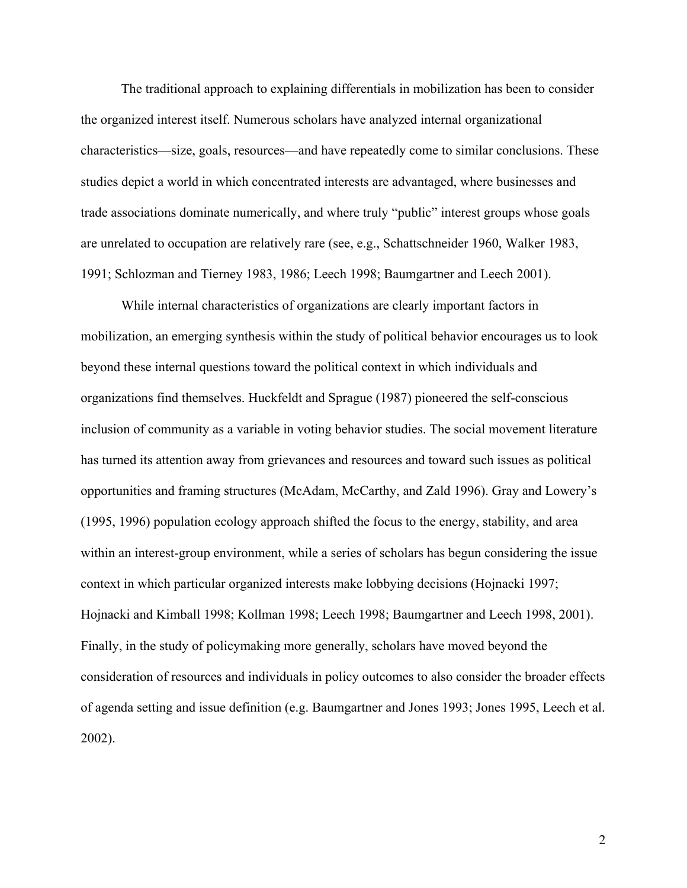The traditional approach to explaining differentials in mobilization has been to consider the organized interest itself. Numerous scholars have analyzed internal organizational characteristics—size, goals, resources—and have repeatedly come to similar conclusions. These studies depict a world in which concentrated interests are advantaged, where businesses and trade associations dominate numerically, and where truly "public" interest groups whose goals are unrelated to occupation are relatively rare (see, e.g., Schattschneider 1960, Walker 1983, 1991; Schlozman and Tierney 1983, 1986; Leech 1998; Baumgartner and Leech 2001).

While internal characteristics of organizations are clearly important factors in mobilization, an emerging synthesis within the study of political behavior encourages us to look beyond these internal questions toward the political context in which individuals and organizations find themselves. Huckfeldt and Sprague (1987) pioneered the self-conscious inclusion of community as a variable in voting behavior studies. The social movement literature has turned its attention away from grievances and resources and toward such issues as political opportunities and framing structures (McAdam, McCarthy, and Zald 1996). Gray and Lowery's (1995, 1996) population ecology approach shifted the focus to the energy, stability, and area within an interest-group environment, while a series of scholars has begun considering the issue context in which particular organized interests make lobbying decisions (Hojnacki 1997; Hojnacki and Kimball 1998; Kollman 1998; Leech 1998; Baumgartner and Leech 1998, 2001). Finally, in the study of policymaking more generally, scholars have moved beyond the consideration of resources and individuals in policy outcomes to also consider the broader effects of agenda setting and issue definition (e.g. Baumgartner and Jones 1993; Jones 1995, Leech et al. 2002).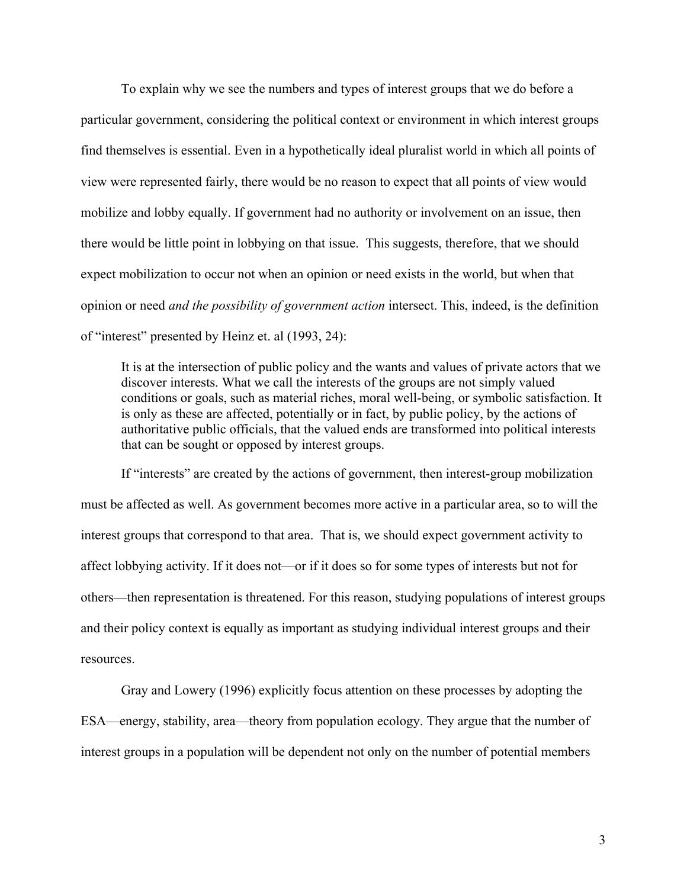To explain why we see the numbers and types of interest groups that we do before a particular government, considering the political context or environment in which interest groups find themselves is essential. Even in a hypothetically ideal pluralist world in which all points of view were represented fairly, there would be no reason to expect that all points of view would mobilize and lobby equally. If government had no authority or involvement on an issue, then there would be little point in lobbying on that issue. This suggests, therefore, that we should expect mobilization to occur not when an opinion or need exists in the world, but when that opinion or need *and the possibility of government action* intersect. This, indeed, is the definition of "interest" presented by Heinz et. al (1993, 24):

It is at the intersection of public policy and the wants and values of private actors that we discover interests. What we call the interests of the groups are not simply valued conditions or goals, such as material riches, moral well-being, or symbolic satisfaction. It is only as these are affected, potentially or in fact, by public policy, by the actions of authoritative public officials, that the valued ends are transformed into political interests that can be sought or opposed by interest groups.

If "interests" are created by the actions of government, then interest-group mobilization must be affected as well. As government becomes more active in a particular area, so to will the interest groups that correspond to that area. That is, we should expect government activity to affect lobbying activity. If it does not—or if it does so for some types of interests but not for others—then representation is threatened. For this reason, studying populations of interest groups and their policy context is equally as important as studying individual interest groups and their resources.

Gray and Lowery (1996) explicitly focus attention on these processes by adopting the ESA—energy, stability, area—theory from population ecology. They argue that the number of interest groups in a population will be dependent not only on the number of potential members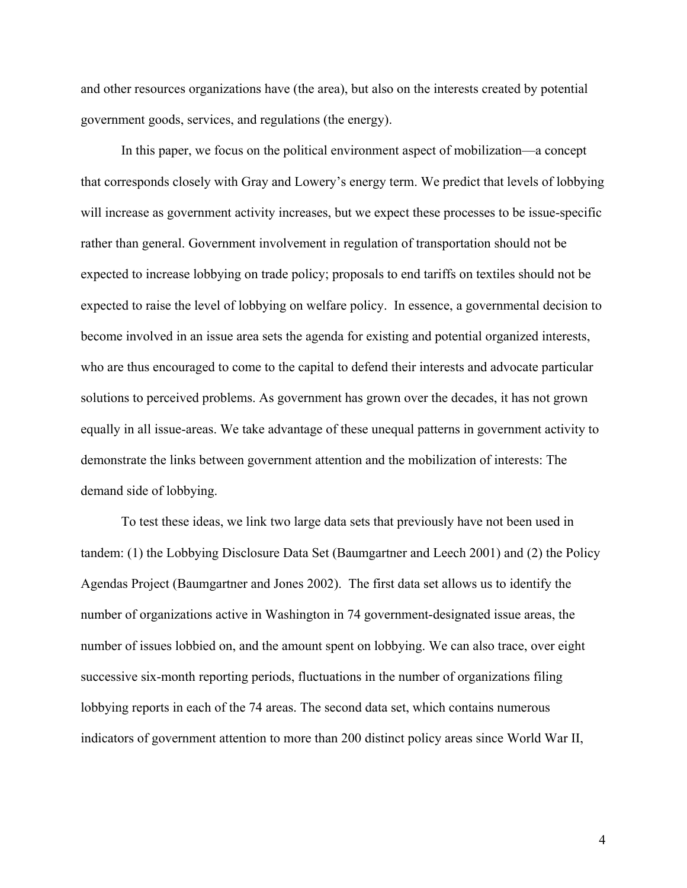and other resources organizations have (the area), but also on the interests created by potential government goods, services, and regulations (the energy).

In this paper, we focus on the political environment aspect of mobilization—a concept that corresponds closely with Gray and Lowery's energy term. We predict that levels of lobbying will increase as government activity increases, but we expect these processes to be issue-specific rather than general. Government involvement in regulation of transportation should not be expected to increase lobbying on trade policy; proposals to end tariffs on textiles should not be expected to raise the level of lobbying on welfare policy. In essence, a governmental decision to become involved in an issue area sets the agenda for existing and potential organized interests, who are thus encouraged to come to the capital to defend their interests and advocate particular solutions to perceived problems. As government has grown over the decades, it has not grown equally in all issue-areas. We take advantage of these unequal patterns in government activity to demonstrate the links between government attention and the mobilization of interests: The demand side of lobbying.

To test these ideas, we link two large data sets that previously have not been used in tandem: (1) the Lobbying Disclosure Data Set (Baumgartner and Leech 2001) and (2) the Policy Agendas Project (Baumgartner and Jones 2002). The first data set allows us to identify the number of organizations active in Washington in 74 government-designated issue areas, the number of issues lobbied on, and the amount spent on lobbying. We can also trace, over eight successive six-month reporting periods, fluctuations in the number of organizations filing lobbying reports in each of the 74 areas. The second data set, which contains numerous indicators of government attention to more than 200 distinct policy areas since World War II,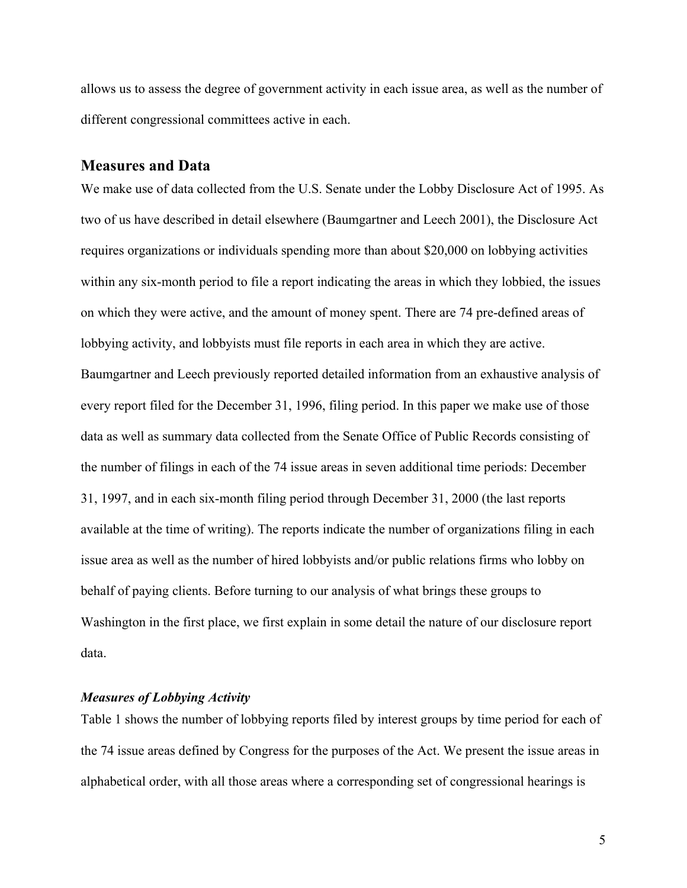allows us to assess the degree of government activity in each issue area, as well as the number of different congressional committees active in each.

## **Measures and Data**

We make use of data collected from the U.S. Senate under the Lobby Disclosure Act of 1995. As two of us have described in detail elsewhere (Baumgartner and Leech 2001), the Disclosure Act requires organizations or individuals spending more than about \$20,000 on lobbying activities within any six-month period to file a report indicating the areas in which they lobbied, the issues on which they were active, and the amount of money spent. There are 74 pre-defined areas of lobbying activity, and lobbyists must file reports in each area in which they are active. Baumgartner and Leech previously reported detailed information from an exhaustive analysis of every report filed for the December 31, 1996, filing period. In this paper we make use of those data as well as summary data collected from the Senate Office of Public Records consisting of the number of filings in each of the 74 issue areas in seven additional time periods: December 31, 1997, and in each six-month filing period through December 31, 2000 (the last reports available at the time of writing). The reports indicate the number of organizations filing in each issue area as well as the number of hired lobbyists and/or public relations firms who lobby on behalf of paying clients. Before turning to our analysis of what brings these groups to Washington in the first place, we first explain in some detail the nature of our disclosure report data.

#### *Measures of Lobbying Activity*

Table 1 shows the number of lobbying reports filed by interest groups by time period for each of the 74 issue areas defined by Congress for the purposes of the Act. We present the issue areas in alphabetical order, with all those areas where a corresponding set of congressional hearings is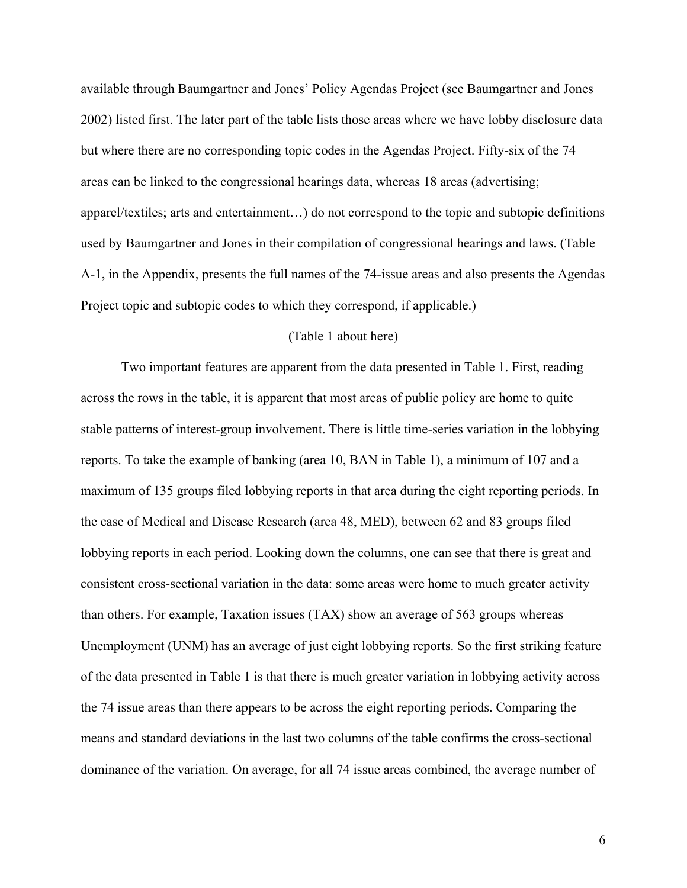available through Baumgartner and Jones' Policy Agendas Project (see Baumgartner and Jones 2002) listed first. The later part of the table lists those areas where we have lobby disclosure data but where there are no corresponding topic codes in the Agendas Project. Fifty-six of the 74 areas can be linked to the congressional hearings data, whereas 18 areas (advertising; apparel/textiles; arts and entertainment…) do not correspond to the topic and subtopic definitions used by Baumgartner and Jones in their compilation of congressional hearings and laws. (Table A-1, in the Appendix, presents the full names of the 74-issue areas and also presents the Agendas Project topic and subtopic codes to which they correspond, if applicable.)

#### (Table 1 about here)

Two important features are apparent from the data presented in Table 1. First, reading across the rows in the table, it is apparent that most areas of public policy are home to quite stable patterns of interest-group involvement. There is little time-series variation in the lobbying reports. To take the example of banking (area 10, BAN in Table 1), a minimum of 107 and a maximum of 135 groups filed lobbying reports in that area during the eight reporting periods. In the case of Medical and Disease Research (area 48, MED), between 62 and 83 groups filed lobbying reports in each period. Looking down the columns, one can see that there is great and consistent cross-sectional variation in the data: some areas were home to much greater activity than others. For example, Taxation issues (TAX) show an average of 563 groups whereas Unemployment (UNM) has an average of just eight lobbying reports. So the first striking feature of the data presented in Table 1 is that there is much greater variation in lobbying activity across the 74 issue areas than there appears to be across the eight reporting periods. Comparing the means and standard deviations in the last two columns of the table confirms the cross-sectional dominance of the variation. On average, for all 74 issue areas combined, the average number of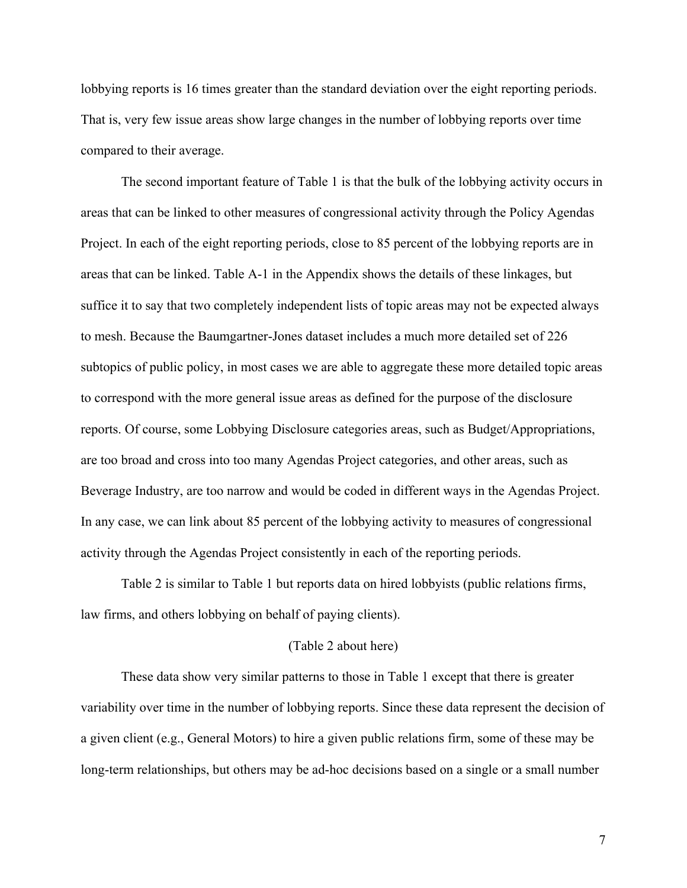lobbying reports is 16 times greater than the standard deviation over the eight reporting periods. That is, very few issue areas show large changes in the number of lobbying reports over time compared to their average.

The second important feature of Table 1 is that the bulk of the lobbying activity occurs in areas that can be linked to other measures of congressional activity through the Policy Agendas Project. In each of the eight reporting periods, close to 85 percent of the lobbying reports are in areas that can be linked. Table A-1 in the Appendix shows the details of these linkages, but suffice it to say that two completely independent lists of topic areas may not be expected always to mesh. Because the Baumgartner-Jones dataset includes a much more detailed set of 226 subtopics of public policy, in most cases we are able to aggregate these more detailed topic areas to correspond with the more general issue areas as defined for the purpose of the disclosure reports. Of course, some Lobbying Disclosure categories areas, such as Budget/Appropriations, are too broad and cross into too many Agendas Project categories, and other areas, such as Beverage Industry, are too narrow and would be coded in different ways in the Agendas Project. In any case, we can link about 85 percent of the lobbying activity to measures of congressional activity through the Agendas Project consistently in each of the reporting periods.

Table 2 is similar to Table 1 but reports data on hired lobbyists (public relations firms, law firms, and others lobbying on behalf of paying clients).

#### (Table 2 about here)

These data show very similar patterns to those in Table 1 except that there is greater variability over time in the number of lobbying reports. Since these data represent the decision of a given client (e.g., General Motors) to hire a given public relations firm, some of these may be long-term relationships, but others may be ad-hoc decisions based on a single or a small number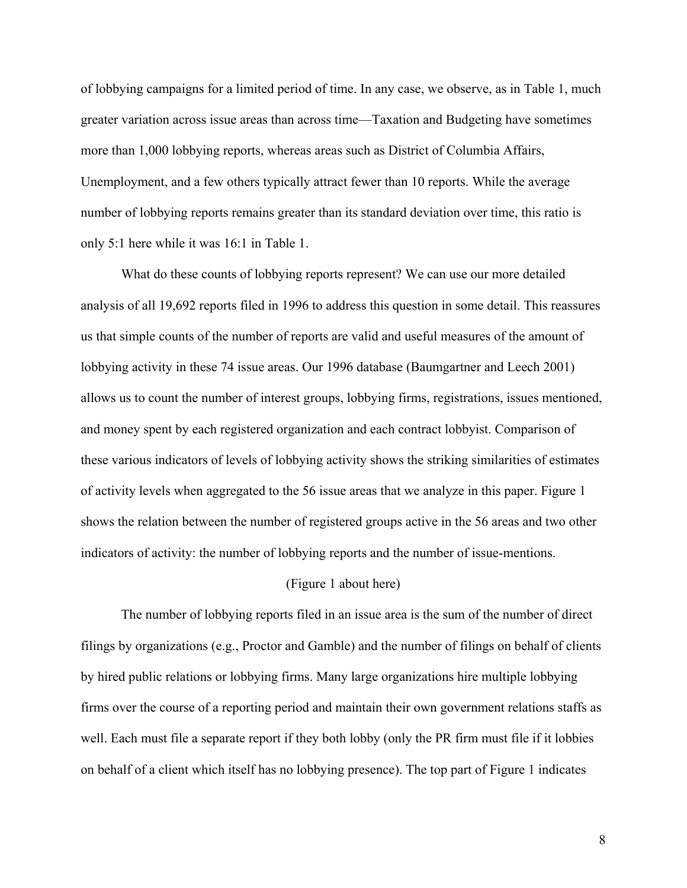of lobbying campaigns for a limited period of time. In any case, we observe, as in Table 1, much greater variation across issue areas than across time—Taxation and Budgeting have sometimes more than 1,000 lobbying reports, whereas areas such as District of Columbia Affairs, Unemployment, and a few others typically attract fewer than 10 reports. While the average number of lobbying reports remains greater than its standard deviation over time, this ratio is only 5:1 here while it was 16:1 in Table 1.

What do these counts of lobbying reports represent? We can use our more detailed analysis of all 19,692 reports filed in 1996 to address this question in some detail. This reassures us that simple counts of the number of reports are valid and useful measures of the amount of lobbying activity in these 74 issue areas. Our 1996 database (Baumgartner and Leech 2001) allows us to count the number of interest groups, lobbying firms, registrations, issues mentioned, and money spent by each registered organization and each contract lobbyist. Comparison of these various indicators of levels of lobbying activity shows the striking similarities of estimates of activity levels when aggregated to the 56 issue areas that we analyze in this paper. Figure 1 shows the relation between the number of registered groups active in the 56 areas and two other indicators of activity: the number of lobbying reports and the number of issue-mentions.

#### (Figure 1 about here)

The number of lobbying reports filed in an issue area is the sum of the number of direct filings by organizations (e.g., Proctor and Gamble) and the number of filings on behalf of clients by hired public relations or lobbying firms. Many large organizations hire multiple lobbying firms over the course of a reporting period and maintain their own government relations staffs as well. Each must file a separate report if they both lobby (only the PR firm must file if it lobbies on behalf of a client which itself has no lobbying presence). The top part of Figure 1 indicates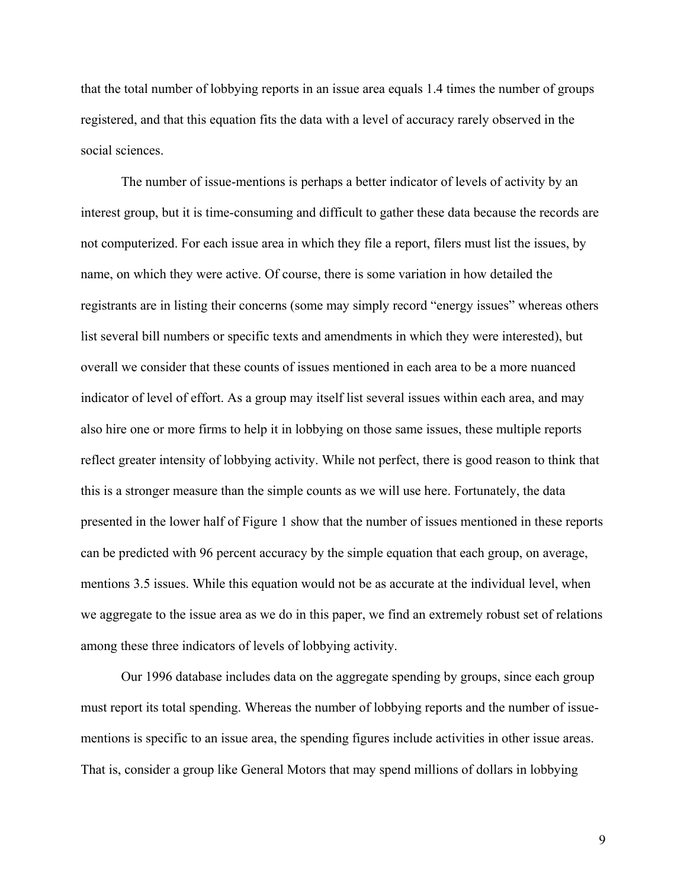that the total number of lobbying reports in an issue area equals 1.4 times the number of groups registered, and that this equation fits the data with a level of accuracy rarely observed in the social sciences.

The number of issue-mentions is perhaps a better indicator of levels of activity by an interest group, but it is time-consuming and difficult to gather these data because the records are not computerized. For each issue area in which they file a report, filers must list the issues, by name, on which they were active. Of course, there is some variation in how detailed the registrants are in listing their concerns (some may simply record "energy issues" whereas others list several bill numbers or specific texts and amendments in which they were interested), but overall we consider that these counts of issues mentioned in each area to be a more nuanced indicator of level of effort. As a group may itself list several issues within each area, and may also hire one or more firms to help it in lobbying on those same issues, these multiple reports reflect greater intensity of lobbying activity. While not perfect, there is good reason to think that this is a stronger measure than the simple counts as we will use here. Fortunately, the data presented in the lower half of Figure 1 show that the number of issues mentioned in these reports can be predicted with 96 percent accuracy by the simple equation that each group, on average, mentions 3.5 issues. While this equation would not be as accurate at the individual level, when we aggregate to the issue area as we do in this paper, we find an extremely robust set of relations among these three indicators of levels of lobbying activity.

Our 1996 database includes data on the aggregate spending by groups, since each group must report its total spending. Whereas the number of lobbying reports and the number of issuementions is specific to an issue area, the spending figures include activities in other issue areas. That is, consider a group like General Motors that may spend millions of dollars in lobbying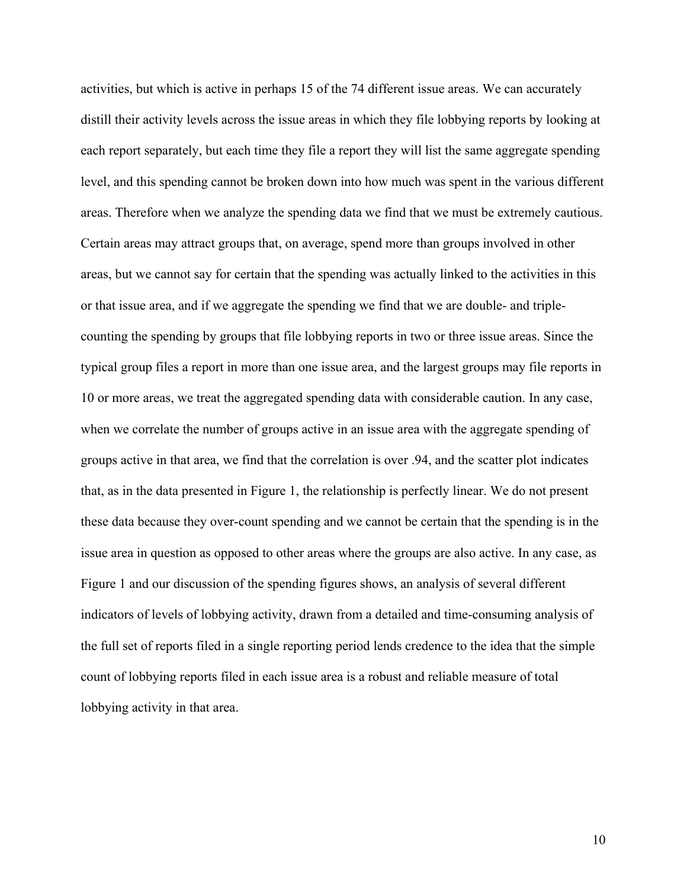activities, but which is active in perhaps 15 of the 74 different issue areas. We can accurately distill their activity levels across the issue areas in which they file lobbying reports by looking at each report separately, but each time they file a report they will list the same aggregate spending level, and this spending cannot be broken down into how much was spent in the various different areas. Therefore when we analyze the spending data we find that we must be extremely cautious. Certain areas may attract groups that, on average, spend more than groups involved in other areas, but we cannot say for certain that the spending was actually linked to the activities in this or that issue area, and if we aggregate the spending we find that we are double- and triplecounting the spending by groups that file lobbying reports in two or three issue areas. Since the typical group files a report in more than one issue area, and the largest groups may file reports in 10 or more areas, we treat the aggregated spending data with considerable caution. In any case, when we correlate the number of groups active in an issue area with the aggregate spending of groups active in that area, we find that the correlation is over .94, and the scatter plot indicates that, as in the data presented in Figure 1, the relationship is perfectly linear. We do not present these data because they over-count spending and we cannot be certain that the spending is in the issue area in question as opposed to other areas where the groups are also active. In any case, as Figure 1 and our discussion of the spending figures shows, an analysis of several different indicators of levels of lobbying activity, drawn from a detailed and time-consuming analysis of the full set of reports filed in a single reporting period lends credence to the idea that the simple count of lobbying reports filed in each issue area is a robust and reliable measure of total lobbying activity in that area.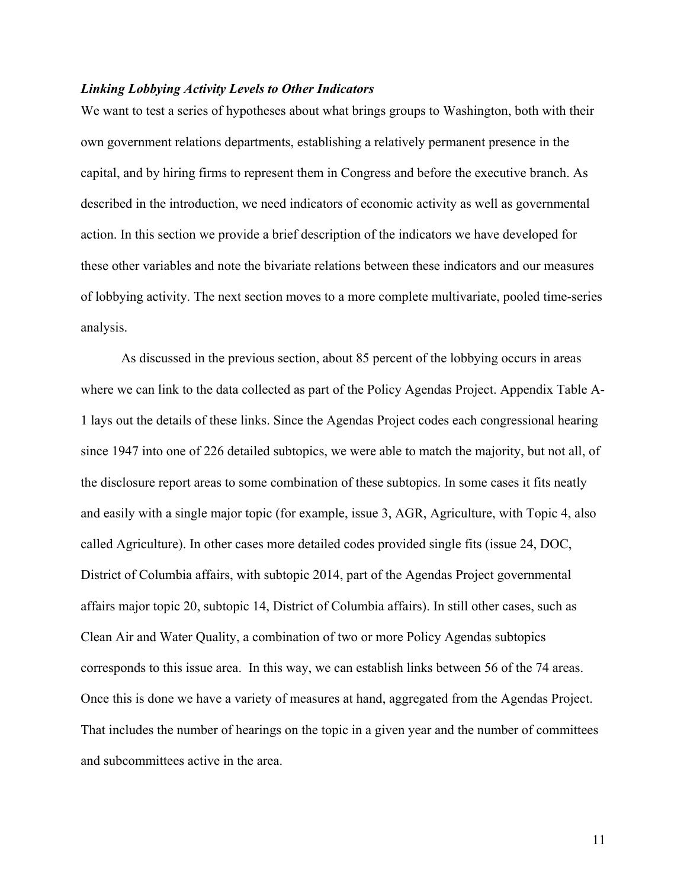#### *Linking Lobbying Activity Levels to Other Indicators*

We want to test a series of hypotheses about what brings groups to Washington, both with their own government relations departments, establishing a relatively permanent presence in the capital, and by hiring firms to represent them in Congress and before the executive branch. As described in the introduction, we need indicators of economic activity as well as governmental action. In this section we provide a brief description of the indicators we have developed for these other variables and note the bivariate relations between these indicators and our measures of lobbying activity. The next section moves to a more complete multivariate, pooled time-series analysis.

As discussed in the previous section, about 85 percent of the lobbying occurs in areas where we can link to the data collected as part of the Policy Agendas Project. Appendix Table A-1 lays out the details of these links. Since the Agendas Project codes each congressional hearing since 1947 into one of 226 detailed subtopics, we were able to match the majority, but not all, of the disclosure report areas to some combination of these subtopics. In some cases it fits neatly and easily with a single major topic (for example, issue 3, AGR, Agriculture, with Topic 4, also called Agriculture). In other cases more detailed codes provided single fits (issue 24, DOC, District of Columbia affairs, with subtopic 2014, part of the Agendas Project governmental affairs major topic 20, subtopic 14, District of Columbia affairs). In still other cases, such as Clean Air and Water Quality, a combination of two or more Policy Agendas subtopics corresponds to this issue area. In this way, we can establish links between 56 of the 74 areas. Once this is done we have a variety of measures at hand, aggregated from the Agendas Project. That includes the number of hearings on the topic in a given year and the number of committees and subcommittees active in the area.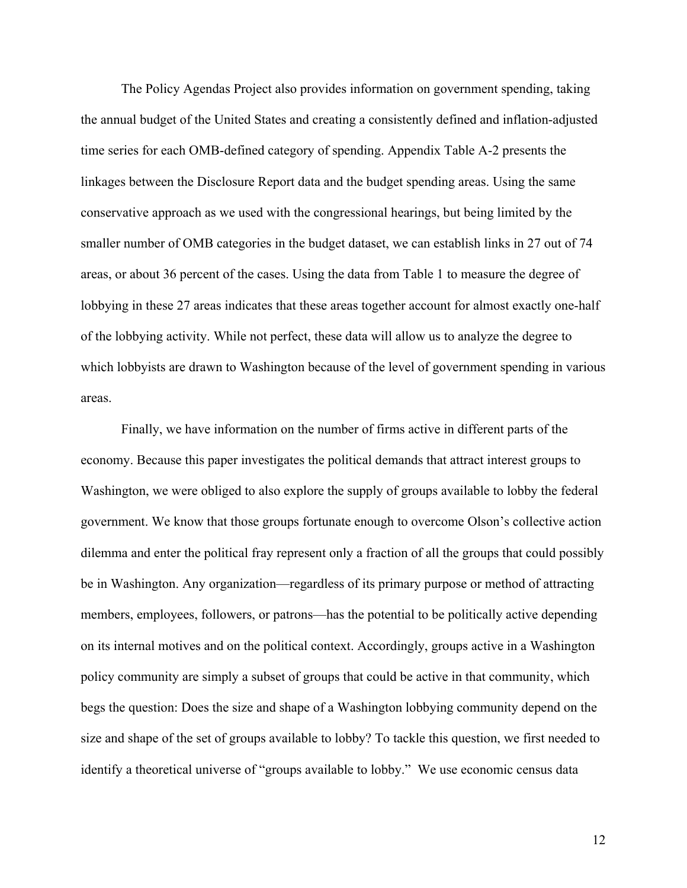The Policy Agendas Project also provides information on government spending, taking the annual budget of the United States and creating a consistently defined and inflation-adjusted time series for each OMB-defined category of spending. Appendix Table A-2 presents the linkages between the Disclosure Report data and the budget spending areas. Using the same conservative approach as we used with the congressional hearings, but being limited by the smaller number of OMB categories in the budget dataset, we can establish links in 27 out of 74 areas, or about 36 percent of the cases. Using the data from Table 1 to measure the degree of lobbying in these 27 areas indicates that these areas together account for almost exactly one-half of the lobbying activity. While not perfect, these data will allow us to analyze the degree to which lobbyists are drawn to Washington because of the level of government spending in various areas.

Finally, we have information on the number of firms active in different parts of the economy. Because this paper investigates the political demands that attract interest groups to Washington, we were obliged to also explore the supply of groups available to lobby the federal government. We know that those groups fortunate enough to overcome Olson's collective action dilemma and enter the political fray represent only a fraction of all the groups that could possibly be in Washington. Any organization—regardless of its primary purpose or method of attracting members, employees, followers, or patrons—has the potential to be politically active depending on its internal motives and on the political context. Accordingly, groups active in a Washington policy community are simply a subset of groups that could be active in that community, which begs the question: Does the size and shape of a Washington lobbying community depend on the size and shape of the set of groups available to lobby? To tackle this question, we first needed to identify a theoretical universe of "groups available to lobby." We use economic census data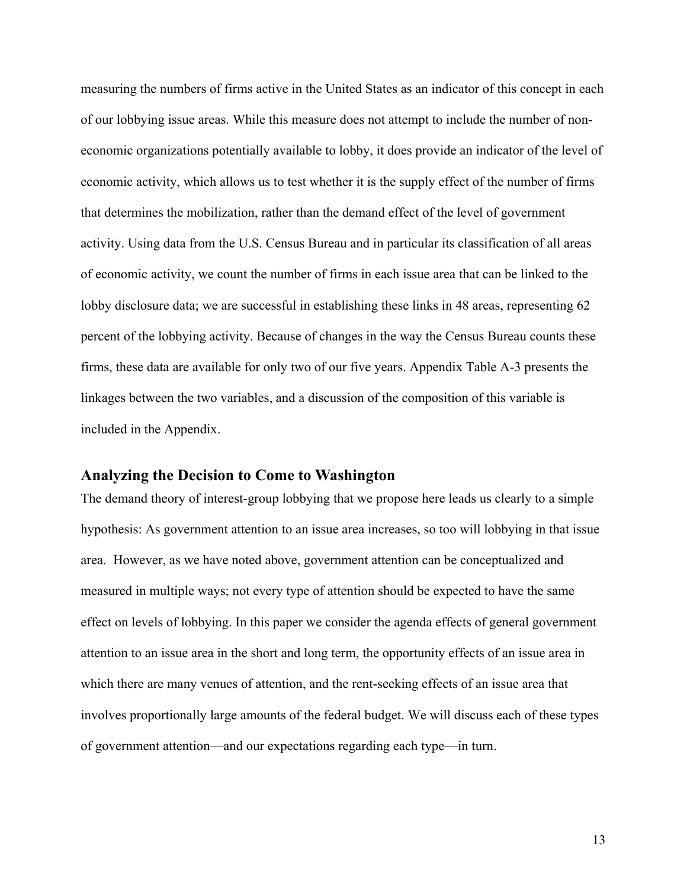measuring the numbers of firms active in the United States as an indicator of this concept in each of our lobbying issue areas. While this measure does not attempt to include the number of noneconomic organizations potentially available to lobby, it does provide an indicator of the level of economic activity, which allows us to test whether it is the supply effect of the number of firms that determines the mobilization, rather than the demand effect of the level of government activity. Using data from the U.S. Census Bureau and in particular its classification of all areas of economic activity, we count the number of firms in each issue area that can be linked to the lobby disclosure data; we are successful in establishing these links in 48 areas, representing 62 percent of the lobbying activity. Because of changes in the way the Census Bureau counts these firms, these data are available for only two of our five years. Appendix Table A-3 presents the linkages between the two variables, and a discussion of the composition of this variable is included in the Appendix.

## **Analyzing the Decision to Come to Washington**

The demand theory of interest-group lobbying that we propose here leads us clearly to a simple hypothesis: As government attention to an issue area increases, so too will lobbying in that issue area. However, as we have noted above, government attention can be conceptualized and measured in multiple ways; not every type of attention should be expected to have the same effect on levels of lobbying. In this paper we consider the agenda effects of general government attention to an issue area in the short and long term, the opportunity effects of an issue area in which there are many venues of attention, and the rent-seeking effects of an issue area that involves proportionally large amounts of the federal budget. We will discuss each of these types of government attention—and our expectations regarding each type—in turn.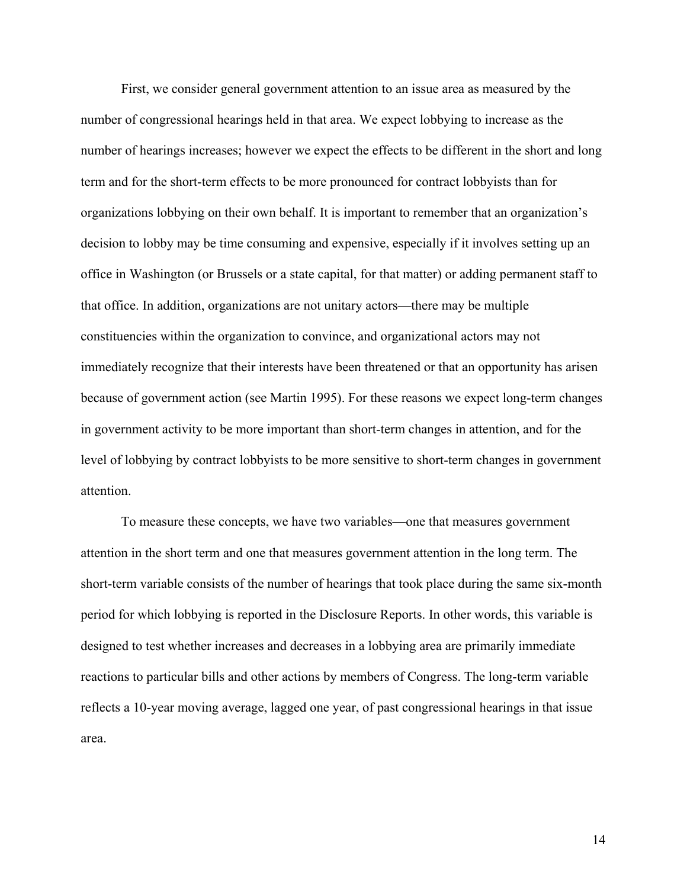First, we consider general government attention to an issue area as measured by the number of congressional hearings held in that area. We expect lobbying to increase as the number of hearings increases; however we expect the effects to be different in the short and long term and for the short-term effects to be more pronounced for contract lobbyists than for organizations lobbying on their own behalf. It is important to remember that an organization's decision to lobby may be time consuming and expensive, especially if it involves setting up an office in Washington (or Brussels or a state capital, for that matter) or adding permanent staff to that office. In addition, organizations are not unitary actors—there may be multiple constituencies within the organization to convince, and organizational actors may not immediately recognize that their interests have been threatened or that an opportunity has arisen because of government action (see Martin 1995). For these reasons we expect long-term changes in government activity to be more important than short-term changes in attention, and for the level of lobbying by contract lobbyists to be more sensitive to short-term changes in government attention.

To measure these concepts, we have two variables—one that measures government attention in the short term and one that measures government attention in the long term. The short-term variable consists of the number of hearings that took place during the same six-month period for which lobbying is reported in the Disclosure Reports. In other words, this variable is designed to test whether increases and decreases in a lobbying area are primarily immediate reactions to particular bills and other actions by members of Congress. The long-term variable reflects a 10-year moving average, lagged one year, of past congressional hearings in that issue area.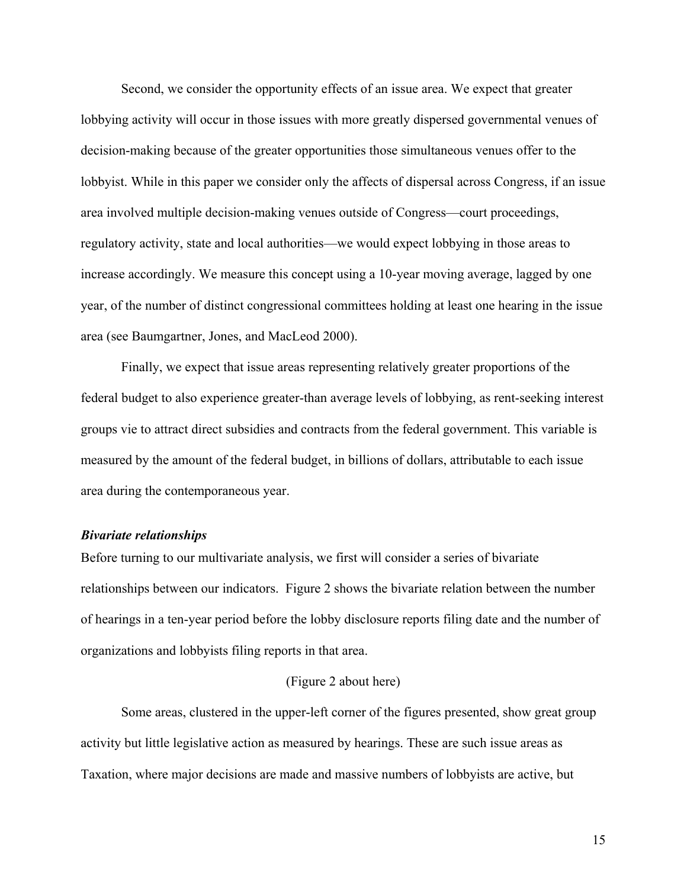Second, we consider the opportunity effects of an issue area. We expect that greater lobbying activity will occur in those issues with more greatly dispersed governmental venues of decision-making because of the greater opportunities those simultaneous venues offer to the lobbyist. While in this paper we consider only the affects of dispersal across Congress, if an issue area involved multiple decision-making venues outside of Congress—court proceedings, regulatory activity, state and local authorities—we would expect lobbying in those areas to increase accordingly. We measure this concept using a 10-year moving average, lagged by one year, of the number of distinct congressional committees holding at least one hearing in the issue area (see Baumgartner, Jones, and MacLeod 2000).

Finally, we expect that issue areas representing relatively greater proportions of the federal budget to also experience greater-than average levels of lobbying, as rent-seeking interest groups vie to attract direct subsidies and contracts from the federal government. This variable is measured by the amount of the federal budget, in billions of dollars, attributable to each issue area during the contemporaneous year.

#### *Bivariate relationships*

Before turning to our multivariate analysis, we first will consider a series of bivariate relationships between our indicators. Figure 2 shows the bivariate relation between the number of hearings in a ten-year period before the lobby disclosure reports filing date and the number of organizations and lobbyists filing reports in that area.

#### (Figure 2 about here)

Some areas, clustered in the upper-left corner of the figures presented, show great group activity but little legislative action as measured by hearings. These are such issue areas as Taxation, where major decisions are made and massive numbers of lobbyists are active, but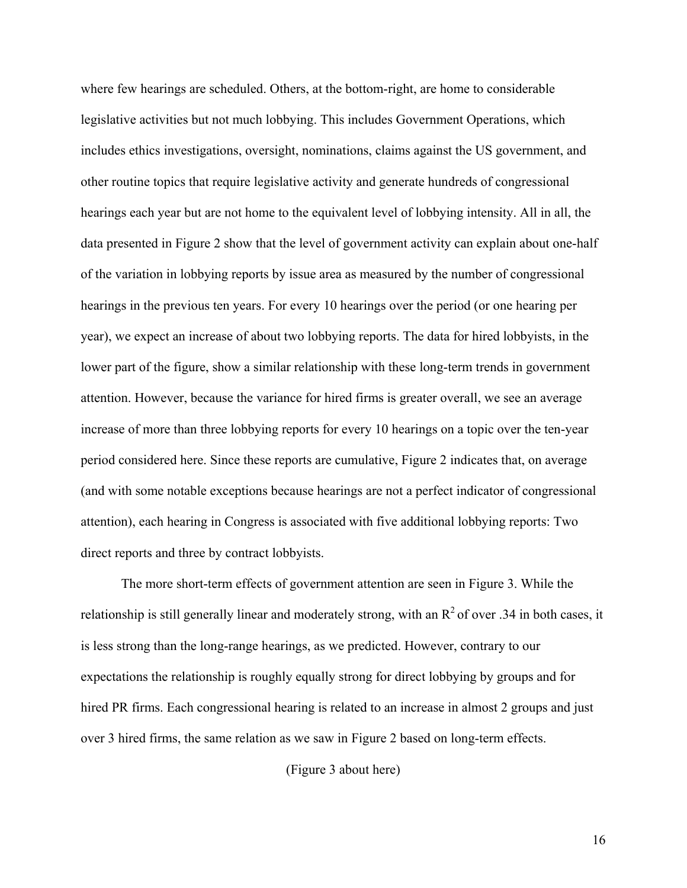where few hearings are scheduled. Others, at the bottom-right, are home to considerable legislative activities but not much lobbying. This includes Government Operations, which includes ethics investigations, oversight, nominations, claims against the US government, and other routine topics that require legislative activity and generate hundreds of congressional hearings each year but are not home to the equivalent level of lobbying intensity. All in all, the data presented in Figure 2 show that the level of government activity can explain about one-half of the variation in lobbying reports by issue area as measured by the number of congressional hearings in the previous ten years. For every 10 hearings over the period (or one hearing per year), we expect an increase of about two lobbying reports. The data for hired lobbyists, in the lower part of the figure, show a similar relationship with these long-term trends in government attention. However, because the variance for hired firms is greater overall, we see an average increase of more than three lobbying reports for every 10 hearings on a topic over the ten-year period considered here. Since these reports are cumulative, Figure 2 indicates that, on average (and with some notable exceptions because hearings are not a perfect indicator of congressional attention), each hearing in Congress is associated with five additional lobbying reports: Two direct reports and three by contract lobbyists.

The more short-term effects of government attention are seen in Figure 3. While the relationship is still generally linear and moderately strong, with an  $R^2$  of over .34 in both cases, it is less strong than the long-range hearings, as we predicted. However, contrary to our expectations the relationship is roughly equally strong for direct lobbying by groups and for hired PR firms. Each congressional hearing is related to an increase in almost 2 groups and just over 3 hired firms, the same relation as we saw in Figure 2 based on long-term effects.

(Figure 3 about here)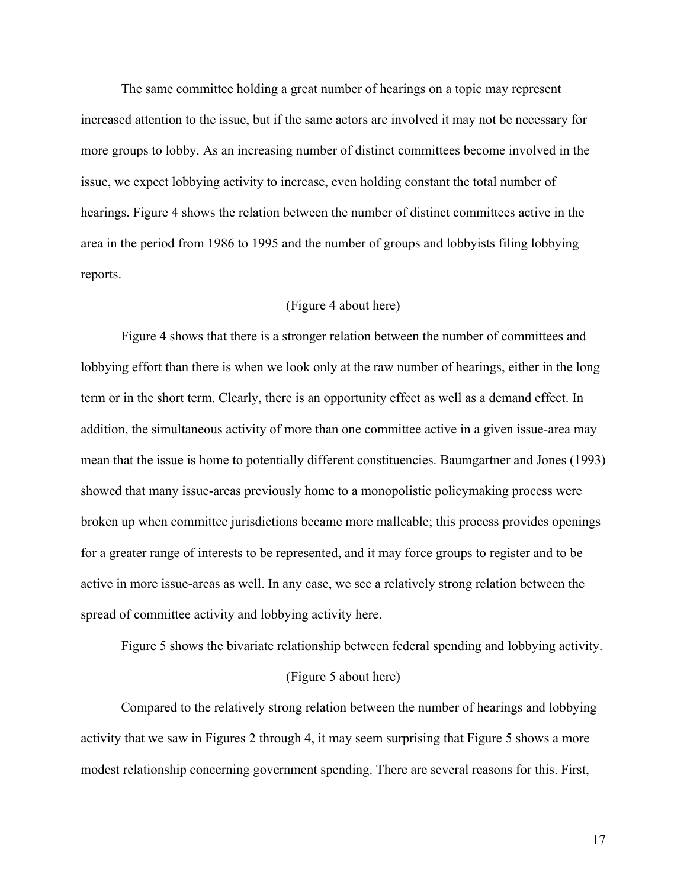The same committee holding a great number of hearings on a topic may represent increased attention to the issue, but if the same actors are involved it may not be necessary for more groups to lobby. As an increasing number of distinct committees become involved in the issue, we expect lobbying activity to increase, even holding constant the total number of hearings. Figure 4 shows the relation between the number of distinct committees active in the area in the period from 1986 to 1995 and the number of groups and lobbyists filing lobbying reports.

#### (Figure 4 about here)

Figure 4 shows that there is a stronger relation between the number of committees and lobbying effort than there is when we look only at the raw number of hearings, either in the long term or in the short term. Clearly, there is an opportunity effect as well as a demand effect. In addition, the simultaneous activity of more than one committee active in a given issue-area may mean that the issue is home to potentially different constituencies. Baumgartner and Jones (1993) showed that many issue-areas previously home to a monopolistic policymaking process were broken up when committee jurisdictions became more malleable; this process provides openings for a greater range of interests to be represented, and it may force groups to register and to be active in more issue-areas as well. In any case, we see a relatively strong relation between the spread of committee activity and lobbying activity here.

Figure 5 shows the bivariate relationship between federal spending and lobbying activity.

#### (Figure 5 about here)

Compared to the relatively strong relation between the number of hearings and lobbying activity that we saw in Figures 2 through 4, it may seem surprising that Figure 5 shows a more modest relationship concerning government spending. There are several reasons for this. First,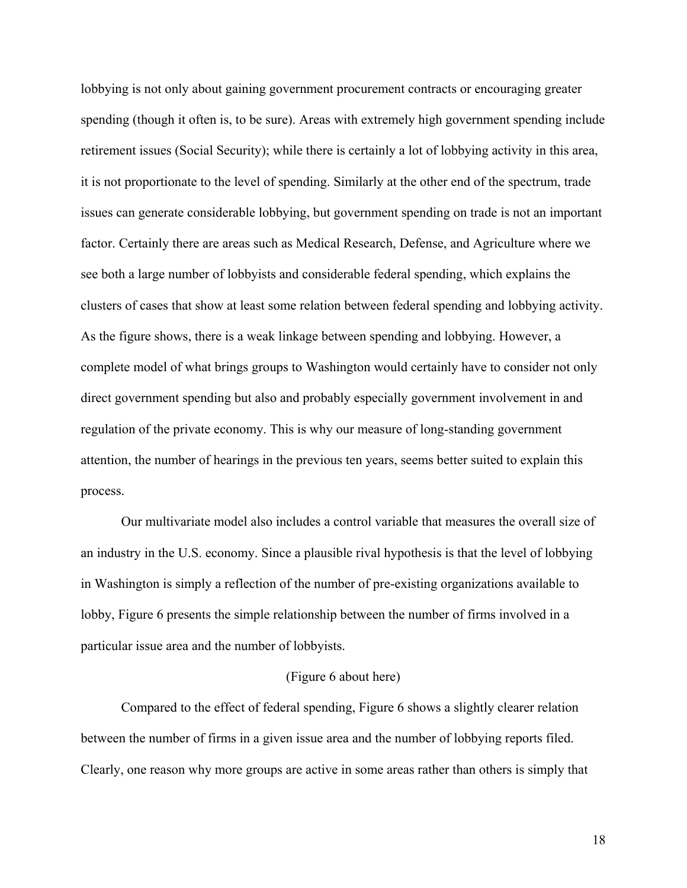lobbying is not only about gaining government procurement contracts or encouraging greater spending (though it often is, to be sure). Areas with extremely high government spending include retirement issues (Social Security); while there is certainly a lot of lobbying activity in this area, it is not proportionate to the level of spending. Similarly at the other end of the spectrum, trade issues can generate considerable lobbying, but government spending on trade is not an important factor. Certainly there are areas such as Medical Research, Defense, and Agriculture where we see both a large number of lobbyists and considerable federal spending, which explains the clusters of cases that show at least some relation between federal spending and lobbying activity. As the figure shows, there is a weak linkage between spending and lobbying. However, a complete model of what brings groups to Washington would certainly have to consider not only direct government spending but also and probably especially government involvement in and regulation of the private economy. This is why our measure of long-standing government attention, the number of hearings in the previous ten years, seems better suited to explain this process.

Our multivariate model also includes a control variable that measures the overall size of an industry in the U.S. economy. Since a plausible rival hypothesis is that the level of lobbying in Washington is simply a reflection of the number of pre-existing organizations available to lobby, Figure 6 presents the simple relationship between the number of firms involved in a particular issue area and the number of lobbyists.

#### (Figure 6 about here)

Compared to the effect of federal spending, Figure 6 shows a slightly clearer relation between the number of firms in a given issue area and the number of lobbying reports filed. Clearly, one reason why more groups are active in some areas rather than others is simply that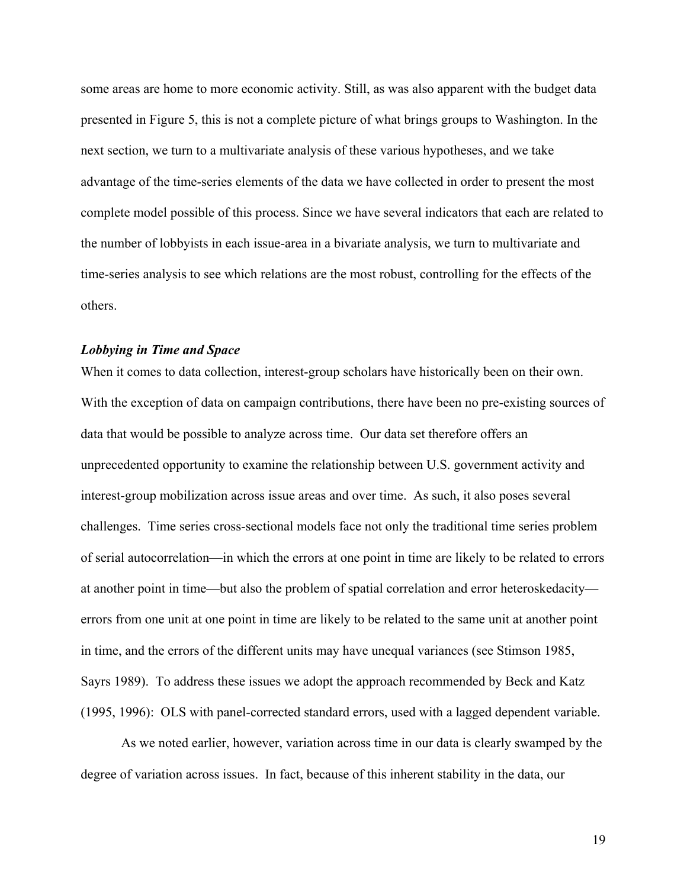some areas are home to more economic activity. Still, as was also apparent with the budget data presented in Figure 5, this is not a complete picture of what brings groups to Washington. In the next section, we turn to a multivariate analysis of these various hypotheses, and we take advantage of the time-series elements of the data we have collected in order to present the most complete model possible of this process. Since we have several indicators that each are related to the number of lobbyists in each issue-area in a bivariate analysis, we turn to multivariate and time-series analysis to see which relations are the most robust, controlling for the effects of the others.

#### *Lobbying in Time and Space*

When it comes to data collection, interest-group scholars have historically been on their own. With the exception of data on campaign contributions, there have been no pre-existing sources of data that would be possible to analyze across time. Our data set therefore offers an unprecedented opportunity to examine the relationship between U.S. government activity and interest-group mobilization across issue areas and over time. As such, it also poses several challenges. Time series cross-sectional models face not only the traditional time series problem of serial autocorrelation—in which the errors at one point in time are likely to be related to errors at another point in time—but also the problem of spatial correlation and error heteroskedacity errors from one unit at one point in time are likely to be related to the same unit at another point in time, and the errors of the different units may have unequal variances (see Stimson 1985, Sayrs 1989). To address these issues we adopt the approach recommended by Beck and Katz (1995, 1996): OLS with panel-corrected standard errors, used with a lagged dependent variable.

As we noted earlier, however, variation across time in our data is clearly swamped by the degree of variation across issues. In fact, because of this inherent stability in the data, our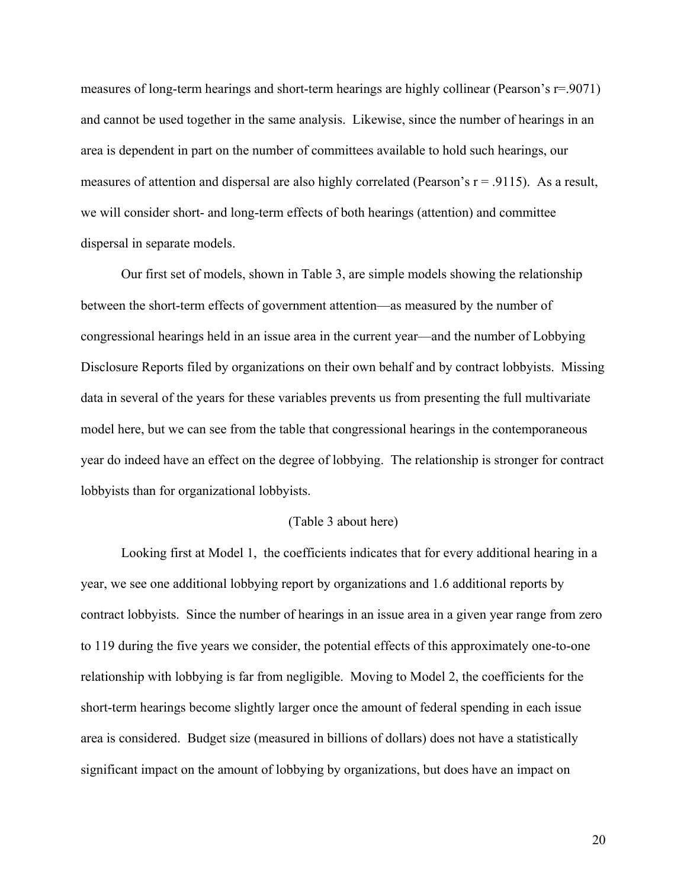measures of long-term hearings and short-term hearings are highly collinear (Pearson's r=.9071) and cannot be used together in the same analysis. Likewise, since the number of hearings in an area is dependent in part on the number of committees available to hold such hearings, our measures of attention and dispersal are also highly correlated (Pearson's  $r = .9115$ ). As a result, we will consider short- and long-term effects of both hearings (attention) and committee dispersal in separate models.

Our first set of models, shown in Table 3, are simple models showing the relationship between the short-term effects of government attention—as measured by the number of congressional hearings held in an issue area in the current year—and the number of Lobbying Disclosure Reports filed by organizations on their own behalf and by contract lobbyists. Missing data in several of the years for these variables prevents us from presenting the full multivariate model here, but we can see from the table that congressional hearings in the contemporaneous year do indeed have an effect on the degree of lobbying. The relationship is stronger for contract lobbyists than for organizational lobbyists.

#### (Table 3 about here)

Looking first at Model 1, the coefficients indicates that for every additional hearing in a year, we see one additional lobbying report by organizations and 1.6 additional reports by contract lobbyists. Since the number of hearings in an issue area in a given year range from zero to 119 during the five years we consider, the potential effects of this approximately one-to-one relationship with lobbying is far from negligible. Moving to Model 2, the coefficients for the short-term hearings become slightly larger once the amount of federal spending in each issue area is considered. Budget size (measured in billions of dollars) does not have a statistically significant impact on the amount of lobbying by organizations, but does have an impact on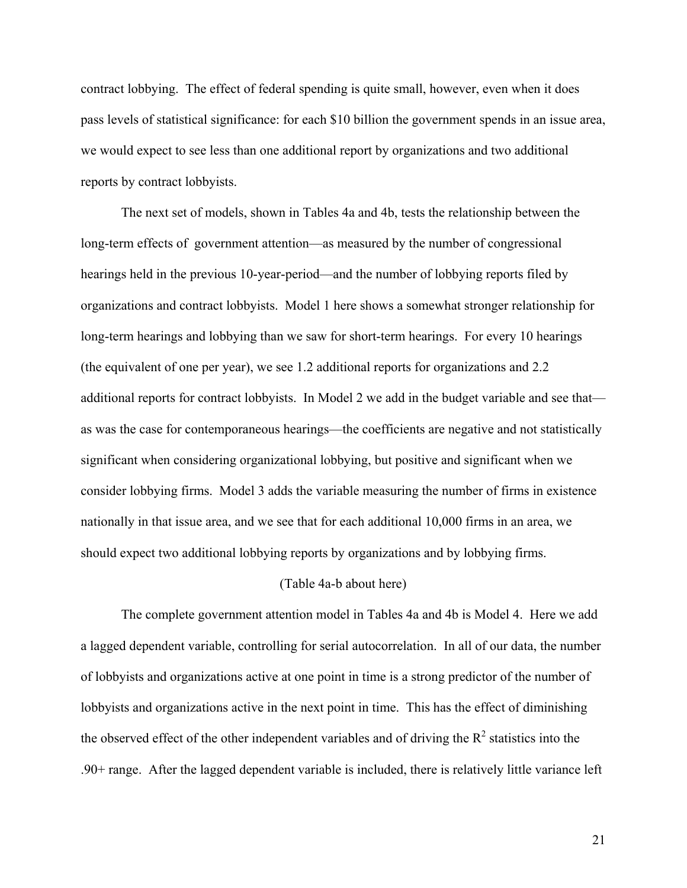contract lobbying. The effect of federal spending is quite small, however, even when it does pass levels of statistical significance: for each \$10 billion the government spends in an issue area, we would expect to see less than one additional report by organizations and two additional reports by contract lobbyists.

The next set of models, shown in Tables 4a and 4b, tests the relationship between the long-term effects of government attention—as measured by the number of congressional hearings held in the previous 10-year-period—and the number of lobbying reports filed by organizations and contract lobbyists. Model 1 here shows a somewhat stronger relationship for long-term hearings and lobbying than we saw for short-term hearings. For every 10 hearings (the equivalent of one per year), we see 1.2 additional reports for organizations and 2.2 additional reports for contract lobbyists. In Model 2 we add in the budget variable and see that as was the case for contemporaneous hearings—the coefficients are negative and not statistically significant when considering organizational lobbying, but positive and significant when we consider lobbying firms. Model 3 adds the variable measuring the number of firms in existence nationally in that issue area, and we see that for each additional 10,000 firms in an area, we should expect two additional lobbying reports by organizations and by lobbying firms.

#### (Table 4a-b about here)

The complete government attention model in Tables 4a and 4b is Model 4. Here we add a lagged dependent variable, controlling for serial autocorrelation. In all of our data, the number of lobbyists and organizations active at one point in time is a strong predictor of the number of lobbyists and organizations active in the next point in time. This has the effect of diminishing the observed effect of the other independent variables and of driving the  $R^2$  statistics into the .90+ range. After the lagged dependent variable is included, there is relatively little variance left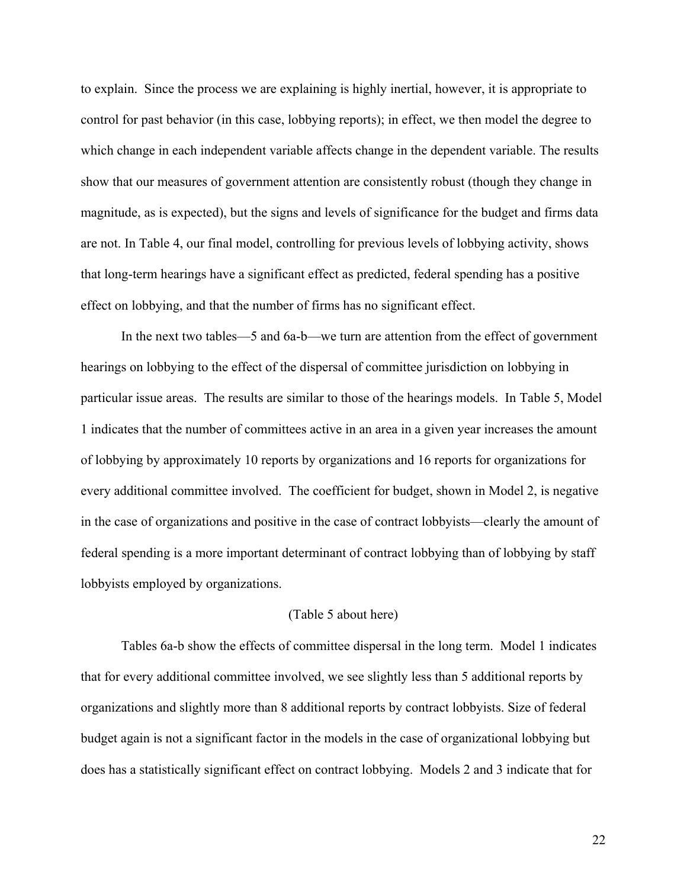to explain. Since the process we are explaining is highly inertial, however, it is appropriate to control for past behavior (in this case, lobbying reports); in effect, we then model the degree to which change in each independent variable affects change in the dependent variable. The results show that our measures of government attention are consistently robust (though they change in magnitude, as is expected), but the signs and levels of significance for the budget and firms data are not. In Table 4, our final model, controlling for previous levels of lobbying activity, shows that long-term hearings have a significant effect as predicted, federal spending has a positive effect on lobbying, and that the number of firms has no significant effect.

In the next two tables—5 and 6a-b—we turn are attention from the effect of government hearings on lobbying to the effect of the dispersal of committee jurisdiction on lobbying in particular issue areas. The results are similar to those of the hearings models. In Table 5, Model 1 indicates that the number of committees active in an area in a given year increases the amount of lobbying by approximately 10 reports by organizations and 16 reports for organizations for every additional committee involved. The coefficient for budget, shown in Model 2, is negative in the case of organizations and positive in the case of contract lobbyists—clearly the amount of federal spending is a more important determinant of contract lobbying than of lobbying by staff lobbyists employed by organizations.

#### (Table 5 about here)

Tables 6a-b show the effects of committee dispersal in the long term. Model 1 indicates that for every additional committee involved, we see slightly less than 5 additional reports by organizations and slightly more than 8 additional reports by contract lobbyists. Size of federal budget again is not a significant factor in the models in the case of organizational lobbying but does has a statistically significant effect on contract lobbying. Models 2 and 3 indicate that for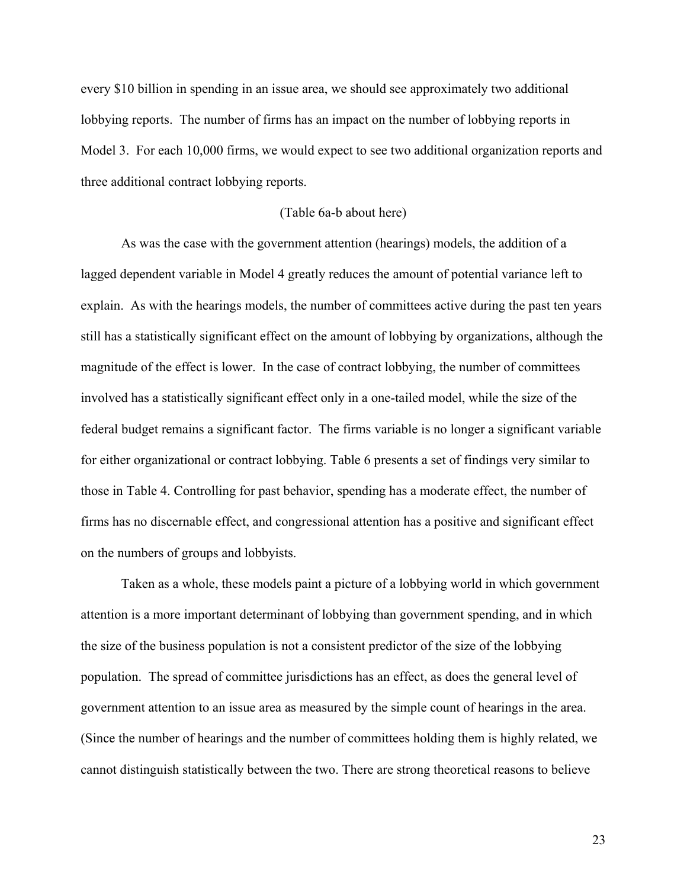every \$10 billion in spending in an issue area, we should see approximately two additional lobbying reports. The number of firms has an impact on the number of lobbying reports in Model 3. For each 10,000 firms, we would expect to see two additional organization reports and three additional contract lobbying reports.

#### (Table 6a-b about here)

As was the case with the government attention (hearings) models, the addition of a lagged dependent variable in Model 4 greatly reduces the amount of potential variance left to explain. As with the hearings models, the number of committees active during the past ten years still has a statistically significant effect on the amount of lobbying by organizations, although the magnitude of the effect is lower. In the case of contract lobbying, the number of committees involved has a statistically significant effect only in a one-tailed model, while the size of the federal budget remains a significant factor. The firms variable is no longer a significant variable for either organizational or contract lobbying. Table 6 presents a set of findings very similar to those in Table 4. Controlling for past behavior, spending has a moderate effect, the number of firms has no discernable effect, and congressional attention has a positive and significant effect on the numbers of groups and lobbyists.

Taken as a whole, these models paint a picture of a lobbying world in which government attention is a more important determinant of lobbying than government spending, and in which the size of the business population is not a consistent predictor of the size of the lobbying population. The spread of committee jurisdictions has an effect, as does the general level of government attention to an issue area as measured by the simple count of hearings in the area. (Since the number of hearings and the number of committees holding them is highly related, we cannot distinguish statistically between the two. There are strong theoretical reasons to believe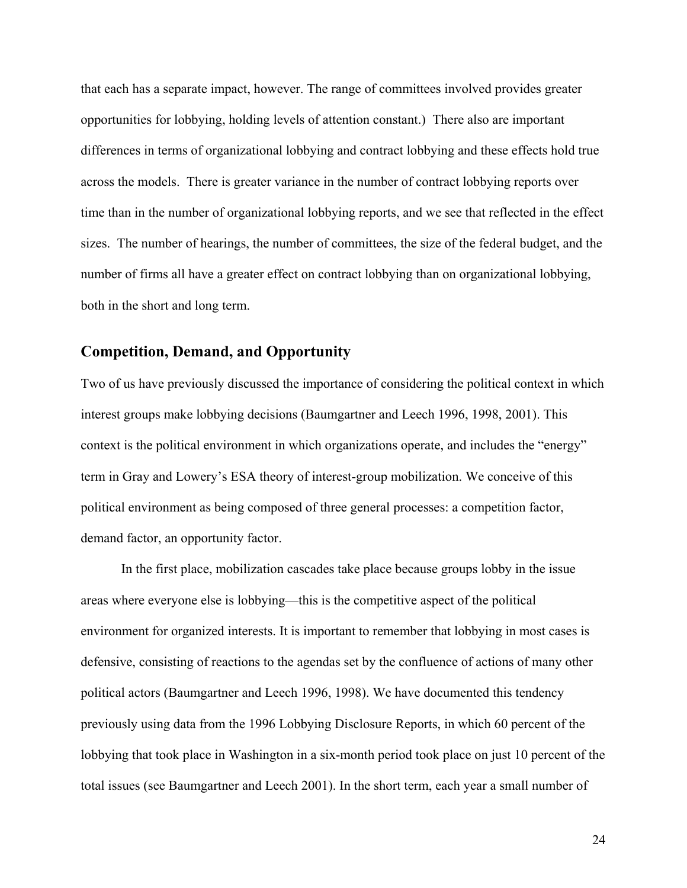that each has a separate impact, however. The range of committees involved provides greater opportunities for lobbying, holding levels of attention constant.) There also are important differences in terms of organizational lobbying and contract lobbying and these effects hold true across the models. There is greater variance in the number of contract lobbying reports over time than in the number of organizational lobbying reports, and we see that reflected in the effect sizes. The number of hearings, the number of committees, the size of the federal budget, and the number of firms all have a greater effect on contract lobbying than on organizational lobbying, both in the short and long term.

## **Competition, Demand, and Opportunity**

Two of us have previously discussed the importance of considering the political context in which interest groups make lobbying decisions (Baumgartner and Leech 1996, 1998, 2001). This context is the political environment in which organizations operate, and includes the "energy" term in Gray and Lowery's ESA theory of interest-group mobilization. We conceive of this political environment as being composed of three general processes: a competition factor, demand factor, an opportunity factor.

In the first place, mobilization cascades take place because groups lobby in the issue areas where everyone else is lobbying—this is the competitive aspect of the political environment for organized interests. It is important to remember that lobbying in most cases is defensive, consisting of reactions to the agendas set by the confluence of actions of many other political actors (Baumgartner and Leech 1996, 1998). We have documented this tendency previously using data from the 1996 Lobbying Disclosure Reports, in which 60 percent of the lobbying that took place in Washington in a six-month period took place on just 10 percent of the total issues (see Baumgartner and Leech 2001). In the short term, each year a small number of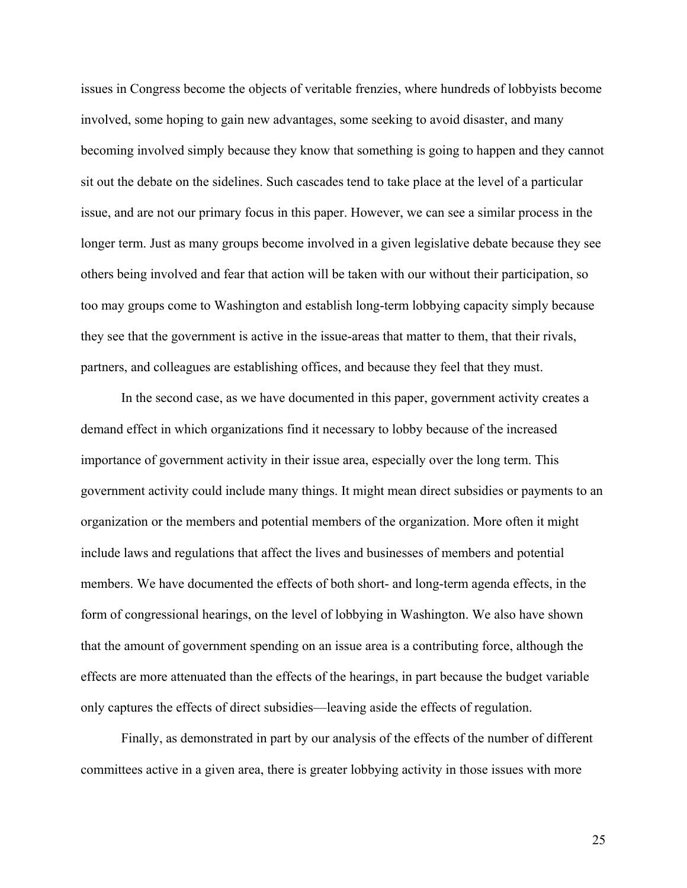issues in Congress become the objects of veritable frenzies, where hundreds of lobbyists become involved, some hoping to gain new advantages, some seeking to avoid disaster, and many becoming involved simply because they know that something is going to happen and they cannot sit out the debate on the sidelines. Such cascades tend to take place at the level of a particular issue, and are not our primary focus in this paper. However, we can see a similar process in the longer term. Just as many groups become involved in a given legislative debate because they see others being involved and fear that action will be taken with our without their participation, so too may groups come to Washington and establish long-term lobbying capacity simply because they see that the government is active in the issue-areas that matter to them, that their rivals, partners, and colleagues are establishing offices, and because they feel that they must.

In the second case, as we have documented in this paper, government activity creates a demand effect in which organizations find it necessary to lobby because of the increased importance of government activity in their issue area, especially over the long term. This government activity could include many things. It might mean direct subsidies or payments to an organization or the members and potential members of the organization. More often it might include laws and regulations that affect the lives and businesses of members and potential members. We have documented the effects of both short- and long-term agenda effects, in the form of congressional hearings, on the level of lobbying in Washington. We also have shown that the amount of government spending on an issue area is a contributing force, although the effects are more attenuated than the effects of the hearings, in part because the budget variable only captures the effects of direct subsidies—leaving aside the effects of regulation.

Finally, as demonstrated in part by our analysis of the effects of the number of different committees active in a given area, there is greater lobbying activity in those issues with more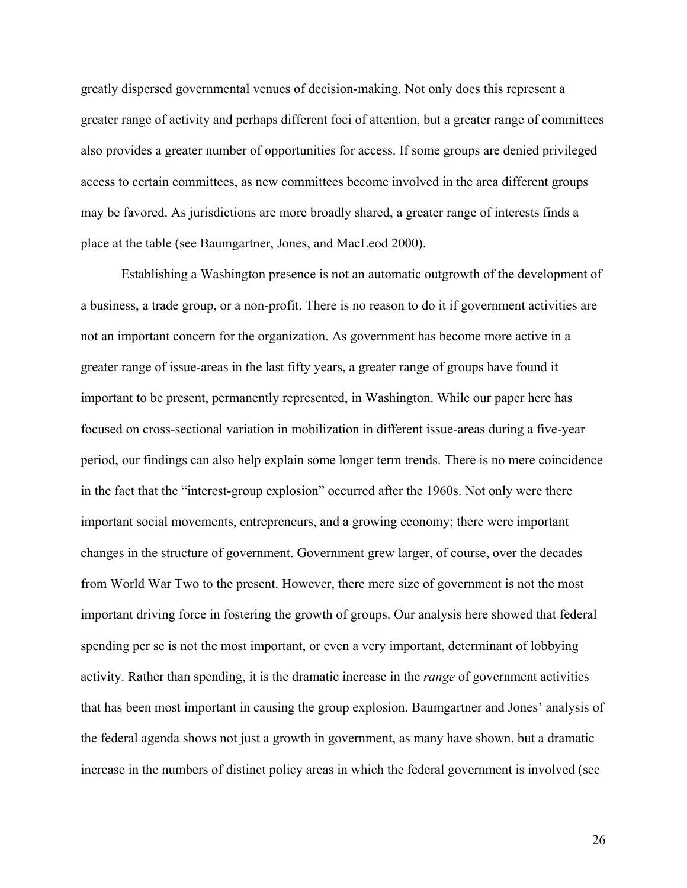greatly dispersed governmental venues of decision-making. Not only does this represent a greater range of activity and perhaps different foci of attention, but a greater range of committees also provides a greater number of opportunities for access. If some groups are denied privileged access to certain committees, as new committees become involved in the area different groups may be favored. As jurisdictions are more broadly shared, a greater range of interests finds a place at the table (see Baumgartner, Jones, and MacLeod 2000).

Establishing a Washington presence is not an automatic outgrowth of the development of a business, a trade group, or a non-profit. There is no reason to do it if government activities are not an important concern for the organization. As government has become more active in a greater range of issue-areas in the last fifty years, a greater range of groups have found it important to be present, permanently represented, in Washington. While our paper here has focused on cross-sectional variation in mobilization in different issue-areas during a five-year period, our findings can also help explain some longer term trends. There is no mere coincidence in the fact that the "interest-group explosion" occurred after the 1960s. Not only were there important social movements, entrepreneurs, and a growing economy; there were important changes in the structure of government. Government grew larger, of course, over the decades from World War Two to the present. However, there mere size of government is not the most important driving force in fostering the growth of groups. Our analysis here showed that federal spending per se is not the most important, or even a very important, determinant of lobbying activity. Rather than spending, it is the dramatic increase in the *range* of government activities that has been most important in causing the group explosion. Baumgartner and Jones' analysis of the federal agenda shows not just a growth in government, as many have shown, but a dramatic increase in the numbers of distinct policy areas in which the federal government is involved (see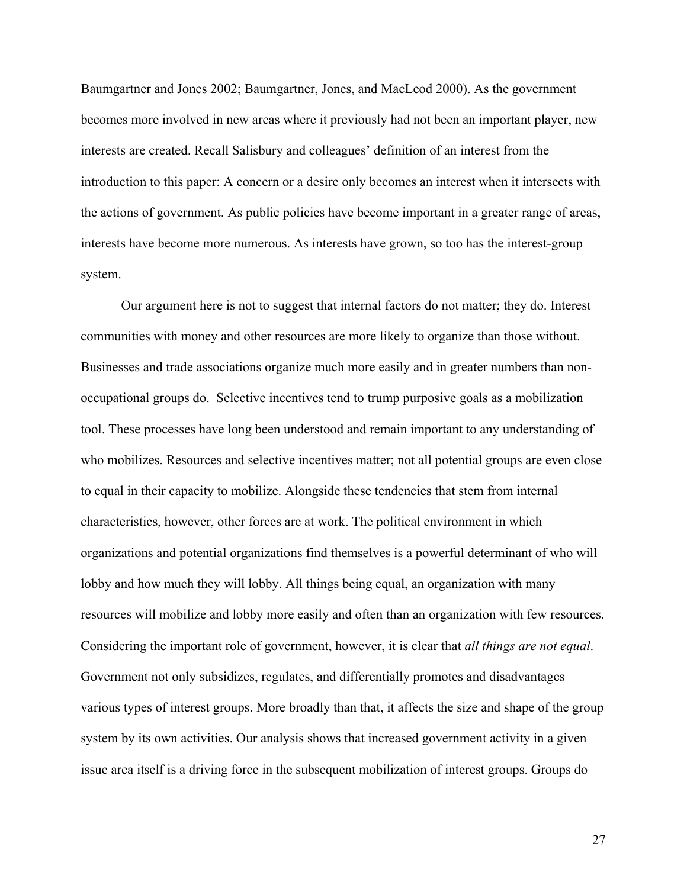Baumgartner and Jones 2002; Baumgartner, Jones, and MacLeod 2000). As the government becomes more involved in new areas where it previously had not been an important player, new interests are created. Recall Salisbury and colleagues' definition of an interest from the introduction to this paper: A concern or a desire only becomes an interest when it intersects with the actions of government. As public policies have become important in a greater range of areas, interests have become more numerous. As interests have grown, so too has the interest-group system.

Our argument here is not to suggest that internal factors do not matter; they do. Interest communities with money and other resources are more likely to organize than those without. Businesses and trade associations organize much more easily and in greater numbers than nonoccupational groups do. Selective incentives tend to trump purposive goals as a mobilization tool. These processes have long been understood and remain important to any understanding of who mobilizes. Resources and selective incentives matter; not all potential groups are even close to equal in their capacity to mobilize. Alongside these tendencies that stem from internal characteristics, however, other forces are at work. The political environment in which organizations and potential organizations find themselves is a powerful determinant of who will lobby and how much they will lobby. All things being equal, an organization with many resources will mobilize and lobby more easily and often than an organization with few resources. Considering the important role of government, however, it is clear that *all things are not equal*. Government not only subsidizes, regulates, and differentially promotes and disadvantages various types of interest groups. More broadly than that, it affects the size and shape of the group system by its own activities. Our analysis shows that increased government activity in a given issue area itself is a driving force in the subsequent mobilization of interest groups. Groups do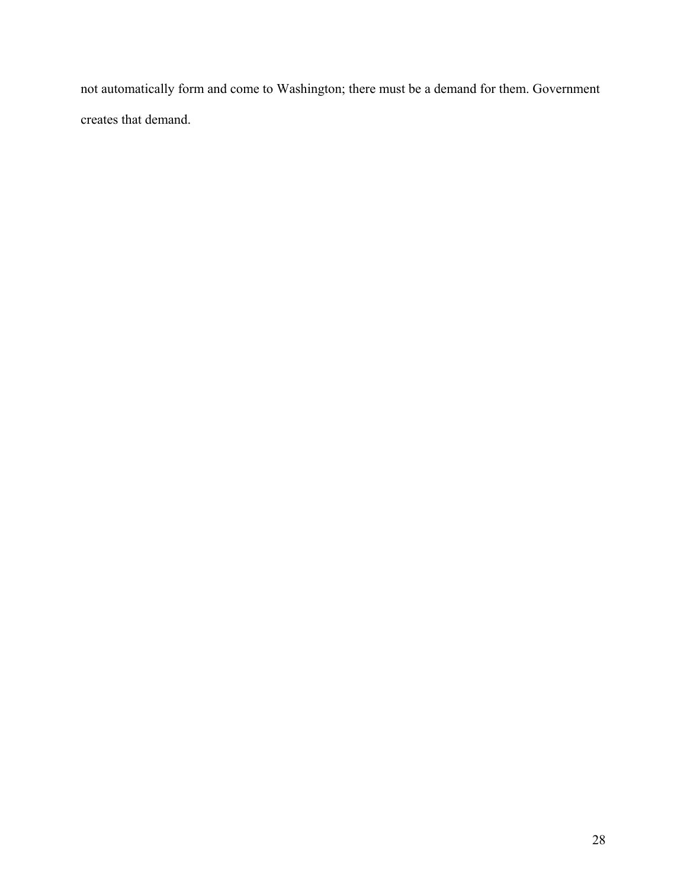not automatically form and come to Washington; there must be a demand for them. Government creates that demand.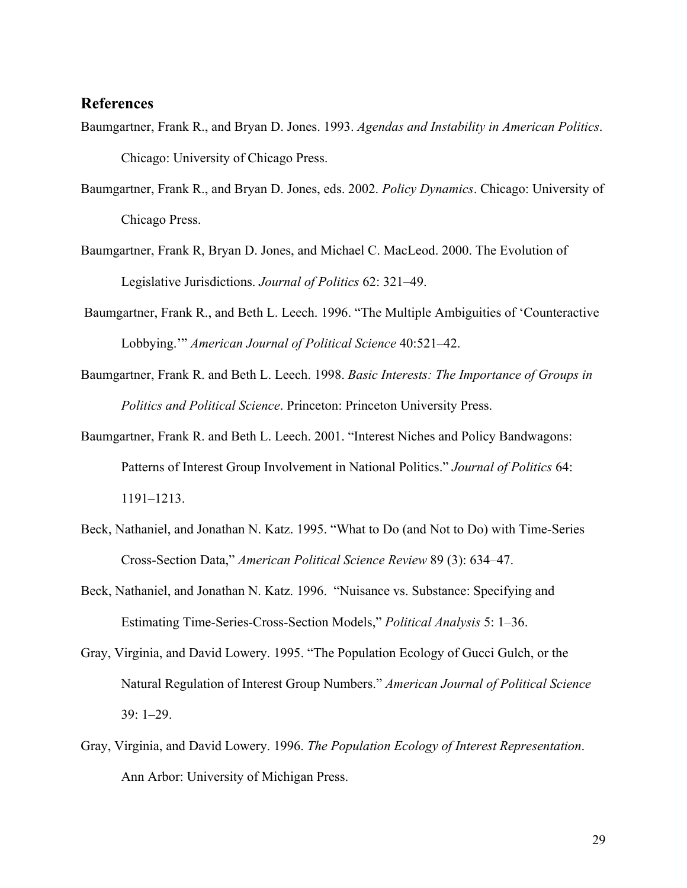## **References**

- Baumgartner, Frank R., and Bryan D. Jones. 1993. *Agendas and Instability in American Politics*. Chicago: University of Chicago Press.
- Baumgartner, Frank R., and Bryan D. Jones, eds. 2002. *Policy Dynamics*. Chicago: University of Chicago Press.
- Baumgartner, Frank R, Bryan D. Jones, and Michael C. MacLeod. 2000. The Evolution of Legislative Jurisdictions. *Journal of Politics* 62: 321–49.
- Baumgartner, Frank R., and Beth L. Leech. 1996. "The Multiple Ambiguities of 'Counteractive Lobbying.'" *American Journal of Political Science* 40:521–42.
- Baumgartner, Frank R. and Beth L. Leech. 1998. *Basic Interests: The Importance of Groups in Politics and Political Science*. Princeton: Princeton University Press.
- Baumgartner, Frank R. and Beth L. Leech. 2001. "Interest Niches and Policy Bandwagons: Patterns of Interest Group Involvement in National Politics." *Journal of Politics* 64: 1191–1213.
- Beck, Nathaniel, and Jonathan N. Katz. 1995. "What to Do (and Not to Do) with Time-Series Cross-Section Data," *American Political Science Review* 89 (3): 634–47.
- Beck, Nathaniel, and Jonathan N. Katz. 1996. "Nuisance vs. Substance: Specifying and Estimating Time-Series-Cross-Section Models," *Political Analysis* 5: 1–36.
- Gray, Virginia, and David Lowery. 1995. "The Population Ecology of Gucci Gulch, or the Natural Regulation of Interest Group Numbers." *American Journal of Political Science* 39: 1–29.
- Gray, Virginia, and David Lowery. 1996. *The Population Ecology of Interest Representation*. Ann Arbor: University of Michigan Press.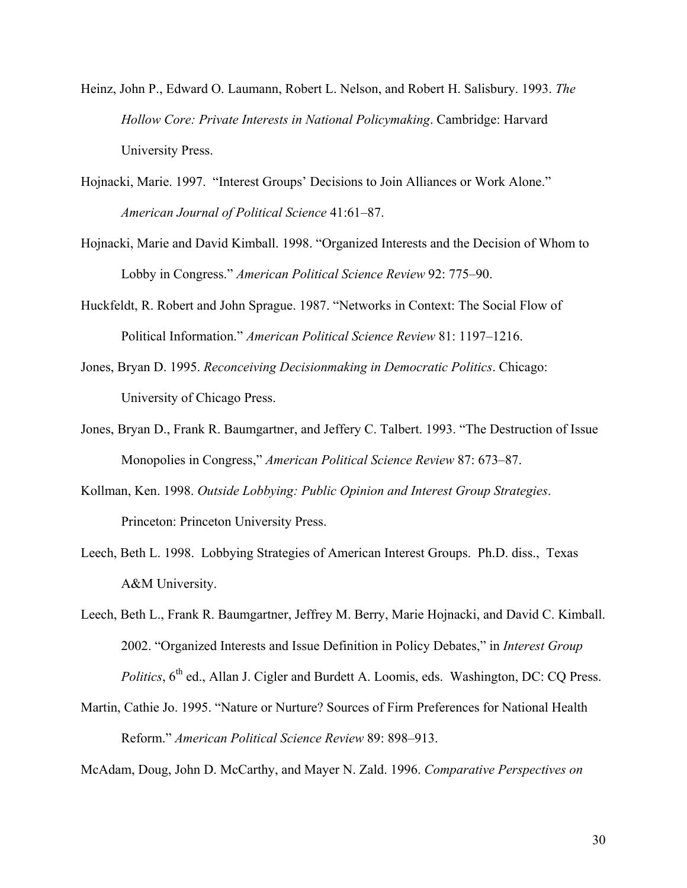- Heinz, John P., Edward O. Laumann, Robert L. Nelson, and Robert H. Salisbury. 1993. *The Hollow Core: Private Interests in National Policymaking*. Cambridge: Harvard University Press.
- Hojnacki, Marie. 1997. "Interest Groups' Decisions to Join Alliances or Work Alone." *American Journal of Political Science* 41:61–87.
- Hojnacki, Marie and David Kimball. 1998. "Organized Interests and the Decision of Whom to Lobby in Congress." *American Political Science Review* 92: 775–90.
- Huckfeldt, R. Robert and John Sprague. 1987. "Networks in Context: The Social Flow of Political Information." *American Political Science Review* 81: 1197–1216.
- Jones, Bryan D. 1995. *Reconceiving Decisionmaking in Democratic Politics*. Chicago: University of Chicago Press.
- Jones, Bryan D., Frank R. Baumgartner, and Jeffery C. Talbert. 1993. "The Destruction of Issue Monopolies in Congress," *American Political Science Review* 87: 673–87.
- Kollman, Ken. 1998. *Outside Lobbying: Public Opinion and Interest Group Strategies*. Princeton: Princeton University Press.
- Leech, Beth L. 1998. Lobbying Strategies of American Interest Groups. Ph.D. diss., Texas A&M University.
- Leech, Beth L., Frank R. Baumgartner, Jeffrey M. Berry, Marie Hojnacki, and David C. Kimball. 2002. "Organized Interests and Issue Definition in Policy Debates," in *Interest Group Politics*,  $6<sup>th</sup>$  ed., Allan J. Cigler and Burdett A. Loomis, eds. Washington, DC: CQ Press.
- Martin, Cathie Jo. 1995. "Nature or Nurture? Sources of Firm Preferences for National Health Reform." *American Political Science Review* 89: 898–913.

McAdam, Doug, John D. McCarthy, and Mayer N. Zald. 1996. *Comparative Perspectives on*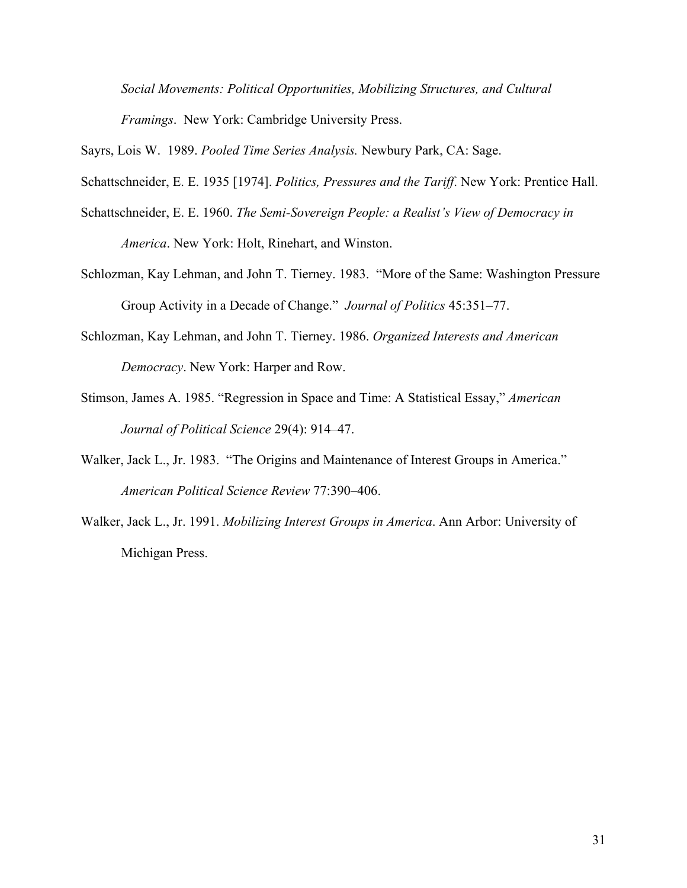*Social Movements: Political Opportunities, Mobilizing Structures, and Cultural* 

*Framings*. New York: Cambridge University Press.

Sayrs, Lois W. 1989. *Pooled Time Series Analysis.* Newbury Park, CA: Sage.

Schattschneider, E. E. 1935 [1974]. *Politics, Pressures and the Tariff*. New York: Prentice Hall.

- Schattschneider, E. E. 1960. *The Semi-Sovereign People: a Realist's View of Democracy in America*. New York: Holt, Rinehart, and Winston.
- Schlozman, Kay Lehman, and John T. Tierney. 1983. "More of the Same: Washington Pressure Group Activity in a Decade of Change." *Journal of Politics* 45:351–77.
- Schlozman, Kay Lehman, and John T. Tierney. 1986. *Organized Interests and American Democracy*. New York: Harper and Row.
- Stimson, James A. 1985. "Regression in Space and Time: A Statistical Essay," *American Journal of Political Science* 29(4): 914–47.
- Walker, Jack L., Jr. 1983. "The Origins and Maintenance of Interest Groups in America." *American Political Science Review* 77:390–406.
- Walker, Jack L., Jr. 1991. *Mobilizing Interest Groups in America*. Ann Arbor: University of Michigan Press.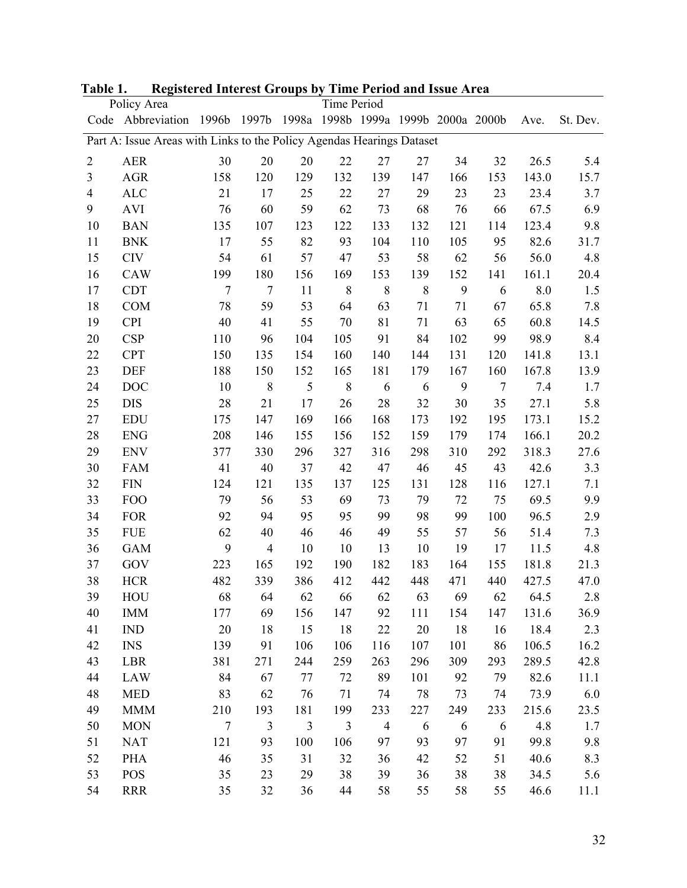|                | Policy Area                                                           |                |                |                                     | Time Period    |                |     |     |        |       |          |
|----------------|-----------------------------------------------------------------------|----------------|----------------|-------------------------------------|----------------|----------------|-----|-----|--------|-------|----------|
|                | Code Abbreviation                                                     | 1996b          | 1997b          | 1998a 1998b 1999a 1999b 2000a 2000b |                |                |     |     |        | Ave.  | St. Dev. |
|                | Part A: Issue Areas with Links to the Policy Agendas Hearings Dataset |                |                |                                     |                |                |     |     |        |       |          |
| $\overline{2}$ | <b>AER</b>                                                            | 30             | 20             | 20                                  | 22             | 27             | 27  | 34  | 32     | 26.5  | 5.4      |
| 3              | <b>AGR</b>                                                            | 158            | 120            | 129                                 | 132            | 139            | 147 | 166 | 153    | 143.0 | 15.7     |
| $\overline{4}$ | <b>ALC</b>                                                            | 21             | 17             | 25                                  | 22             | 27             | 29  | 23  | 23     | 23.4  | 3.7      |
| 9              | <b>AVI</b>                                                            | 76             | 60             | 59                                  | 62             | 73             | 68  | 76  | 66     | 67.5  | 6.9      |
| 10             | <b>BAN</b>                                                            | 135            | 107            | 123                                 | 122            | 133            | 132 | 121 | 114    | 123.4 | 9.8      |
| 11             | <b>BNK</b>                                                            | 17             | 55             | 82                                  | 93             | 104            | 110 | 105 | 95     | 82.6  | 31.7     |
| 15             | <b>CIV</b>                                                            | 54             | 61             | 57                                  | 47             | 53             | 58  | 62  | 56     | 56.0  | 4.8      |
| 16             | <b>CAW</b>                                                            | 199            | 180            | 156                                 | 169            | 153            | 139 | 152 | 141    | 161.1 | 20.4     |
| 17             | <b>CDT</b>                                                            | $\overline{7}$ | $\overline{7}$ | 11                                  | 8              | 8              | 8   | 9   | 6      | 8.0   | 1.5      |
| 18             | <b>COM</b>                                                            | 78             | 59             | 53                                  | 64             | 63             | 71  | 71  | 67     | 65.8  | 7.8      |
| 19             | <b>CPI</b>                                                            | 40             | 41             | 55                                  | 70             | 81             | 71  | 63  | 65     | 60.8  | 14.5     |
| 20             | <b>CSP</b>                                                            | 110            | 96             | 104                                 | 105            | 91             | 84  | 102 | 99     | 98.9  | 8.4      |
| 22             | <b>CPT</b>                                                            | 150            | 135            | 154                                 | 160            | 140            | 144 | 131 | 120    | 141.8 | 13.1     |
| 23             | <b>DEF</b>                                                            | 188            | 150            | 152                                 | 165            | 181            | 179 | 167 | 160    | 167.8 | 13.9     |
| 24             | <b>DOC</b>                                                            | 10             | $\,$ 8 $\,$    | 5                                   | 8              | 6              | 6   | 9   | $\tau$ | 7.4   | 1.7      |
| 25             | <b>DIS</b>                                                            | 28             | 21             | 17                                  | 26             | 28             | 32  | 30  | 35     | 27.1  | 5.8      |
| 27             | <b>EDU</b>                                                            | 175            | 147            | 169                                 | 166            | 168            | 173 | 192 | 195    | 173.1 | 15.2     |
| 28             | <b>ENG</b>                                                            | 208            | 146            | 155                                 | 156            | 152            | 159 | 179 | 174    | 166.1 | 20.2     |
| 29             | <b>ENV</b>                                                            | 377            | 330            | 296                                 | 327            | 316            | 298 | 310 | 292    | 318.3 | 27.6     |
| 30             | <b>FAM</b>                                                            | 41             | 40             | 37                                  | 42             | 47             | 46  | 45  | 43     | 42.6  | 3.3      |
| 32             | <b>FIN</b>                                                            | 124            | 121            | 135                                 | 137            | 125            | 131 | 128 | 116    | 127.1 | 7.1      |
| 33             | <b>FOO</b>                                                            | 79             | 56             | 53                                  | 69             | 73             | 79  | 72  | 75     | 69.5  | 9.9      |
| 34             | <b>FOR</b>                                                            | 92             | 94             | 95                                  | 95             | 99             | 98  | 99  | 100    | 96.5  | 2.9      |
| 35             | <b>FUE</b>                                                            | 62             | 40             | 46                                  | 46             | 49             | 55  | 57  | 56     | 51.4  | 7.3      |
| 36             | <b>GAM</b>                                                            | 9              | $\overline{4}$ | 10                                  | 10             | 13             | 10  | 19  | 17     | 11.5  | 4.8      |
| 37             | GOV                                                                   | 223            | 165            | 192                                 | 190            | 182            | 183 | 164 | 155    | 181.8 | 21.3     |
| 38             | <b>HCR</b>                                                            | 482            | 339            | 386                                 | 412            | 442            | 448 | 471 | 440    | 427.5 | 47.0     |
| 39             | HOU                                                                   | 68             | 64             | 62                                  | 66             | 62             | 63  | 69  | 62     | 64.5  | 2.8      |
| 40             | <b>IMM</b>                                                            | 177            | 69             | 156                                 | 147            | 92             | 111 | 154 | 147    | 131.6 | 36.9     |
| 41             | <b>IND</b>                                                            | 20             | 18             | 15                                  | 18             | 22             | 20  | 18  | 16     | 18.4  | 2.3      |
| 42             | <b>INS</b>                                                            | 139            | 91             | 106                                 | 106            | 116            | 107 | 101 | 86     | 106.5 | 16.2     |
| 43             | LBR                                                                   | 381            | 271            | 244                                 | 259            | 263            | 296 | 309 | 293    | 289.5 | 42.8     |
| 44             | <b>LAW</b>                                                            | 84             | 67             | 77                                  | 72             | 89             | 101 | 92  | 79     | 82.6  | 11.1     |
| 48             | <b>MED</b>                                                            | 83             | 62             | 76                                  | 71             | 74             | 78  | 73  | 74     | 73.9  | 6.0      |
| 49             | <b>MMM</b>                                                            | 210            | 193            | 181                                 | 199            | 233            | 227 | 249 | 233    | 215.6 | 23.5     |
| 50             | <b>MON</b>                                                            | $\overline{7}$ | $\mathfrak{Z}$ | $\overline{3}$                      | $\mathfrak{Z}$ | $\overline{4}$ | 6   | 6   | 6      | 4.8   | 1.7      |
| 51             | <b>NAT</b>                                                            | 121            | 93             | 100                                 | 106            | 97             | 93  | 97  | 91     | 99.8  | 9.8      |
| 52             | <b>PHA</b>                                                            | 46             | 35             | 31                                  | 32             | 36             | 42  | 52  | 51     | 40.6  | 8.3      |
| 53             | <b>POS</b>                                                            | 35             | 23             | 29                                  | 38             | 39             | 36  | 38  | 38     | 34.5  | 5.6      |
| 54             | <b>RRR</b>                                                            | 35             | 32             | 36                                  | 44             | 58             | 55  | 58  | 55     | 46.6  | 11.1     |

**Table 1. Registered Interest Groups by Time Period and Issue Area**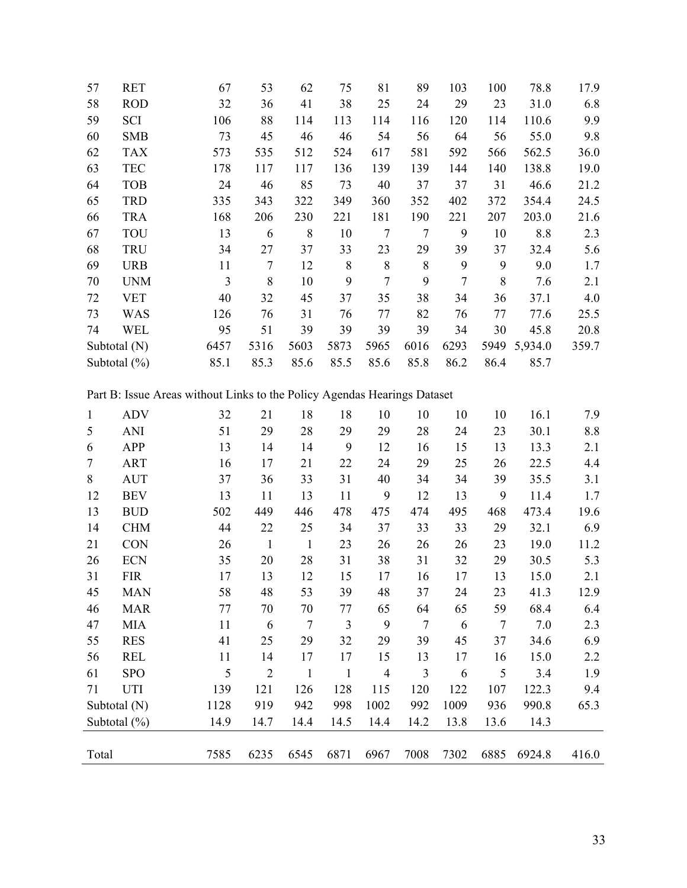| 57 | <b>RET</b>       | 67   | 53   | 62   | 75   | 81   | 89   | 103            | 100  | 78.8    | 17.9  |
|----|------------------|------|------|------|------|------|------|----------------|------|---------|-------|
| 58 | <b>ROD</b>       | 32   | 36   | 41   | 38   | 25   | 24   | 29             | 23   | 31.0    | 6.8   |
| 59 | SCI              | 106  | 88   | 114  | 113  | 114  | 116  | 120            | 114  | 110.6   | 9.9   |
| 60 | <b>SMB</b>       | 73   | 45   | 46   | 46   | 54   | 56   | 64             | 56   | 55.0    | 9.8   |
| 62 | <b>TAX</b>       | 573  | 535  | 512  | 524  | 617  | 581  | 592            | 566  | 562.5   | 36.0  |
| 63 | <b>TEC</b>       | 178  | 117  | 117  | 136  | 139  | 139  | 144            | 140  | 138.8   | 19.0  |
| 64 | <b>TOB</b>       | 24   | 46   | 85   | 73   | 40   | 37   | 37             | 31   | 46.6    | 21.2  |
| 65 | <b>TRD</b>       | 335  | 343  | 322  | 349  | 360  | 352  | 402            | 372  | 354.4   | 24.5  |
| 66 | <b>TRA</b>       | 168  | 206  | 230  | 221  | 181  | 190  | 221            | 207  | 203.0   | 21.6  |
| 67 | <b>TOU</b>       | 13   | 6    | 8    | 10   | 7    | 7    | 9              | 10   | 8.8     | 2.3   |
| 68 | <b>TRU</b>       | 34   | 27   | 37   | 33   | 23   | 29   | 39             | 37   | 32.4    | 5.6   |
| 69 | <b>URB</b>       | 11   | 7    | 12   | 8    | 8    | 8    | 9              | 9    | 9.0     | 1.7   |
| 70 | <b>UNM</b>       | 3    | 8    | 10   | 9    | 7    | 9    | $\overline{7}$ | 8    | 7.6     | 2.1   |
| 72 | <b>VET</b>       | 40   | 32   | 45   | 37   | 35   | 38   | 34             | 36   | 37.1    | 4.0   |
| 73 | <b>WAS</b>       | 126  | 76   | 31   | 76   | 77   | 82   | 76             | 77   | 77.6    | 25.5  |
| 74 | <b>WEL</b>       | 95   | 51   | 39   | 39   | 39   | 39   | 34             | 30   | 45.8    | 20.8  |
|    | Subtotal (N)     | 6457 | 5316 | 5603 | 5873 | 5965 | 6016 | 6293           | 5949 | 5,934.0 | 359.7 |
|    | Subtotal $(\% )$ | 85.1 | 85.3 | 85.6 | 85.5 | 85.6 | 85.8 | 86.2           | 86.4 | 85.7    |       |

Part B: Issue Areas without Links to the Policy Agendas Hearings Dataset

| $\mathbf{1}$ | <b>ADV</b>       | 32   | 21             | 18             | 18           | 10             | 10     | 10   | 10             | 16.1   | 7.9   |
|--------------|------------------|------|----------------|----------------|--------------|----------------|--------|------|----------------|--------|-------|
| 5            | <b>ANI</b>       | 51   | 29             | 28             | 29           | 29             | 28     | 24   | 23             | 30.1   | 8.8   |
| 6            | APP              | 13   | 14             | 14             | 9            | 12             | 16     | 15   | 13             | 13.3   | 2.1   |
| $\tau$       | <b>ART</b>       | 16   | 17             | 21             | 22           | 24             | 29     | 25   | 26             | 22.5   | 4.4   |
| 8            | <b>AUT</b>       | 37   | 36             | 33             | 31           | 40             | 34     | 34   | 39             | 35.5   | 3.1   |
| 12           | <b>BEV</b>       | 13   | 11             | 13             | 11           | 9              | 12     | 13   | 9              | 11.4   | 1.7   |
| 13           | <b>BUD</b>       | 502  | 449            | 446            | 478          | 475            | 474    | 495  | 468            | 473.4  | 19.6  |
| 14           | <b>CHM</b>       | 44   | 22             | 25             | 34           | 37             | 33     | 33   | 29             | 32.1   | 6.9   |
| 21           | <b>CON</b>       | 26   | 1              | $\mathbf{1}$   | 23           | 26             | 26     | 26   | 23             | 19.0   | 11.2  |
| 26           | <b>ECN</b>       | 35   | 20             | 28             | 31           | 38             | 31     | 32   | 29             | 30.5   | 5.3   |
| 31           | <b>FIR</b>       | 17   | 13             | 12             | 15           | 17             | 16     | 17   | 13             | 15.0   | 2.1   |
| 45           | <b>MAN</b>       | 58   | 48             | 53             | 39           | 48             | 37     | 24   | 23             | 41.3   | 12.9  |
| 46           | <b>MAR</b>       | 77   | 70             | 70             | 77           | 65             | 64     | 65   | 59             | 68.4   | 6.4   |
| 47           | <b>MIA</b>       | 11   | 6              | $\overline{7}$ | 3            | 9              | $\tau$ | 6    | $\overline{7}$ | 7.0    | 2.3   |
| 55           | <b>RES</b>       | 41   | 25             | 29             | 32           | 29             | 39     | 45   | 37             | 34.6   | 6.9   |
| 56           | <b>REL</b>       | 11   | 14             | 17             | 17           | 15             | 13     | 17   | 16             | 15.0   | 2.2   |
| 61           | <b>SPO</b>       | 5    | $\overline{2}$ | $\mathbf{1}$   | $\mathbf{1}$ | $\overline{4}$ | 3      | 6    | 5              | 3.4    | 1.9   |
| 71           | UTI              | 139  | 121            | 126            | 128          | 115            | 120    | 122  | 107            | 122.3  | 9.4   |
|              | Subtotal (N)     | 1128 | 919            | 942            | 998          | 1002           | 992    | 1009 | 936            | 990.8  | 65.3  |
|              | Subtotal $(\% )$ | 14.9 | 14.7           | 14.4           | 14.5         | 14.4           | 14.2   | 13.8 | 13.6           | 14.3   |       |
|              |                  |      |                |                |              |                |        |      |                |        |       |
| Total        |                  | 7585 | 6235           | 6545           | 6871         | 6967           | 7008   | 7302 | 6885           | 6924.8 | 416.0 |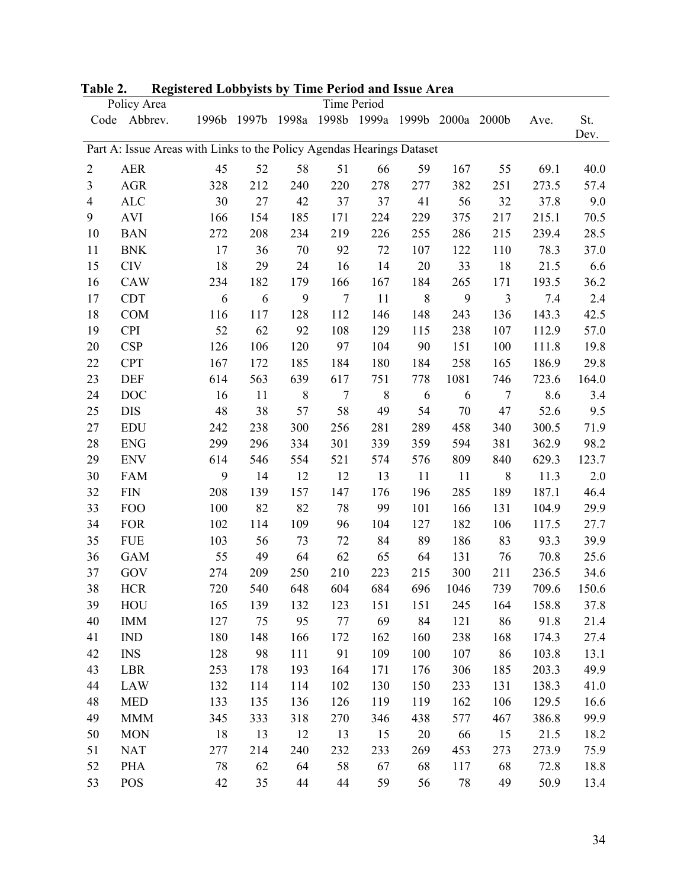|                | Policy Area                                                           |       |       |                |                | Time Period |       |      |                |       |             |
|----------------|-----------------------------------------------------------------------|-------|-------|----------------|----------------|-------------|-------|------|----------------|-------|-------------|
|                | Code Abbrev.                                                          | 1996b | 1997b | 1998a          | 1998b          | 1999a       | 1999b |      | 2000a 2000b    | Ave.  | St.<br>Dev. |
|                | Part A: Issue Areas with Links to the Policy Agendas Hearings Dataset |       |       |                |                |             |       |      |                |       |             |
| $\overline{2}$ | <b>AER</b>                                                            | 45    | 52    | 58             | 51             | 66          | 59    | 167  | 55             | 69.1  | 40.0        |
| 3              | <b>AGR</b>                                                            | 328   | 212   | 240            | 220            | 278         | 277   | 382  | 251            | 273.5 | 57.4        |
| $\overline{4}$ | <b>ALC</b>                                                            | 30    | 27    | 42             | 37             | 37          | 41    | 56   | 32             | 37.8  | 9.0         |
| 9              | <b>AVI</b>                                                            | 166   | 154   | 185            | 171            | 224         | 229   | 375  | 217            | 215.1 | 70.5        |
| 10             | <b>BAN</b>                                                            | 272   | 208   | 234            | 219            | 226         | 255   | 286  | 215            | 239.4 | 28.5        |
| 11             | <b>BNK</b>                                                            | 17    | 36    | 70             | 92             | 72          | 107   | 122  | 110            | 78.3  | 37.0        |
| 15             | <b>CIV</b>                                                            | 18    | 29    | 24             | 16             | 14          | 20    | 33   | 18             | 21.5  | 6.6         |
| 16             | CAW                                                                   | 234   | 182   | 179            | 166            | 167         | 184   | 265  | 171            | 193.5 | 36.2        |
| 17             | <b>CDT</b>                                                            | 6     | 6     | 9              | $\overline{7}$ | 11          | 8     | 9    | $\mathfrak{Z}$ | 7.4   | 2.4         |
| 18             | <b>COM</b>                                                            | 116   | 117   | 128            | 112            | 146         | 148   | 243  | 136            | 143.3 | 42.5        |
| 19             | <b>CPI</b>                                                            | 52    | 62    | 92             | 108            | 129         | 115   | 238  | 107            | 112.9 | 57.0        |
| 20             | <b>CSP</b>                                                            | 126   | 106   | 120            | 97             | 104         | 90    | 151  | 100            | 111.8 | 19.8        |
| 22             | <b>CPT</b>                                                            | 167   | 172   | 185            | 184            | 180         | 184   | 258  | 165            | 186.9 | 29.8        |
| 23             | <b>DEF</b>                                                            | 614   | 563   | 639            | 617            | 751         | 778   | 1081 | 746            | 723.6 | 164.0       |
| 24             | <b>DOC</b>                                                            | 16    | 11    | $8\phantom{1}$ | $\tau$         | 8           | 6     | 6    | $\tau$         | 8.6   | 3.4         |
| 25             | <b>DIS</b>                                                            | 48    | 38    | 57             | 58             | 49          | 54    | 70   | 47             | 52.6  | 9.5         |
| 27             | <b>EDU</b>                                                            | 242   | 238   | 300            | 256            | 281         | 289   | 458  | 340            | 300.5 | 71.9        |
| 28             | <b>ENG</b>                                                            | 299   | 296   | 334            | 301            | 339         | 359   | 594  | 381            | 362.9 | 98.2        |
| 29             | <b>ENV</b>                                                            | 614   | 546   | 554            | 521            | 574         | 576   | 809  | 840            | 629.3 | 123.7       |
| 30             | <b>FAM</b>                                                            | 9     | 14    | 12             | 12             | 13          | 11    | 11   | 8              | 11.3  | $2.0$       |
| 32             | <b>FIN</b>                                                            | 208   | 139   | 157            | 147            | 176         | 196   | 285  | 189            | 187.1 | 46.4        |
| 33             | <b>FOO</b>                                                            | 100   | 82    | 82             | 78             | 99          | 101   | 166  | 131            | 104.9 | 29.9        |
| 34             | <b>FOR</b>                                                            | 102   | 114   | 109            | 96             | 104         | 127   | 182  | 106            | 117.5 | 27.7        |
| 35             | <b>FUE</b>                                                            | 103   | 56    | 73             | 72             | 84          | 89    | 186  | 83             | 93.3  | 39.9        |
| 36             | <b>GAM</b>                                                            | 55    | 49    | 64             | 62             | 65          | 64    | 131  | 76             | 70.8  | 25.6        |
| 37             | GOV                                                                   | 274   | 209   | 250            | 210            | 223         | 215   | 300  | 211            | 236.5 | 34.6        |
| 38             | <b>HCR</b>                                                            | 720   | 540   | 648            | 604            | 684         | 696   | 1046 | 739            | 709.6 | 150.6       |
| 39             | HOU                                                                   | 165   | 139   | 132            | 123            | 151         | 151   | 245  | 164            | 158.8 | 37.8        |
| 40             | <b>IMM</b>                                                            | 127   | 75    | 95             | 77             | 69          | 84    | 121  | 86             | 91.8  | 21.4        |
| 41             | <b>IND</b>                                                            | 180   | 148   | 166            | 172            | 162         | 160   | 238  | 168            | 174.3 | 27.4        |
| 42             | <b>INS</b>                                                            | 128   | 98    | 111            | 91             | 109         | 100   | 107  | 86             | 103.8 | 13.1        |
| 43             | <b>LBR</b>                                                            | 253   | 178   | 193            | 164            | 171         | 176   | 306  | 185            | 203.3 | 49.9        |
| 44             | <b>LAW</b>                                                            | 132   | 114   | 114            | 102            | 130         | 150   | 233  | 131            | 138.3 | 41.0        |
| 48             | <b>MED</b>                                                            | 133   | 135   | 136            | 126            | 119         | 119   | 162  | 106            | 129.5 | 16.6        |
| 49             | <b>MMM</b>                                                            | 345   | 333   | 318            | 270            | 346         | 438   | 577  | 467            | 386.8 | 99.9        |
| 50             | <b>MON</b>                                                            | 18    | 13    | 12             | 13             | 15          | 20    | 66   | 15             | 21.5  | 18.2        |
| 51             | <b>NAT</b>                                                            | 277   | 214   | 240            | 232            | 233         | 269   | 453  | 273            | 273.9 | 75.9        |
| 52             | <b>PHA</b>                                                            | 78    | 62    | 64             | 58             | 67          | 68    | 117  | 68             | 72.8  | 18.8        |
| 53             | POS                                                                   | 42    | 35    | 44             | 44             | 59          | 56    | 78   | 49             | 50.9  | 13.4        |

# **Table 2. Registered Lobbyists by Time Period and Issue Area**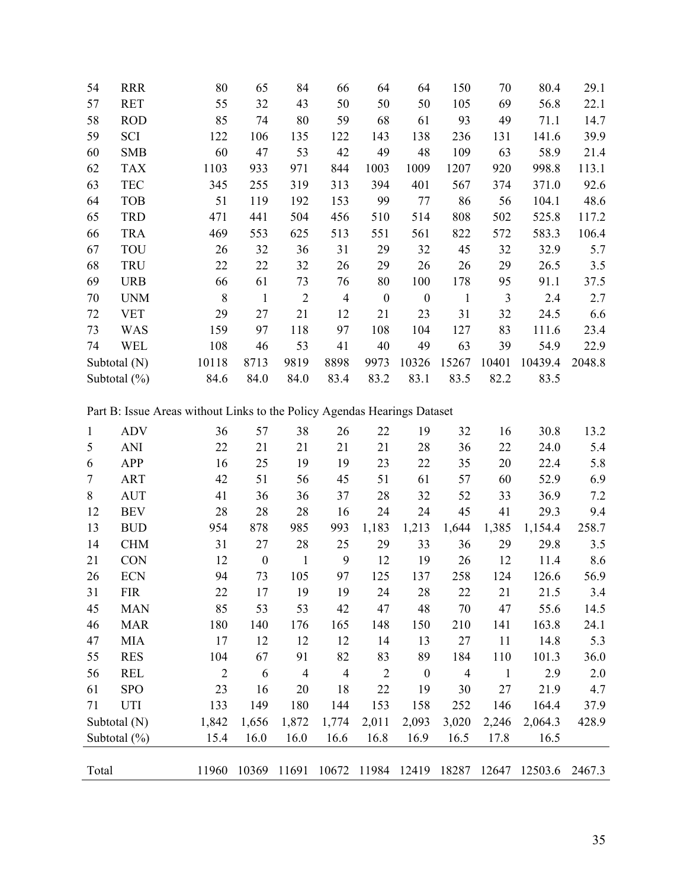| 54 | <b>RRR</b>       | 80    | 65   | 84             | 66             | 64               | 64       | 150   | 70    | 80.4    | 29.1   |
|----|------------------|-------|------|----------------|----------------|------------------|----------|-------|-------|---------|--------|
| 57 | <b>RET</b>       | 55    | 32   | 43             | 50             | 50               | 50       | 105   | 69    | 56.8    | 22.1   |
| 58 | <b>ROD</b>       | 85    | 74   | 80             | 59             | 68               | 61       | 93    | 49    | 71.1    | 14.7   |
| 59 | <b>SCI</b>       | 122   | 106  | 135            | 122            | 143              | 138      | 236   | 131   | 141.6   | 39.9   |
| 60 | <b>SMB</b>       | 60    | 47   | 53             | 42             | 49               | 48       | 109   | 63    | 58.9    | 21.4   |
| 62 | <b>TAX</b>       | 1103  | 933  | 971            | 844            | 1003             | 1009     | 1207  | 920   | 998.8   | 113.1  |
| 63 | <b>TEC</b>       | 345   | 255  | 319            | 313            | 394              | 401      | 567   | 374   | 371.0   | 92.6   |
| 64 | <b>TOB</b>       | 51    | 119  | 192            | 153            | 99               | 77       | 86    | 56    | 104.1   | 48.6   |
| 65 | <b>TRD</b>       | 471   | 441  | 504            | 456            | 510              | 514      | 808   | 502   | 525.8   | 117.2  |
| 66 | <b>TRA</b>       | 469   | 553  | 625            | 513            | 551              | 561      | 822   | 572   | 583.3   | 106.4  |
| 67 | TOU              | 26    | 32   | 36             | 31             | 29               | 32       | 45    | 32    | 32.9    | 5.7    |
| 68 | <b>TRU</b>       | 22    | 22   | 32             | 26             | 29               | 26       | 26    | 29    | 26.5    | 3.5    |
| 69 | <b>URB</b>       | 66    | 61   | 73             | 76             | 80               | 100      | 178   | 95    | 91.1    | 37.5   |
| 70 | <b>UNM</b>       | 8     | 1    | $\overline{2}$ | $\overline{4}$ | $\boldsymbol{0}$ | $\theta$ | 1     | 3     | 2.4     | 2.7    |
| 72 | <b>VET</b>       | 29    | 27   | 21             | 12             | 21               | 23       | 31    | 32    | 24.5    | 6.6    |
| 73 | <b>WAS</b>       | 159   | 97   | 118            | 97             | 108              | 104      | 127   | 83    | 111.6   | 23.4   |
| 74 | <b>WEL</b>       | 108   | 46   | 53             | 41             | 40               | 49       | 63    | 39    | 54.9    | 22.9   |
|    | Subtotal (N)     | 10118 | 8713 | 9819           | 8898           | 9973             | 10326    | 15267 | 10401 | 10439.4 | 2048.8 |
|    | Subtotal $(\% )$ | 84.6  | 84.0 | 84.0           | 83.4           | 83.2             | 83.1     | 83.5  | 82.2  | 83.5    |        |

Part B: Issue Areas without Links to the Policy Agendas Hearings Dataset

| $\mathbf{1}$ | <b>ADV</b>      | 36             | 57               | 38             | 26             | 22             | 19       | 32    | 16    | 30.8    | 13.2   |
|--------------|-----------------|----------------|------------------|----------------|----------------|----------------|----------|-------|-------|---------|--------|
| 5            | <b>ANI</b>      | 22             | 21               | 21             | 21             | 21             | 28       | 36    | 22    | 24.0    | 5.4    |
| 6            | <b>APP</b>      | 16             | 25               | 19             | 19             | 23             | 22       | 35    | 20    | 22.4    | 5.8    |
| $\tau$       | <b>ART</b>      | 42             | 51               | 56             | 45             | 51             | 61       | 57    | 60    | 52.9    | 6.9    |
| 8            | <b>AUT</b>      | 41             | 36               | 36             | 37             | 28             | 32       | 52    | 33    | 36.9    | 7.2    |
| 12           | <b>BEV</b>      | 28             | 28               | 28             | 16             | 24             | 24       | 45    | 41    | 29.3    | 9.4    |
| 13           | <b>BUD</b>      | 954            | 878              | 985            | 993            | 1,183          | 1,213    | 1,644 | 1,385 | 1,154.4 | 258.7  |
| 14           | <b>CHM</b>      | 31             | 27               | 28             | 25             | 29             | 33       | 36    | 29    | 29.8    | 3.5    |
| 21           | <b>CON</b>      | 12             | $\boldsymbol{0}$ | $\mathbf{1}$   | 9              | 12             | 19       | 26    | 12    | 11.4    | 8.6    |
| 26           | <b>ECN</b>      | 94             | 73               | 105            | 97             | 125            | 137      | 258   | 124   | 126.6   | 56.9   |
| 31           | <b>FIR</b>      | 22             | 17               | 19             | 19             | 24             | 28       | 22    | 21    | 21.5    | 3.4    |
| 45           | <b>MAN</b>      | 85             | 53               | 53             | 42             | 47             | 48       | 70    | 47    | 55.6    | 14.5   |
| 46           | <b>MAR</b>      | 180            | 140              | 176            | 165            | 148            | 150      | 210   | 141   | 163.8   | 24.1   |
| 47           | <b>MIA</b>      | 17             | 12               | 12             | 12             | 14             | 13       | 27    | 11    | 14.8    | 5.3    |
| 55           | <b>RES</b>      | 104            | 67               | 91             | 82             | 83             | 89       | 184   | 110   | 101.3   | 36.0   |
| 56           | <b>REL</b>      | $\overline{2}$ | 6                | $\overline{4}$ | $\overline{4}$ | $\overline{2}$ | $\theta$ | 4     | 1     | 2.9     | 2.0    |
| 61           | <b>SPO</b>      | 23             | 16               | 20             | 18             | 22             | 19       | 30    | 27    | 21.9    | 4.7    |
| 71           | <b>UTI</b>      | 133            | 149              | 180            | 144            | 153            | 158      | 252   | 146   | 164.4   | 37.9   |
|              | Subtotal (N)    | 1,842          | 1,656            | 1,872          | 1,774          | 2,011          | 2,093    | 3,020 | 2,246 | 2,064.3 | 428.9  |
|              | Subtotal $(\%)$ | 15.4           | 16.0             | 16.0           | 16.6           | 16.8           | 16.9     | 16.5  | 17.8  | 16.5    |        |
|              |                 |                |                  |                |                |                |          |       |       |         |        |
| Total        |                 | 11960          | 10369            | 11691          | 10672          | 11984          | 12419    | 18287 | 12647 | 12503.6 | 2467.3 |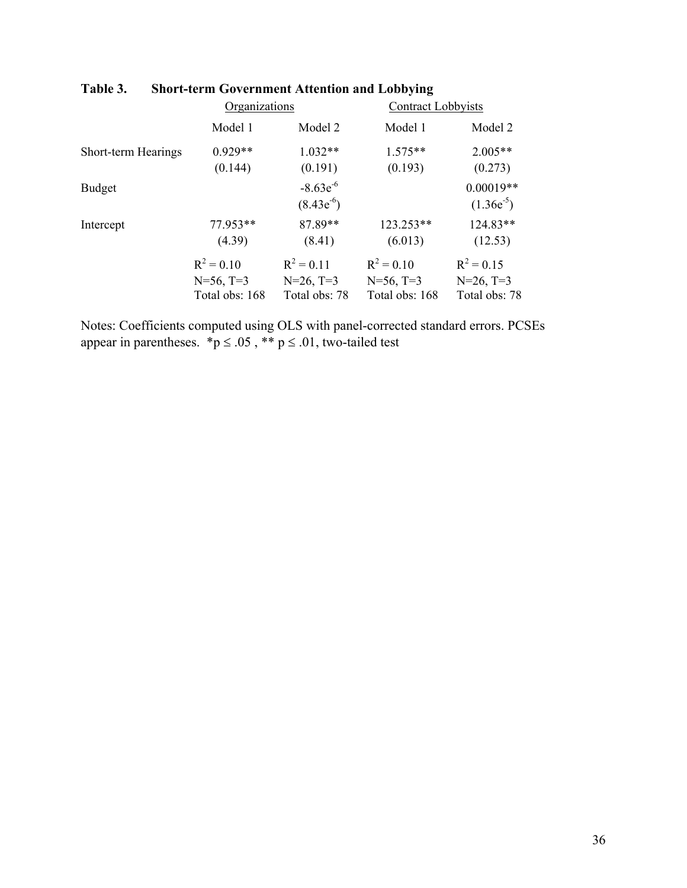|                     | Organizations  |                                 | Contract Lobbyists |                               |  |  |
|---------------------|----------------|---------------------------------|--------------------|-------------------------------|--|--|
|                     | Model 1        | Model 2                         | Model 1            | Model 2                       |  |  |
| Short-term Hearings | $0.929**$      | $1.032**$                       | $1.575**$          | $2.005**$                     |  |  |
|                     | (0.144)        | (0.191)                         | (0.193)            | (0.273)                       |  |  |
| <b>Budget</b>       |                | $-8.63e^{-6}$<br>$(8.43e^{-6})$ |                    | $0.00019**$<br>$(1.36e^{-5})$ |  |  |
| Intercept           | 77.953**       | 87.89**                         | $123.253**$        | 124.83**                      |  |  |
|                     | (4.39)         | (8.41)                          | (6.013)            | (12.53)                       |  |  |
|                     | $R^2 = 0.10$   | $R^2 = 0.11$                    | $R^2 = 0.10$       | $R^2 = 0.15$                  |  |  |
|                     | $N=56$ , T=3   | $N=26$ , T=3                    | $N=56$ , T=3       | $N=26$ , T=3                  |  |  |
|                     | Total obs: 168 | Total obs: 78                   | Total obs: 168     | Total obs: 78                 |  |  |

# **Table 3. Short-term Government Attention and Lobbying**

Notes: Coefficients computed using OLS with panel-corrected standard errors. PCSEs appear in parentheses.  $\overrightarrow{p} \leq .05$ ,  $\overrightarrow{**}$   $p \leq .01$ , two-tailed test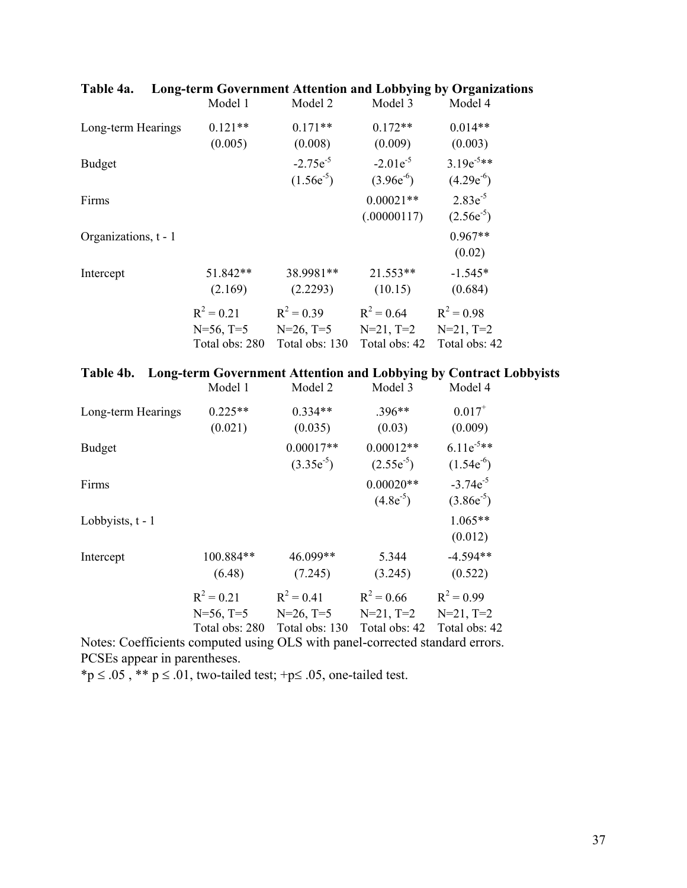|                      | Model 1                                        | Model 2                                          | Model 3                                         | Model 4                                         |
|----------------------|------------------------------------------------|--------------------------------------------------|-------------------------------------------------|-------------------------------------------------|
| Long-term Hearings   | $0.121**$<br>(0.005)                           | $0.171**$<br>(0.008)                             | $0.172**$<br>(0.009)                            | $0.014**$<br>(0.003)                            |
| <b>Budget</b>        |                                                | $-2.75e^{-5}$<br>$(1.56e^{-5})$                  | $-2.01e^{-5}$<br>$(3.96e^{-6})$                 | $3.19e^{-5**}$<br>$(4.29e^{-6})$                |
| Firms                |                                                |                                                  | $0.00021**$<br>(.00000117)                      | $2.83e^{-5}$<br>$(2.56e^{-5})$                  |
| Organizations, t - 1 |                                                |                                                  |                                                 | $0.967**$<br>(0.02)                             |
| Intercept            | 51.842**<br>(2.169)                            | 38.9981**<br>(2.2293)                            | $21.553**$<br>(10.15)                           | $-1.545*$<br>(0.684)                            |
|                      | $R^2 = 0.21$<br>$N=56$ , T=5<br>Total obs: 280 | $R^2 = 0.39$<br>$N=26$ , $T=5$<br>Total obs: 130 | $R^2 = 0.64$<br>$N=21$ , $T=2$<br>Total obs: 42 | $R^2 = 0.98$<br>$N=21$ , $T=2$<br>Total obs: 42 |

## **Table 4a. Long-term Government Attention and Lobbying by Organizations**

|  |  |  | Table 4b. Long-term Government Attention and Lobbying by Contract Lobbyists |  |
|--|--|--|-----------------------------------------------------------------------------|--|
|  |  |  |                                                                             |  |

|                    | Model 1                                       | Model 2                                        | Model 3                                      | Model 4                                         |
|--------------------|-----------------------------------------------|------------------------------------------------|----------------------------------------------|-------------------------------------------------|
| Long-term Hearings | $0.225**$<br>(0.021)                          | $0.334**$<br>(0.035)                           | $.396**$<br>(0.03)                           | $0.017^{+}$<br>(0.009)                          |
| <b>Budget</b>      |                                               | $0.00017**$<br>$(3.35e^{-5})$                  | $0.00012**$<br>$(2.55e^{-5})$                | $6.11e^{-5**}$<br>$(1.54e^{-6})$                |
| Firms              |                                               |                                                | $0.00020**$<br>$(4.8e^{-5})$                 | $-3.74e^{-5}$<br>$(3.86e^{-5})$                 |
| Lobbyists, $t - 1$ |                                               |                                                |                                              | $1.065**$<br>(0.012)                            |
| Intercept          | 100.884**<br>(6.48)                           | 46.099**<br>(7.245)                            | 5.344<br>(3.245)                             | $-4.594**$<br>(0.522)                           |
|                    | $R^2 = 0.21$<br>$N=56, T=5$<br>Total obs: 280 | $R^2 = 0.41$<br>$N=26$ , T=5<br>Total obs: 130 | $R^2 = 0.66$<br>$N=21, T=2$<br>Total obs: 42 | $R^2 = 0.99$<br>$N=21$ , $T=2$<br>Total obs: 42 |

Notes: Coefficients computed using OLS with panel-corrected standard errors. PCSEs appear in parentheses.

\*p  $\leq$  .05, \*\* p  $\leq$  .01, two-tailed test; +p $\leq$  .05, one-tailed test.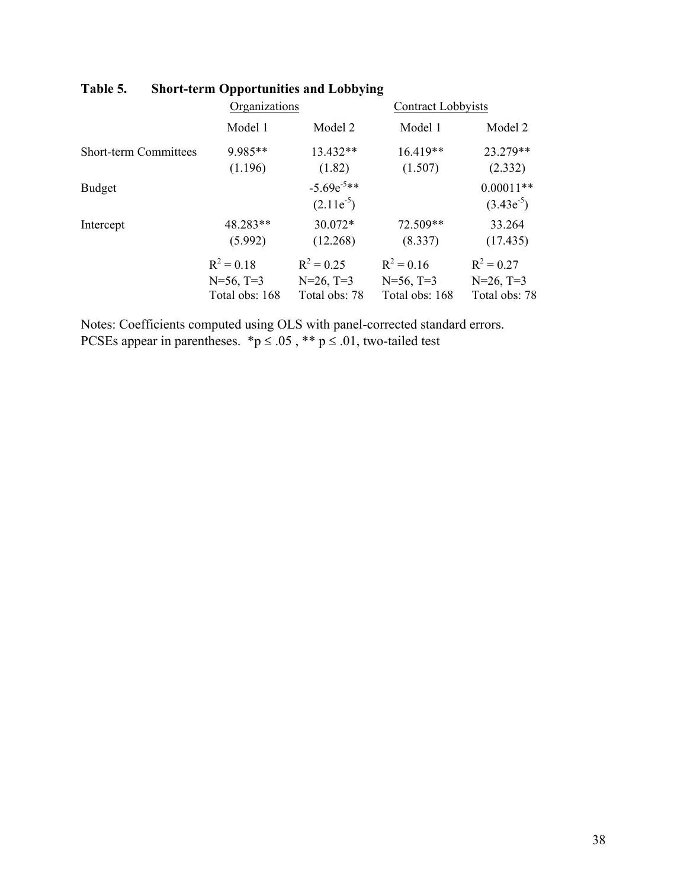|                              | Organizations  |                                   | <b>Contract Lobbyists</b> |                               |
|------------------------------|----------------|-----------------------------------|---------------------------|-------------------------------|
|                              | Model 1        | Model 2                           | Model 1                   | Model 2                       |
| <b>Short-term Committees</b> | 9.985**        | 13.432**                          | $16.419**$                | 23.279**                      |
|                              | (1.196)        | (1.82)                            | (1.507)                   | (2.332)                       |
| <b>Budget</b>                |                | $-5.69e^{-5**}$<br>$(2.11e^{-5})$ |                           | $0.00011**$<br>$(3.43e^{-5})$ |
| Intercept                    | 48.283**       | 30.072*                           | 72.509**                  | 33.264                        |
|                              | (5.992)        | (12.268)                          | (8.337)                   | (17.435)                      |
|                              | $R^2 = 0.18$   | $R^2 = 0.25$                      | $R^2 = 0.16$              | $R^2 = 0.27$                  |
|                              | $N=56$ , T=3   | $N=26$ , T=3                      | $N=56$ , T=3              | $N=26$ , T=3                  |
|                              | Total obs: 168 | Total obs: 78                     | Total obs: 168            | Total obs: 78                 |

# **Table 5. Short-term Opportunities and Lobbying**

Notes: Coefficients computed using OLS with panel-corrected standard errors. PCSEs appear in parentheses. \*p  $\leq .05$ , \*\*p  $\leq .01$ , two-tailed test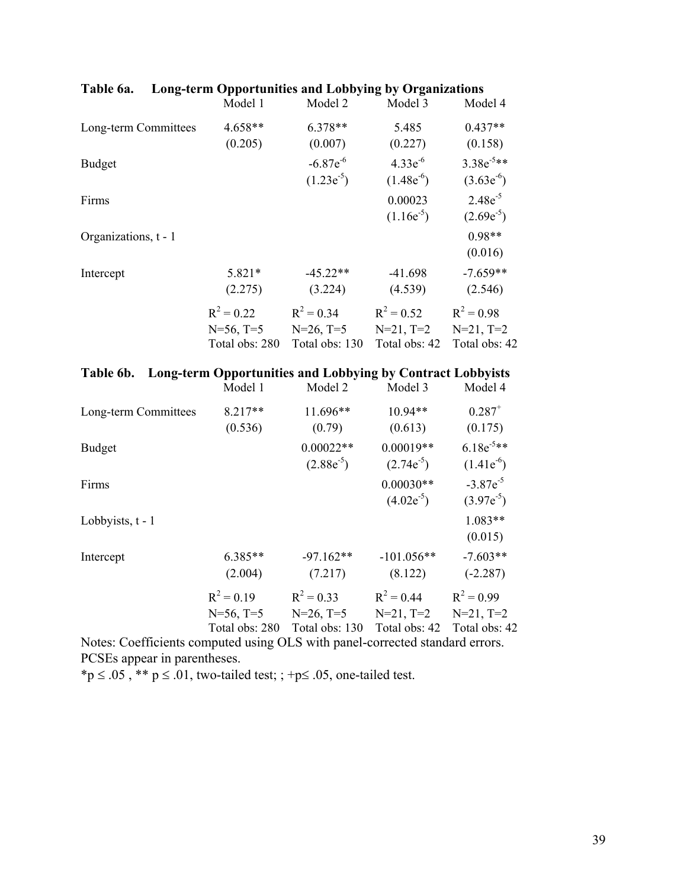|                                                                      | Model 1                                       | Model 2                                          | Model 3                                         | Model 4                                         |
|----------------------------------------------------------------------|-----------------------------------------------|--------------------------------------------------|-------------------------------------------------|-------------------------------------------------|
| Long-term Committees                                                 | 4.658**<br>(0.205)                            | $6.378**$<br>(0.007)                             | 5.485<br>(0.227)                                | $0.437**$<br>(0.158)                            |
| <b>Budget</b>                                                        |                                               | $-6.87e^{-6}$<br>$(1.23e^{-5})$                  | $4.33e^{-6}$<br>$(1.48e^{-6})$                  | $3.38e^{-5**}$<br>$(3.63e^{-6})$                |
| Firms                                                                |                                               |                                                  | 0.00023<br>$(1.16e^{-5})$                       | $2.48e^{-5}$<br>$(2.69e^{-5})$                  |
| Organizations, t - 1                                                 |                                               |                                                  |                                                 | $0.98**$<br>(0.016)                             |
| Intercept                                                            | 5.821*<br>(2.275)                             | $-45.22**$<br>(3.224)                            | $-41.698$<br>(4.539)                            | $-7.659**$<br>(2.546)                           |
|                                                                      | $R^2 = 0.22$<br>$N=56, T=5$<br>Total obs: 280 | $R^2 = 0.34$<br>$N=26$ , $T=5$<br>Total obs: 130 | $R^2 = 0.52$<br>$N=21$ , $T=2$<br>Total obs: 42 | $R^2 = 0.98$<br>$N=21$ , $T=2$<br>Total obs: 42 |
| Table 6b. Long-term Opportunities and Lobbying by Contract Lobbyists | Model 1                                       | Model 2                                          | Model 3                                         | Model 4                                         |
|                                                                      |                                               |                                                  |                                                 |                                                 |
| Long-term Committees                                                 | 8.217**<br>(0.536)                            | 11.696**<br>(0.79)                               | $10.94**$<br>(0.613)                            | $0.287^{+}$<br>(0.175)                          |
| <b>Budget</b>                                                        |                                               | $0.00022**$<br>$(2.88e^{-5})$                    | $0.00019**$<br>$(2.74e^{-5})$                   | $6.18e^{-5**}$<br>$(1.41e^{-6})$                |
| Firms                                                                |                                               |                                                  | $0.00030**$<br>$(4.02e^{-5})$                   | $-3.87e^{-5}$<br>$(3.97e^{-5})$                 |
| Lobbyists, $t - 1$                                                   |                                               |                                                  |                                                 | $1.083**$<br>(0.015)                            |
| Intercept                                                            | 6.385**<br>(2.004)                            | $-97.162**$<br>(7.217)                           | $-101.056**$<br>(8.122)                         | $-7.603**$<br>$(-2.287)$                        |

## **Table 6a. Long-term Opportunities and Lobbying by Organizations**

Total obs: 280 Total obs: 130 Total obs: 42 Total obs: 42 Notes: Coefficients computed using OLS with panel-corrected standard errors. PCSEs appear in parentheses.

\*p  $\leq$  .05, \*\* p  $\leq$  .01, two-tailed test; ; +p $\leq$  .05, one-tailed test.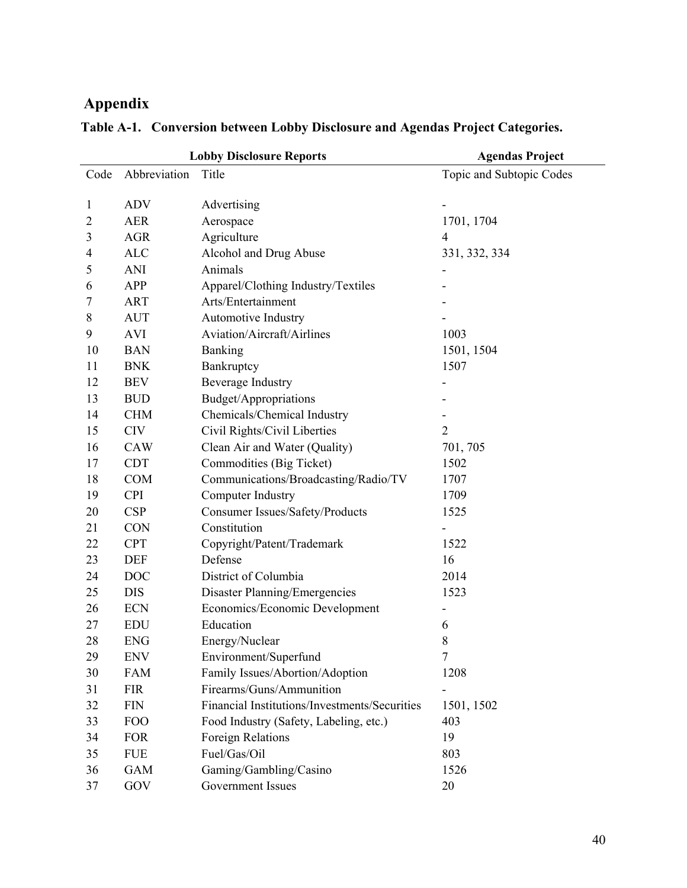# **Appendix**

|                |              | <b>Lobby Disclosure Reports</b>               | <b>Agendas Project</b>   |
|----------------|--------------|-----------------------------------------------|--------------------------|
| Code           | Abbreviation | Title                                         | Topic and Subtopic Codes |
|                |              |                                               |                          |
| $\mathbf{1}$   | <b>ADV</b>   | Advertising                                   |                          |
| $\overline{2}$ | <b>AER</b>   | Aerospace                                     | 1701, 1704               |
| 3              | <b>AGR</b>   | Agriculture                                   | 4                        |
| 4              | <b>ALC</b>   | Alcohol and Drug Abuse                        | 331, 332, 334            |
| 5              | ANI          | Animals                                       |                          |
| 6              | APP          | Apparel/Clothing Industry/Textiles            |                          |
| 7              | <b>ART</b>   | Arts/Entertainment                            |                          |
| 8              | <b>AUT</b>   | Automotive Industry                           |                          |
| 9              | <b>AVI</b>   | Aviation/Aircraft/Airlines                    | 1003                     |
| 10             | <b>BAN</b>   | Banking                                       | 1501, 1504               |
| 11             | <b>BNK</b>   | Bankruptcy                                    | 1507                     |
| 12             | <b>BEV</b>   | <b>Beverage Industry</b>                      |                          |
| 13             | <b>BUD</b>   | Budget/Appropriations                         |                          |
| 14             | <b>CHM</b>   | Chemicals/Chemical Industry                   |                          |
| 15             | <b>CIV</b>   | Civil Rights/Civil Liberties                  | $\overline{2}$           |
| 16             | <b>CAW</b>   | Clean Air and Water (Quality)                 | 701, 705                 |
| 17             | <b>CDT</b>   | Commodities (Big Ticket)                      | 1502                     |
| 18             | <b>COM</b>   | Communications/Broadcasting/Radio/TV          | 1707                     |
| 19             | <b>CPI</b>   | Computer Industry                             | 1709                     |
| 20             | <b>CSP</b>   | Consumer Issues/Safety/Products               | 1525                     |
| 21             | <b>CON</b>   | Constitution                                  |                          |
| 22             | <b>CPT</b>   | Copyright/Patent/Trademark                    | 1522                     |
| 23             | <b>DEF</b>   | Defense                                       | 16                       |
| 24             | <b>DOC</b>   | District of Columbia                          | 2014                     |
| 25             | <b>DIS</b>   | Disaster Planning/Emergencies                 | 1523                     |
| 26             | <b>ECN</b>   | Economics/Economic Development                |                          |
| 27             | <b>EDU</b>   | Education                                     | 6                        |
| 28             | <b>ENG</b>   | Energy/Nuclear                                | 8                        |
| 29             | <b>ENV</b>   | Environment/Superfund                         | 7                        |
| 30             | <b>FAM</b>   | Family Issues/Abortion/Adoption               | 1208                     |
| 31             | <b>FIR</b>   | Firearms/Guns/Ammunition                      |                          |
| 32             | <b>FIN</b>   | Financial Institutions/Investments/Securities | 1501, 1502               |
| 33             | <b>FOO</b>   | Food Industry (Safety, Labeling, etc.)        | 403                      |
| 34             | <b>FOR</b>   | Foreign Relations                             | 19                       |
| 35             | <b>FUE</b>   | Fuel/Gas/Oil                                  | 803                      |
| 36             | <b>GAM</b>   | Gaming/Gambling/Casino                        | 1526                     |
| 37             | GOV          | Government Issues                             | 20                       |

# **Table A-1. Conversion between Lobby Disclosure and Agendas Project Categories.**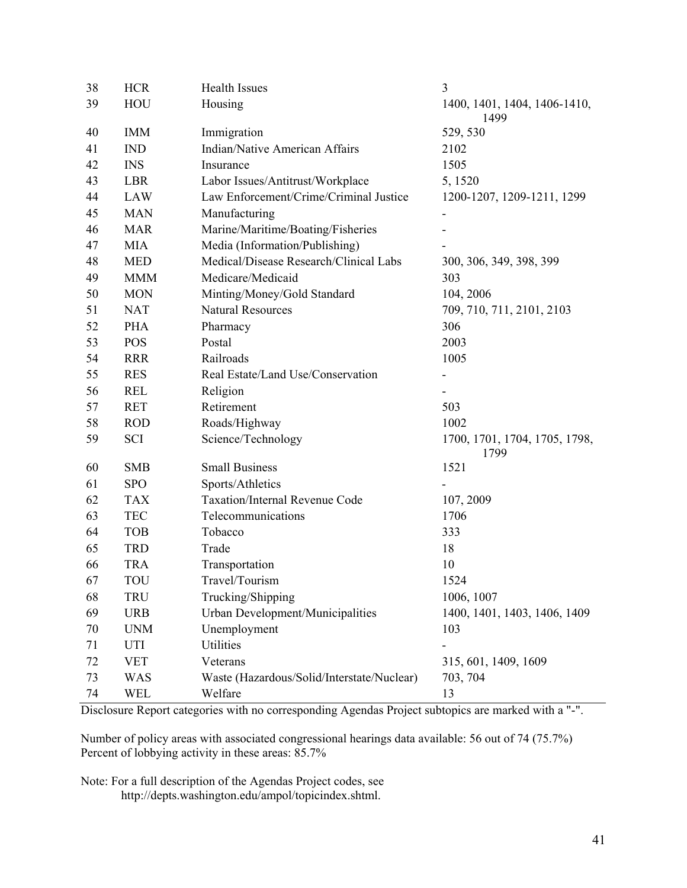| 38 | <b>HCR</b> | 3<br><b>Health Issues</b>                       |                                       |
|----|------------|-------------------------------------------------|---------------------------------------|
| 39 | HOU        | Housing<br>1400, 1401, 1404, 1406-1410,<br>1499 |                                       |
| 40 | <b>IMM</b> | Immigration                                     | 529, 530                              |
| 41 | <b>IND</b> | <b>Indian/Native American Affairs</b>           | 2102                                  |
| 42 | <b>INS</b> | Insurance                                       | 1505                                  |
| 43 | <b>LBR</b> | Labor Issues/Antitrust/Workplace                | 5, 1520                               |
| 44 | LAW        | Law Enforcement/Crime/Criminal Justice          | 1200-1207, 1209-1211, 1299            |
| 45 | <b>MAN</b> | Manufacturing                                   | $\qquad \qquad \blacksquare$          |
| 46 | <b>MAR</b> | Marine/Maritime/Boating/Fisheries               |                                       |
| 47 | <b>MIA</b> | Media (Information/Publishing)                  |                                       |
| 48 | <b>MED</b> | Medical/Disease Research/Clinical Labs          | 300, 306, 349, 398, 399               |
| 49 | <b>MMM</b> | Medicare/Medicaid                               | 303                                   |
| 50 | <b>MON</b> | Minting/Money/Gold Standard                     | 104, 2006                             |
| 51 | <b>NAT</b> | <b>Natural Resources</b>                        | 709, 710, 711, 2101, 2103             |
| 52 | <b>PHA</b> | Pharmacy                                        | 306                                   |
| 53 | <b>POS</b> | Postal                                          | 2003                                  |
| 54 | <b>RRR</b> | Railroads                                       | 1005                                  |
| 55 | <b>RES</b> | Real Estate/Land Use/Conservation               |                                       |
| 56 | <b>REL</b> | Religion                                        |                                       |
| 57 | <b>RET</b> | Retirement                                      | 503                                   |
| 58 | <b>ROD</b> | Roads/Highway                                   | 1002                                  |
| 59 | SCI        | Science/Technology                              | 1700, 1701, 1704, 1705, 1798,<br>1799 |
| 60 | <b>SMB</b> | <b>Small Business</b>                           | 1521                                  |
| 61 | <b>SPO</b> | Sports/Athletics                                |                                       |
| 62 | <b>TAX</b> | <b>Taxation/Internal Revenue Code</b>           | 107, 2009                             |
| 63 | <b>TEC</b> | Telecommunications                              | 1706                                  |
| 64 | <b>TOB</b> | Tobacco                                         | 333                                   |
| 65 | <b>TRD</b> | Trade                                           | 18                                    |
| 66 | <b>TRA</b> | Transportation                                  | 10                                    |
| 67 | TOU        | Travel/Tourism                                  | 1524                                  |
| 68 | TRU        | Trucking/Shipping                               | 1006, 1007                            |
| 69 | <b>URB</b> | Urban Development/Municipalities                | 1400, 1401, 1403, 1406, 1409          |
| 70 | <b>UNM</b> | Unemployment                                    | 103                                   |
| 71 | UTI        | <b>Utilities</b>                                |                                       |
| 72 | <b>VET</b> | Veterans                                        | 315, 601, 1409, 1609                  |
| 73 | <b>WAS</b> | Waste (Hazardous/Solid/Interstate/Nuclear)      | 703, 704                              |
| 74 | WEL        | Welfare                                         | 13                                    |

Disclosure Report categories with no corresponding Agendas Project subtopics are marked with a "-".

Number of policy areas with associated congressional hearings data available: 56 out of 74 (75.7%) Percent of lobbying activity in these areas:  $85.7\%$ 

Note: For a full description of the Agendas Project codes, see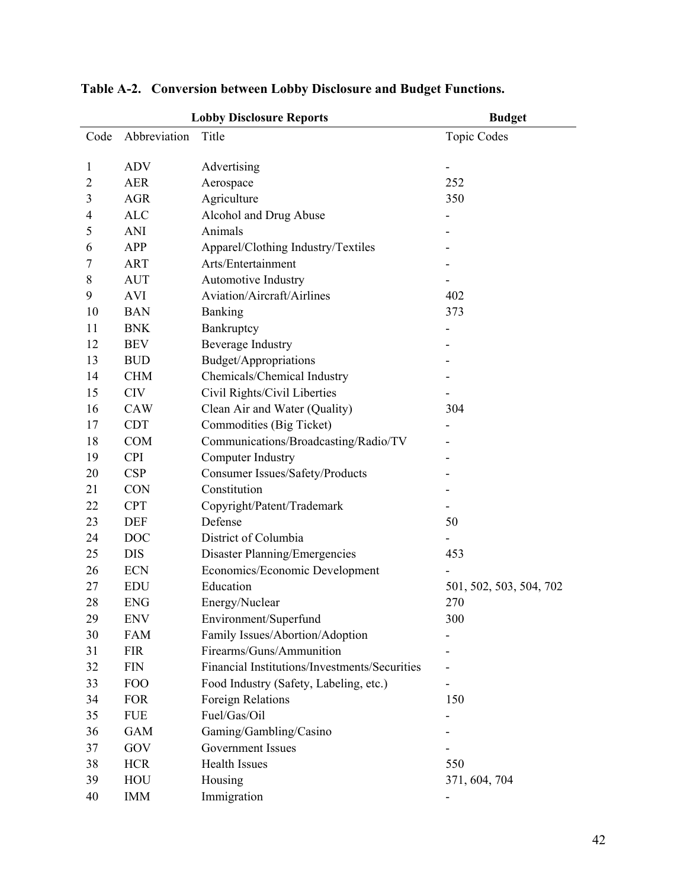| <b>Lobby Disclosure Reports</b><br><b>Budget</b> |              |                                               |                         |  |  |
|--------------------------------------------------|--------------|-----------------------------------------------|-------------------------|--|--|
| Code                                             | Abbreviation | Title                                         | <b>Topic Codes</b>      |  |  |
|                                                  |              |                                               |                         |  |  |
| 1                                                | <b>ADV</b>   | Advertising                                   | -                       |  |  |
| $\overline{2}$                                   | <b>AER</b>   | Aerospace<br>252                              |                         |  |  |
| 3                                                | <b>AGR</b>   | Agriculture                                   | 350                     |  |  |
| 4                                                | <b>ALC</b>   | Alcohol and Drug Abuse                        |                         |  |  |
| 5                                                | ANI          | Animals                                       |                         |  |  |
| 6                                                | <b>APP</b>   | Apparel/Clothing Industry/Textiles            |                         |  |  |
| 7                                                | ART          | Arts/Entertainment                            |                         |  |  |
| 8                                                | <b>AUT</b>   | <b>Automotive Industry</b>                    |                         |  |  |
| 9                                                | <b>AVI</b>   | Aviation/Aircraft/Airlines                    | 402                     |  |  |
| 10                                               | <b>BAN</b>   | <b>Banking</b>                                | 373                     |  |  |
| 11                                               | <b>BNK</b>   | Bankruptcy                                    | ۰                       |  |  |
| 12                                               | <b>BEV</b>   | <b>Beverage Industry</b>                      |                         |  |  |
| 13                                               | <b>BUD</b>   | Budget/Appropriations                         |                         |  |  |
| 14                                               | <b>CHM</b>   | Chemicals/Chemical Industry                   |                         |  |  |
| 15                                               | <b>CIV</b>   | Civil Rights/Civil Liberties                  |                         |  |  |
| 16                                               | <b>CAW</b>   | Clean Air and Water (Quality)                 | 304                     |  |  |
| 17                                               | <b>CDT</b>   | Commodities (Big Ticket)                      |                         |  |  |
| 18                                               | <b>COM</b>   | Communications/Broadcasting/Radio/TV          |                         |  |  |
| 19                                               | <b>CPI</b>   | Computer Industry                             |                         |  |  |
| 20                                               | CSP          | Consumer Issues/Safety/Products               |                         |  |  |
| 21                                               | <b>CON</b>   | Constitution                                  |                         |  |  |
| 22                                               | <b>CPT</b>   | Copyright/Patent/Trademark                    |                         |  |  |
| 23                                               | <b>DEF</b>   | Defense                                       | 50                      |  |  |
| 24                                               | <b>DOC</b>   | District of Columbia                          |                         |  |  |
| 25                                               | <b>DIS</b>   | <b>Disaster Planning/Emergencies</b>          | 453                     |  |  |
| 26                                               | <b>ECN</b>   | Economics/Economic Development                |                         |  |  |
| 27                                               | <b>EDU</b>   | Education                                     | 501, 502, 503, 504, 702 |  |  |
| 28                                               | <b>ENG</b>   | Energy/Nuclear                                | 270                     |  |  |
| 29                                               | <b>ENV</b>   | Environment/Superfund                         | 300                     |  |  |
| 30                                               | FAM          | Family Issues/Abortion/Adoption               |                         |  |  |
| 31                                               | <b>FIR</b>   | Firearms/Guns/Ammunition                      |                         |  |  |
| 32                                               | FIN          | Financial Institutions/Investments/Securities |                         |  |  |
| 33                                               | FOO          | Food Industry (Safety, Labeling, etc.)        |                         |  |  |
| 34                                               | <b>FOR</b>   | Foreign Relations                             | 150                     |  |  |
| 35                                               | <b>FUE</b>   | Fuel/Gas/Oil                                  |                         |  |  |
| 36                                               | GAM          | Gaming/Gambling/Casino                        |                         |  |  |
| 37                                               | GOV          | Government Issues                             |                         |  |  |
| 38                                               | <b>HCR</b>   | <b>Health Issues</b>                          | 550                     |  |  |
| 39                                               | HOU          | Housing                                       | 371, 604, 704           |  |  |
| 40                                               | <b>IMM</b>   | Immigration                                   |                         |  |  |

**Table A-2. Conversion between Lobby Disclosure and Budget Functions.**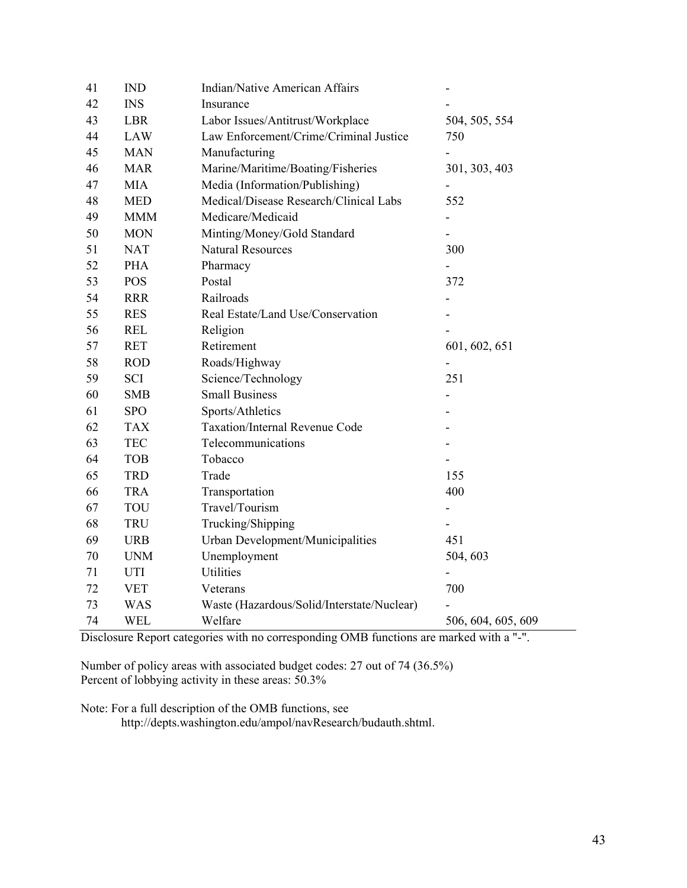| 41 | <b>IND</b> | Indian/Native American Affairs                     |                    |
|----|------------|----------------------------------------------------|--------------------|
| 42 | <b>INS</b> | Insurance                                          |                    |
| 43 | <b>LBR</b> | Labor Issues/Antitrust/Workplace<br>504, 505, 554  |                    |
| 44 | <b>LAW</b> | Law Enforcement/Crime/Criminal Justice<br>750      |                    |
| 45 | <b>MAN</b> | Manufacturing                                      |                    |
| 46 | <b>MAR</b> | Marine/Maritime/Boating/Fisheries<br>301, 303, 403 |                    |
| 47 | <b>MIA</b> | Media (Information/Publishing)                     |                    |
| 48 | <b>MED</b> | Medical/Disease Research/Clinical Labs             | 552                |
| 49 | <b>MMM</b> | Medicare/Medicaid                                  | ÷,                 |
| 50 | <b>MON</b> | Minting/Money/Gold Standard                        |                    |
| 51 | <b>NAT</b> | <b>Natural Resources</b>                           | 300                |
| 52 | <b>PHA</b> | Pharmacy                                           |                    |
| 53 | <b>POS</b> | Postal                                             | 372                |
| 54 | <b>RRR</b> | Railroads                                          |                    |
| 55 | <b>RES</b> | Real Estate/Land Use/Conservation                  |                    |
| 56 | <b>REL</b> | Religion                                           |                    |
| 57 | <b>RET</b> | Retirement<br>601, 602, 651                        |                    |
| 58 | <b>ROD</b> | Roads/Highway                                      |                    |
| 59 | SCI        | Science/Technology                                 | 251                |
| 60 | <b>SMB</b> | <b>Small Business</b>                              |                    |
| 61 | <b>SPO</b> | Sports/Athletics                                   |                    |
| 62 | <b>TAX</b> | Taxation/Internal Revenue Code                     |                    |
| 63 | <b>TEC</b> | Telecommunications                                 |                    |
| 64 | <b>TOB</b> | Tobacco                                            |                    |
| 65 | <b>TRD</b> | Trade                                              | 155                |
| 66 | <b>TRA</b> | Transportation                                     | 400                |
| 67 | <b>TOU</b> | Travel/Tourism                                     |                    |
| 68 | <b>TRU</b> | Trucking/Shipping                                  |                    |
| 69 | <b>URB</b> | Urban Development/Municipalities                   | 451                |
| 70 | <b>UNM</b> | Unemployment                                       | 504, 603           |
| 71 | UTI        | <b>Utilities</b>                                   |                    |
| 72 | <b>VET</b> | Veterans                                           | 700                |
| 73 | <b>WAS</b> | Waste (Hazardous/Solid/Interstate/Nuclear)         |                    |
| 74 | <b>WEL</b> | Welfare                                            | 506, 604, 605, 609 |

Disclosure Report categories with no corresponding OMB functions are marked with a "-".

Number of policy areas with associated budget codes: 27 out of 74 (36.5%) Percent of lobbying activity in these areas: 50.3%

Note: For a full description of the OMB functions, see

http://depts.washington.edu/ampol/navResearch/budauth.shtml.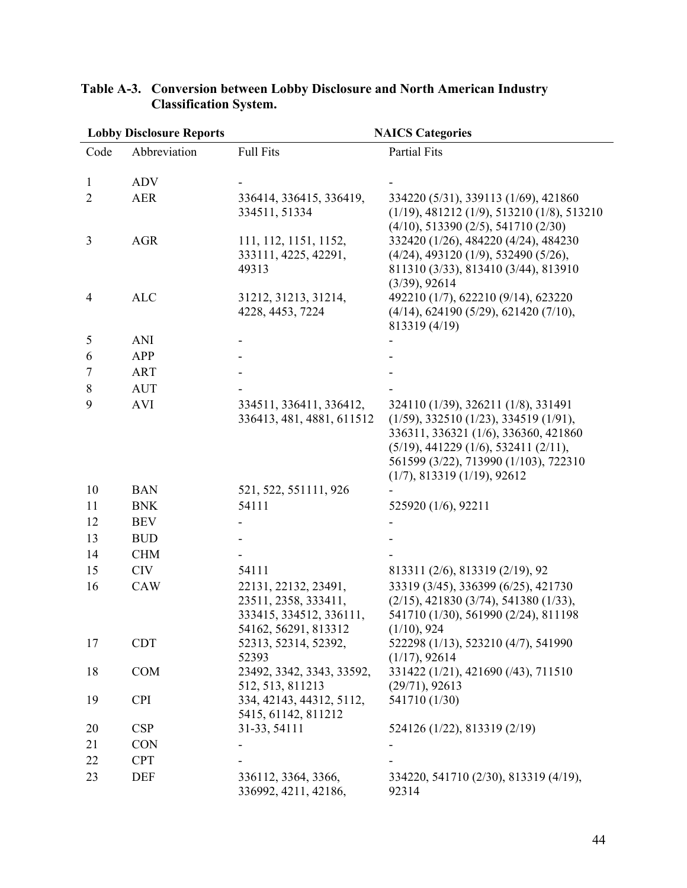| <b>Lobby Disclosure Reports</b> |              | <b>NAICS Categories</b>                         |                                                                                        |  |
|---------------------------------|--------------|-------------------------------------------------|----------------------------------------------------------------------------------------|--|
| Code                            | Abbreviation | <b>Full Fits</b>                                | <b>Partial Fits</b>                                                                    |  |
|                                 |              |                                                 |                                                                                        |  |
| $\mathbf{1}$                    | <b>ADV</b>   |                                                 |                                                                                        |  |
| $\overline{2}$                  | <b>AER</b>   | 336414, 336415, 336419,                         | 334220 (5/31), 339113 (1/69), 421860                                                   |  |
|                                 |              | 334511, 51334                                   | $(1/19)$ , 481212 $(1/9)$ , 513210 $(1/8)$ , 513210                                    |  |
|                                 |              |                                                 | $(4/10)$ , 513390 $(2/5)$ , 541710 $(2/30)$                                            |  |
| 3                               | <b>AGR</b>   | 111, 112, 1151, 1152,                           | 332420 (1/26), 484220 (4/24), 484230                                                   |  |
|                                 |              | 333111, 4225, 42291,<br>49313                   | $(4/24)$ , 493120 $(1/9)$ , 532490 $(5/26)$ ,<br>811310 (3/33), 813410 (3/44), 813910  |  |
|                                 |              |                                                 | (3/39), 92614                                                                          |  |
| $\overline{4}$                  | <b>ALC</b>   | 31212, 31213, 31214,                            | 492210 (1/7), 622210 (9/14), 623220                                                    |  |
|                                 |              | 4228, 4453, 7224                                | $(4/14)$ , 624190 (5/29), 621420 (7/10),                                               |  |
|                                 |              |                                                 | 813319 (4/19)                                                                          |  |
| 5                               | <b>ANI</b>   |                                                 |                                                                                        |  |
| 6                               | APP          |                                                 |                                                                                        |  |
| 7                               | <b>ART</b>   |                                                 |                                                                                        |  |
| 8                               | <b>AUT</b>   |                                                 |                                                                                        |  |
| 9                               | <b>AVI</b>   | 334511, 336411, 336412,                         | 324110 (1/39), 326211 (1/8), 331491                                                    |  |
|                                 |              | 336413, 481, 4881, 611512                       | (1/59), 332510 (1/23), 334519 (1/91),                                                  |  |
|                                 |              |                                                 | 336311, 336321 (1/6), 336360, 421860                                                   |  |
|                                 |              |                                                 | $(5/19)$ , 441229 $(1/6)$ , 532411 $(2/11)$ ,                                          |  |
|                                 |              |                                                 | 561599 (3/22), 713990 (1/103), 722310                                                  |  |
|                                 |              |                                                 | (1/7), 813319 (1/19), 92612                                                            |  |
| 10<br>11                        | <b>BAN</b>   | 521, 522, 551111, 926<br>54111                  |                                                                                        |  |
|                                 | <b>BNK</b>   |                                                 | 525920 (1/6), 92211                                                                    |  |
| 12                              | <b>BEV</b>   |                                                 |                                                                                        |  |
| 13                              | <b>BUD</b>   |                                                 |                                                                                        |  |
| 14                              | <b>CHM</b>   |                                                 |                                                                                        |  |
| 15                              | <b>CIV</b>   | 54111                                           | 813311 (2/6), 813319 (2/19), 92                                                        |  |
| 16                              | <b>CAW</b>   | 22131, 22132, 23491,                            | 33319 (3/45), 336399 (6/25), 421730                                                    |  |
|                                 |              | 23511, 2358, 333411,<br>333415, 334512, 336111, | $(2/15)$ , 421830 $(3/74)$ , 541380 $(1/33)$ ,<br>541710 (1/30), 561990 (2/24), 811198 |  |
|                                 |              | 54162, 56291, 813312                            | (1/10), 924                                                                            |  |
| 17                              | <b>CDT</b>   | 52313, 52314, 52392,                            | 522298 (1/13), 523210 (4/7), 541990                                                    |  |
|                                 |              | 52393                                           | (1/17), 92614                                                                          |  |
| 18                              | <b>COM</b>   | 23492, 3342, 3343, 33592,                       | 331422 (1/21), 421690 (/43), 711510                                                    |  |
|                                 |              | 512, 513, 811213                                | (29/71), 92613                                                                         |  |
| 19                              | <b>CPI</b>   | 334, 42143, 44312, 5112,                        | 541710 (1/30)                                                                          |  |
|                                 |              | 5415, 61142, 811212                             |                                                                                        |  |
| 20                              | <b>CSP</b>   | 31-33, 54111                                    | 524126 (1/22), 813319 (2/19)                                                           |  |
| 21                              | <b>CON</b>   |                                                 |                                                                                        |  |
| 22                              | <b>CPT</b>   |                                                 |                                                                                        |  |
| 23                              | DEF          | 336112, 3364, 3366,<br>336992, 4211, 42186,     | 334220, 541710 (2/30), 813319 (4/19),<br>92314                                         |  |

#### **Table A-3. Conversion between Lobby Disclosure and North American Industry Classification System.**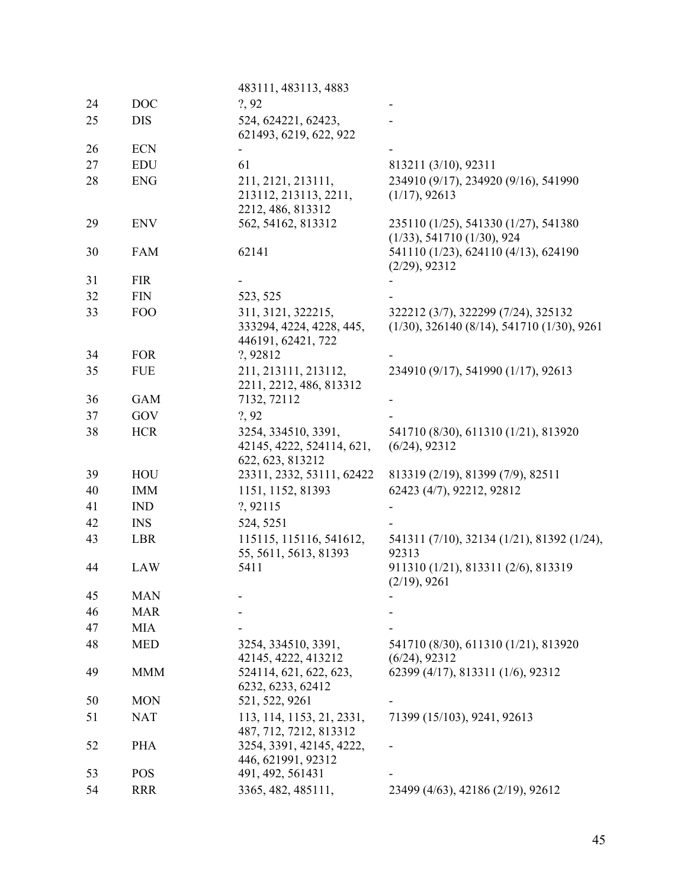|            | 483111, 483113, 4883                                                      |                                                                                                                                                  |
|------------|---------------------------------------------------------------------------|--------------------------------------------------------------------------------------------------------------------------------------------------|
| <b>DOC</b> | ?, 92                                                                     |                                                                                                                                                  |
| <b>DIS</b> | 524, 624221, 62423,                                                       |                                                                                                                                                  |
|            |                                                                           |                                                                                                                                                  |
|            |                                                                           | 813211 (3/10), 92311                                                                                                                             |
| <b>ENG</b> | 211, 2121, 213111,<br>213112, 213113, 2211,                               | 234910 (9/17), 234920 (9/16), 541990<br>(1/17), 92613                                                                                            |
| <b>ENV</b> | 562, 54162, 813312                                                        | 235110 (1/25), 541330 (1/27), 541380<br>(1/33), 541710 (1/30), 924                                                                               |
| <b>FAM</b> | 62141                                                                     | 541110 (1/23), 624110 (4/13), 624190<br>(2/29), 92312                                                                                            |
| <b>FIR</b> |                                                                           |                                                                                                                                                  |
| <b>FIN</b> |                                                                           |                                                                                                                                                  |
| <b>FOO</b> | 311, 3121, 322215,<br>333294, 4224, 4228, 445,<br>446191, 62421, 722      | 322212 (3/7), 322299 (7/24), 325132<br>$(1/30), 326140 (8/14), 541710 (1/30), 9261$                                                              |
|            |                                                                           |                                                                                                                                                  |
|            | 2211, 2212, 486, 813312                                                   | 234910 (9/17), 541990 (1/17), 92613                                                                                                              |
|            |                                                                           |                                                                                                                                                  |
|            |                                                                           |                                                                                                                                                  |
| <b>HCR</b> | 3254, 334510, 3391,<br>42145, 4222, 524114, 621,<br>622, 623, 813212      | 541710 (8/30), 611310 (1/21), 813920<br>$(6/24)$ , 92312                                                                                         |
| HOU        | 23311, 2332, 53111, 62422                                                 | 813319 (2/19), 81399 (7/9), 82511                                                                                                                |
| <b>IMM</b> | 1151, 1152, 81393                                                         | 62423 (4/7), 92212, 92812                                                                                                                        |
| <b>IND</b> | ?, 92115                                                                  |                                                                                                                                                  |
| <b>INS</b> | 524, 5251                                                                 |                                                                                                                                                  |
| LBR        | 115115, 115116, 541612,<br>55, 5611, 5613, 81393                          | 541311 (7/10), 32134 (1/21), 81392 (1/24),<br>92313                                                                                              |
| LAW        | 5411                                                                      | 911310 (1/21), 813311 (2/6), 813319<br>(2/19), 9261                                                                                              |
| <b>MAN</b> |                                                                           |                                                                                                                                                  |
| <b>MAR</b> |                                                                           |                                                                                                                                                  |
| <b>MIA</b> |                                                                           |                                                                                                                                                  |
| <b>MED</b> | 3254, 334510, 3391,                                                       | 541710 (8/30), 611310 (1/21), 813920<br>$(6/24)$ , 92312                                                                                         |
| <b>MMM</b> | 524114, 621, 622, 623,<br>6232, 6233, 62412                               | 62399 (4/17), 813311 (1/6), 92312                                                                                                                |
| <b>MON</b> | 521, 522, 9261                                                            |                                                                                                                                                  |
| <b>NAT</b> | 113, 114, 1153, 21, 2331,<br>487, 712, 7212, 813312                       | 71399 (15/103), 9241, 92613                                                                                                                      |
| <b>PHA</b> | 3254, 3391, 42145, 4222,<br>446, 621991, 92312                            |                                                                                                                                                  |
| <b>POS</b> | 491, 492, 561431                                                          |                                                                                                                                                  |
| <b>RRR</b> | 3365, 482, 485111,                                                        | 23499 (4/63), 42186 (2/19), 92612                                                                                                                |
|            | <b>ECN</b><br><b>EDU</b><br><b>FOR</b><br><b>FUE</b><br><b>GAM</b><br>GOV | 621493, 6219, 622, 922<br>61<br>2212, 486, 813312<br>523, 525<br>?, 92812<br>211, 213111, 213112,<br>7132, 72112<br>?, 92<br>42145, 4222, 413212 |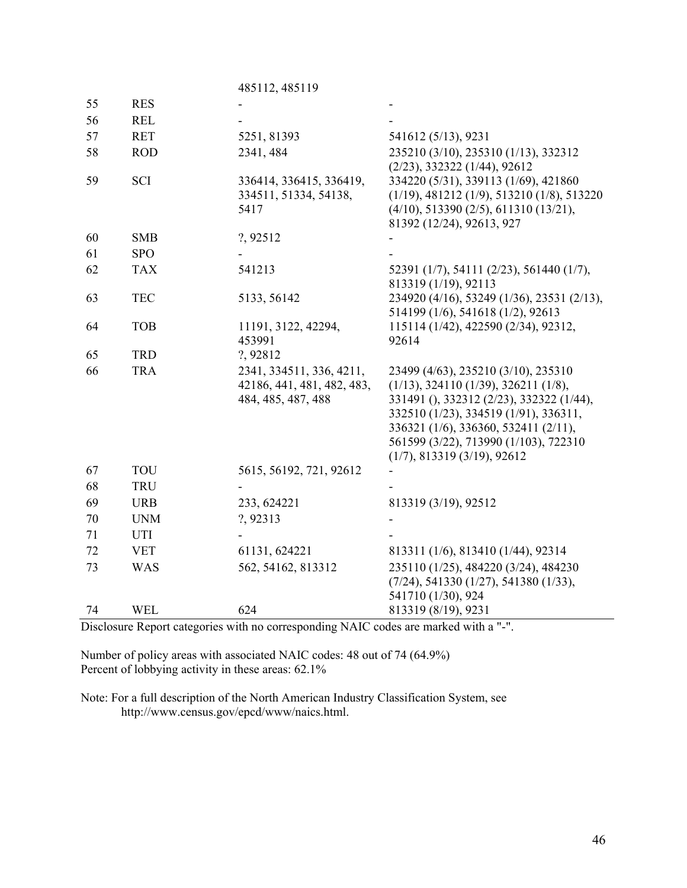|    |            | 485112, 485119                                                               |                                                                                                                                                                                                                                                                                           |
|----|------------|------------------------------------------------------------------------------|-------------------------------------------------------------------------------------------------------------------------------------------------------------------------------------------------------------------------------------------------------------------------------------------|
| 55 | <b>RES</b> |                                                                              |                                                                                                                                                                                                                                                                                           |
| 56 | <b>REL</b> |                                                                              |                                                                                                                                                                                                                                                                                           |
| 57 | <b>RET</b> | 5251, 81393                                                                  | 541612 (5/13), 9231                                                                                                                                                                                                                                                                       |
| 58 | <b>ROD</b> | 2341, 484                                                                    | 235210 (3/10), 235310 (1/13), 332312<br>$(2/23), 332322$ $(1/44), 92612$                                                                                                                                                                                                                  |
| 59 | <b>SCI</b> | 336414, 336415, 336419,<br>334511, 51334, 54138,<br>5417                     | 334220 (5/31), 339113 (1/69), 421860<br>$(1/19), 481212$ $(1/9), 513210$ $(1/8), 513220$<br>$(4/10)$ , 513390 $(2/5)$ , 611310 $(13/21)$ ,<br>81392 (12/24), 92613, 927                                                                                                                   |
| 60 | <b>SMB</b> | ?, 92512                                                                     |                                                                                                                                                                                                                                                                                           |
| 61 | <b>SPO</b> |                                                                              |                                                                                                                                                                                                                                                                                           |
| 62 | <b>TAX</b> | 541213                                                                       | 52391 (1/7), 54111 (2/23), 561440 (1/7),<br>813319 (1/19), 92113                                                                                                                                                                                                                          |
| 63 | <b>TEC</b> | 5133, 56142                                                                  | 234920 (4/16), 53249 (1/36), 23531 (2/13),<br>514199 (1/6), 541618 (1/2), 92613                                                                                                                                                                                                           |
| 64 | <b>TOB</b> | 11191, 3122, 42294,<br>453991                                                | 115114 (1/42), 422590 (2/34), 92312,<br>92614                                                                                                                                                                                                                                             |
| 65 | <b>TRD</b> | ?, 92812                                                                     |                                                                                                                                                                                                                                                                                           |
| 66 | <b>TRA</b> | 2341, 334511, 336, 4211,<br>42186, 441, 481, 482, 483,<br>484, 485, 487, 488 | 23499 (4/63), 235210 (3/10), 235310<br>$(1/13)$ , 324110 $(1/39)$ , 326211 $(1/8)$ ,<br>331491 (), 332312 (2/23), 332322 (1/44),<br>332510 (1/23), 334519 (1/91), 336311,<br>336321 (1/6), 336360, 532411 (2/11),<br>561599 (3/22), 713990 (1/103), 722310<br>(1/7), 813319 (3/19), 92612 |
| 67 | <b>TOU</b> | 5615, 56192, 721, 92612                                                      |                                                                                                                                                                                                                                                                                           |
| 68 | <b>TRU</b> |                                                                              |                                                                                                                                                                                                                                                                                           |
| 69 | <b>URB</b> | 233, 624221                                                                  | 813319 (3/19), 92512                                                                                                                                                                                                                                                                      |
| 70 | <b>UNM</b> | ?, 92313                                                                     |                                                                                                                                                                                                                                                                                           |
| 71 | <b>UTI</b> |                                                                              |                                                                                                                                                                                                                                                                                           |
| 72 | <b>VET</b> | 61131, 624221                                                                | 813311 (1/6), 813410 (1/44), 92314                                                                                                                                                                                                                                                        |
| 73 | <b>WAS</b> | 562, 54162, 813312                                                           | 235110 (1/25), 484220 (3/24), 484230<br>$(7/24)$ , 541330 $(1/27)$ , 541380 $(1/33)$ ,<br>541710 (1/30), 924                                                                                                                                                                              |
| 74 | <b>WEL</b> | 624                                                                          | 813319 (8/19), 9231                                                                                                                                                                                                                                                                       |

Disclosure Report categories with no corresponding NAIC codes are marked with a "-".

Number of policy areas with associated NAIC codes: 48 out of 74 (64.9%) Percent of lobbying activity in these areas: 62.1%

Note: For a full description of the North American Industry Classification System, see http://www.census.gov/epcd/www/naics.html.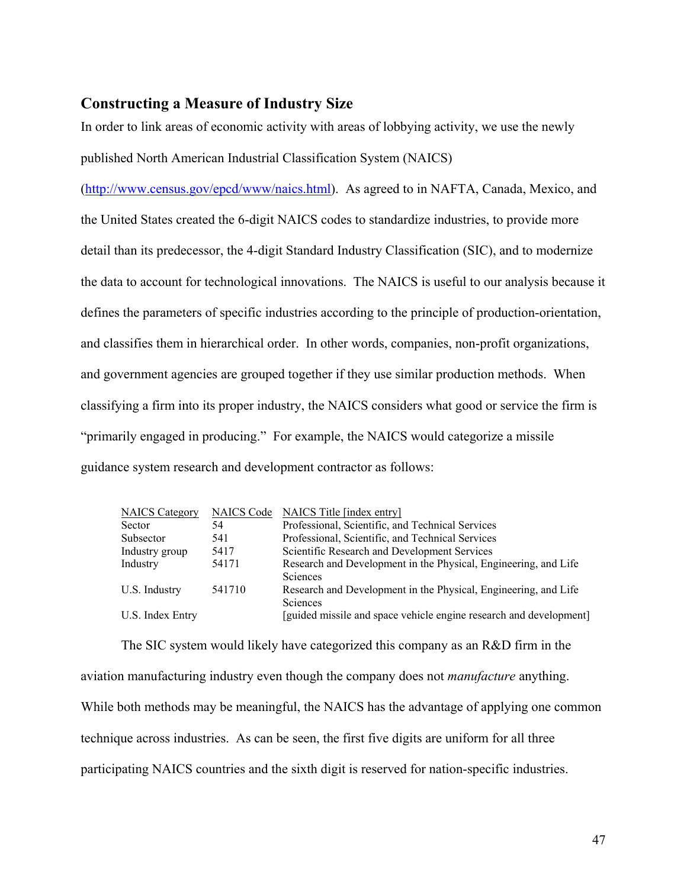## **Constructing a Measure of Industry Size**

In order to link areas of economic activity with areas of lobbying activity, we use the newly published North American Industrial Classification System (NAICS)

(http://www.census.gov/epcd/www/naics.html). As agreed to in NAFTA, Canada, Mexico, and the United States created the 6-digit NAICS codes to standardize industries, to provide more detail than its predecessor, the 4-digit Standard Industry Classification (SIC), and to modernize the data to account for technological innovations. The NAICS is useful to our analysis because it defines the parameters of specific industries according to the principle of production-orientation, and classifies them in hierarchical order. In other words, companies, non-profit organizations, and government agencies are grouped together if they use similar production methods. When classifying a firm into its proper industry, the NAICS considers what good or service the firm is "primarily engaged in producing." For example, the NAICS would categorize a missile guidance system research and development contractor as follows:

| <b>NAICS Category</b> | <b>NAICS</b> Code | NAICS Title [index entry]                                          |
|-----------------------|-------------------|--------------------------------------------------------------------|
| Sector                | 54                | Professional, Scientific, and Technical Services                   |
| Subsector             | 541               | Professional, Scientific, and Technical Services                   |
| Industry group        | 5417              | Scientific Research and Development Services                       |
| Industry              | 54171             | Research and Development in the Physical, Engineering, and Life    |
|                       |                   | Sciences                                                           |
| U.S. Industry         | 541710            | Research and Development in the Physical, Engineering, and Life    |
|                       |                   | <b>Sciences</b>                                                    |
| U.S. Index Entry      |                   | [guided missile and space vehicle engine research and development] |

The SIC system would likely have categorized this company as an R&D firm in the aviation manufacturing industry even though the company does not *manufacture* anything. While both methods may be meaningful, the NAICS has the advantage of applying one common technique across industries. As can be seen, the first five digits are uniform for all three participating NAICS countries and the sixth digit is reserved for nation-specific industries.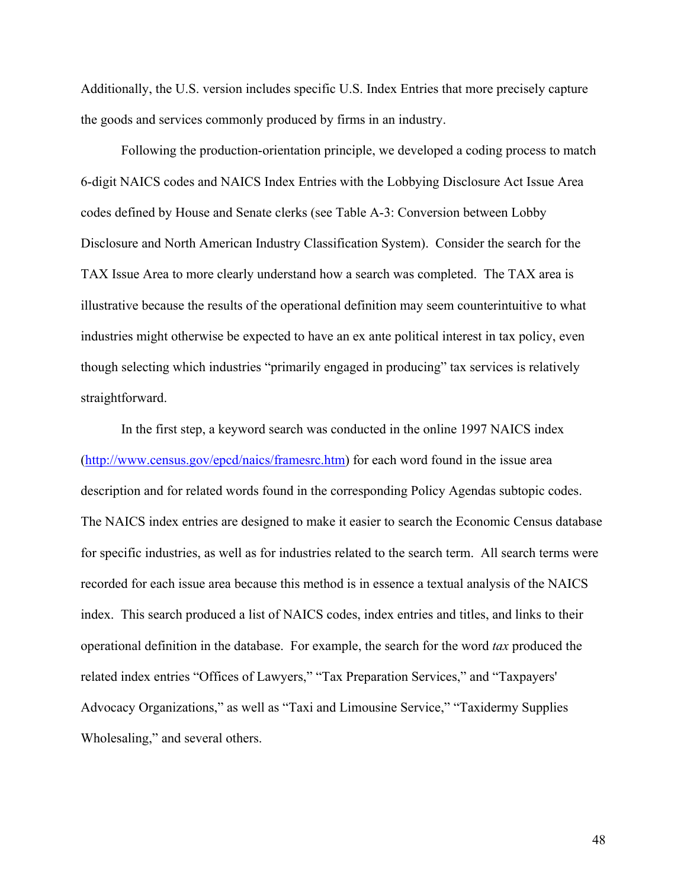Additionally, the U.S. version includes specific U.S. Index Entries that more precisely capture the goods and services commonly produced by firms in an industry.

Following the production-orientation principle, we developed a coding process to match 6-digit NAICS codes and NAICS Index Entries with the Lobbying Disclosure Act Issue Area codes defined by House and Senate clerks (see Table A-3: Conversion between Lobby Disclosure and North American Industry Classification System). Consider the search for the TAX Issue Area to more clearly understand how a search was completed. The TAX area is illustrative because the results of the operational definition may seem counterintuitive to what industries might otherwise be expected to have an ex ante political interest in tax policy, even though selecting which industries "primarily engaged in producing" tax services is relatively straightforward.

In the first step, a keyword search was conducted in the online 1997 NAICS index (http://www.census.gov/epcd/naics/framesrc.htm) for each word found in the issue area description and for related words found in the corresponding Policy Agendas subtopic codes. The NAICS index entries are designed to make it easier to search the Economic Census database for specific industries, as well as for industries related to the search term. All search terms were recorded for each issue area because this method is in essence a textual analysis of the NAICS index. This search produced a list of NAICS codes, index entries and titles, and links to their operational definition in the database. For example, the search for the word *tax* produced the related index entries "Offices of Lawyers," "Tax Preparation Services," and "Taxpayers' Advocacy Organizations," as well as "Taxi and Limousine Service," "Taxidermy Supplies Wholesaling," and several others.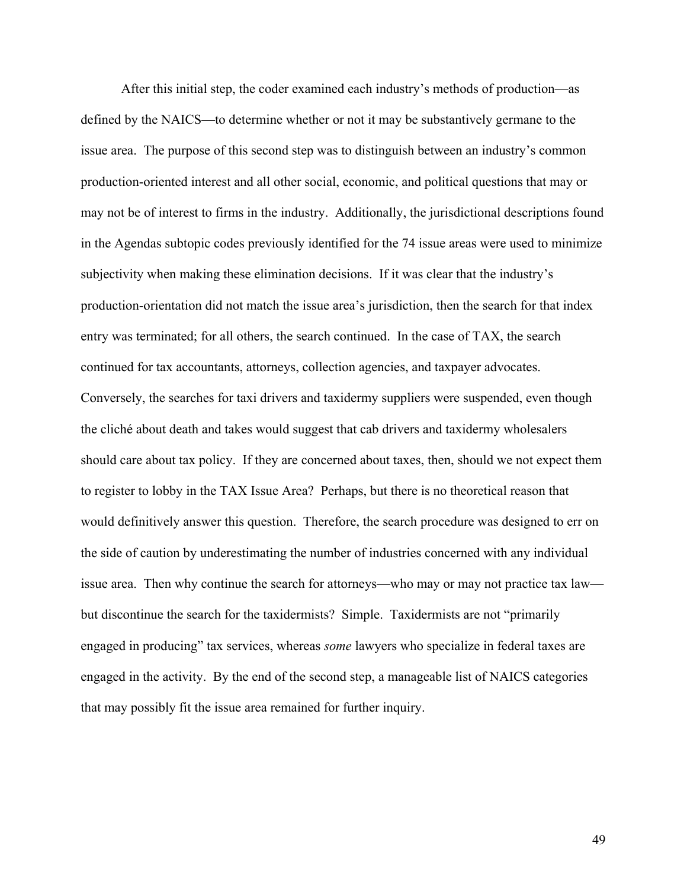After this initial step, the coder examined each industry's methods of production—as defined by the NAICS—to determine whether or not it may be substantively germane to the issue area. The purpose of this second step was to distinguish between an industry's common production-oriented interest and all other social, economic, and political questions that may or may not be of interest to firms in the industry. Additionally, the jurisdictional descriptions found in the Agendas subtopic codes previously identified for the 74 issue areas were used to minimize subjectivity when making these elimination decisions. If it was clear that the industry's production-orientation did not match the issue area's jurisdiction, then the search for that index entry was terminated; for all others, the search continued. In the case of TAX, the search continued for tax accountants, attorneys, collection agencies, and taxpayer advocates. Conversely, the searches for taxi drivers and taxidermy suppliers were suspended, even though the cliché about death and takes would suggest that cab drivers and taxidermy wholesalers should care about tax policy. If they are concerned about taxes, then, should we not expect them to register to lobby in the TAX Issue Area? Perhaps, but there is no theoretical reason that would definitively answer this question. Therefore, the search procedure was designed to err on the side of caution by underestimating the number of industries concerned with any individual issue area. Then why continue the search for attorneys—who may or may not practice tax law but discontinue the search for the taxidermists? Simple. Taxidermists are not "primarily engaged in producing" tax services, whereas *some* lawyers who specialize in federal taxes are engaged in the activity. By the end of the second step, a manageable list of NAICS categories that may possibly fit the issue area remained for further inquiry.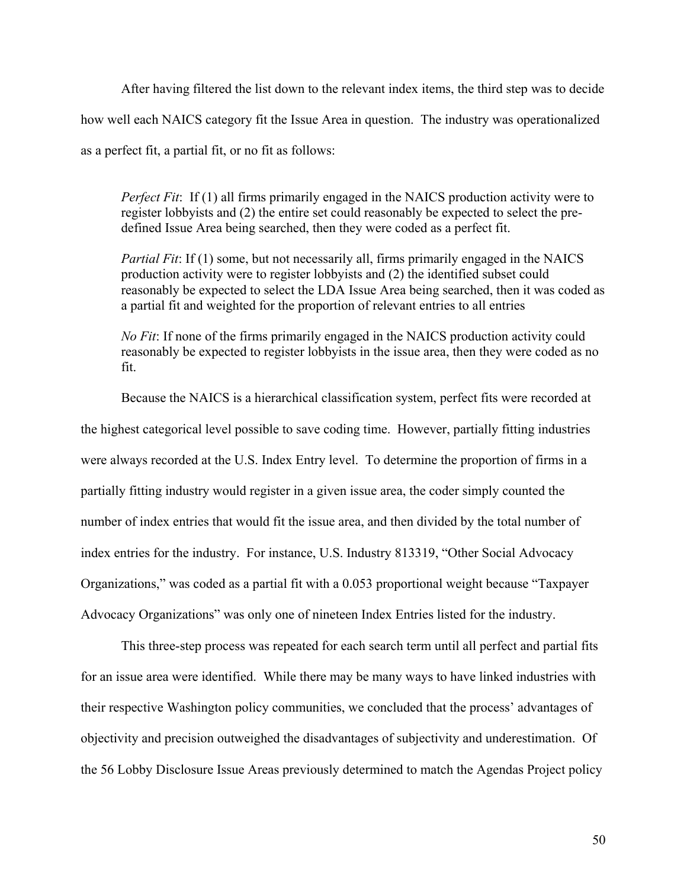After having filtered the list down to the relevant index items, the third step was to decide how well each NAICS category fit the Issue Area in question. The industry was operationalized as a perfect fit, a partial fit, or no fit as follows:

*Perfect Fit*: If (1) all firms primarily engaged in the NAICS production activity were to register lobbyists and (2) the entire set could reasonably be expected to select the predefined Issue Area being searched, then they were coded as a perfect fit.

*Partial Fit*: If (1) some, but not necessarily all, firms primarily engaged in the NAICS production activity were to register lobbyists and (2) the identified subset could reasonably be expected to select the LDA Issue Area being searched, then it was coded as a partial fit and weighted for the proportion of relevant entries to all entries

*No Fit*: If none of the firms primarily engaged in the NAICS production activity could reasonably be expected to register lobbyists in the issue area, then they were coded as no fit.

Because the NAICS is a hierarchical classification system, perfect fits were recorded at the highest categorical level possible to save coding time. However, partially fitting industries were always recorded at the U.S. Index Entry level. To determine the proportion of firms in a partially fitting industry would register in a given issue area, the coder simply counted the number of index entries that would fit the issue area, and then divided by the total number of index entries for the industry. For instance, U.S. Industry 813319, "Other Social Advocacy Organizations," was coded as a partial fit with a 0.053 proportional weight because "Taxpayer Advocacy Organizations" was only one of nineteen Index Entries listed for the industry.

This three-step process was repeated for each search term until all perfect and partial fits for an issue area were identified. While there may be many ways to have linked industries with their respective Washington policy communities, we concluded that the process' advantages of objectivity and precision outweighed the disadvantages of subjectivity and underestimation. Of the 56 Lobby Disclosure Issue Areas previously determined to match the Agendas Project policy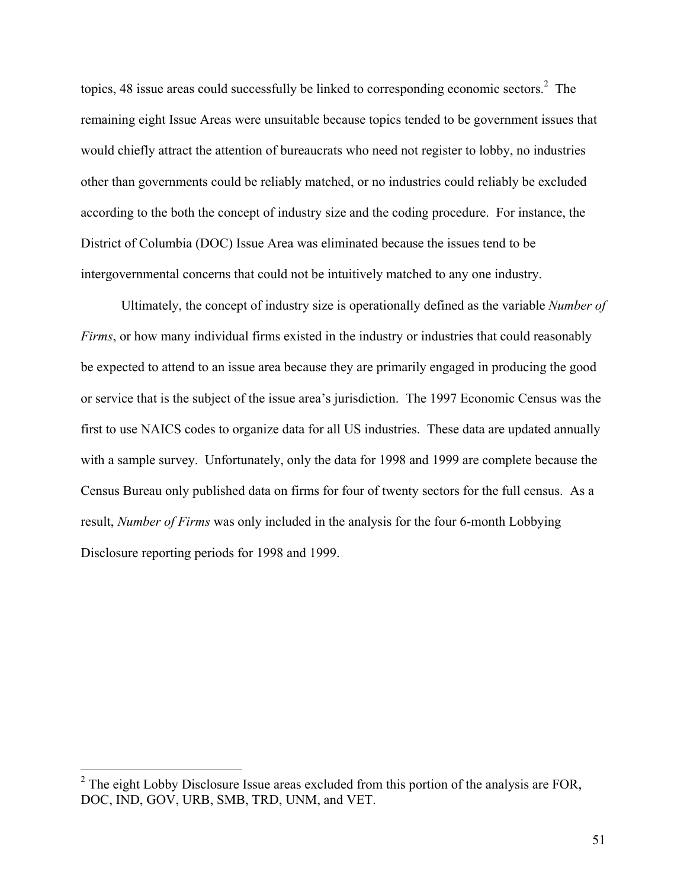topics, 48 issue areas could successfully be linked to corresponding economic sectors.<sup>2</sup> The remaining eight Issue Areas were unsuitable because topics tended to be government issues that would chiefly attract the attention of bureaucrats who need not register to lobby, no industries other than governments could be reliably matched, or no industries could reliably be excluded according to the both the concept of industry size and the coding procedure. For instance, the District of Columbia (DOC) Issue Area was eliminated because the issues tend to be intergovernmental concerns that could not be intuitively matched to any one industry.

Ultimately, the concept of industry size is operationally defined as the variable *Number of Firms*, or how many individual firms existed in the industry or industries that could reasonably be expected to attend to an issue area because they are primarily engaged in producing the good or service that is the subject of the issue area's jurisdiction. The 1997 Economic Census was the first to use NAICS codes to organize data for all US industries. These data are updated annually with a sample survey. Unfortunately, only the data for 1998 and 1999 are complete because the Census Bureau only published data on firms for four of twenty sectors for the full census. As a result, *Number of Firms* was only included in the analysis for the four 6-month Lobbying Disclosure reporting periods for 1998 and 1999.

 $\overline{a}$ 

 $2^2$  The eight Lobby Disclosure Issue areas excluded from this portion of the analysis are FOR, DOC, IND, GOV, URB, SMB, TRD, UNM, and VET.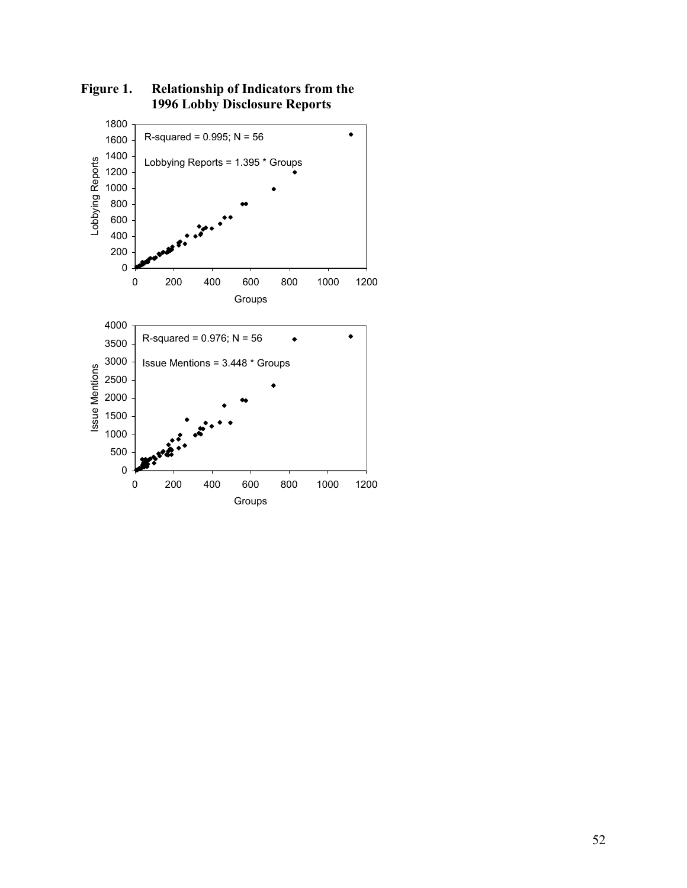

**Figure 1. Relationship of Indicators from the 1996 Lobby Disclosure Reports**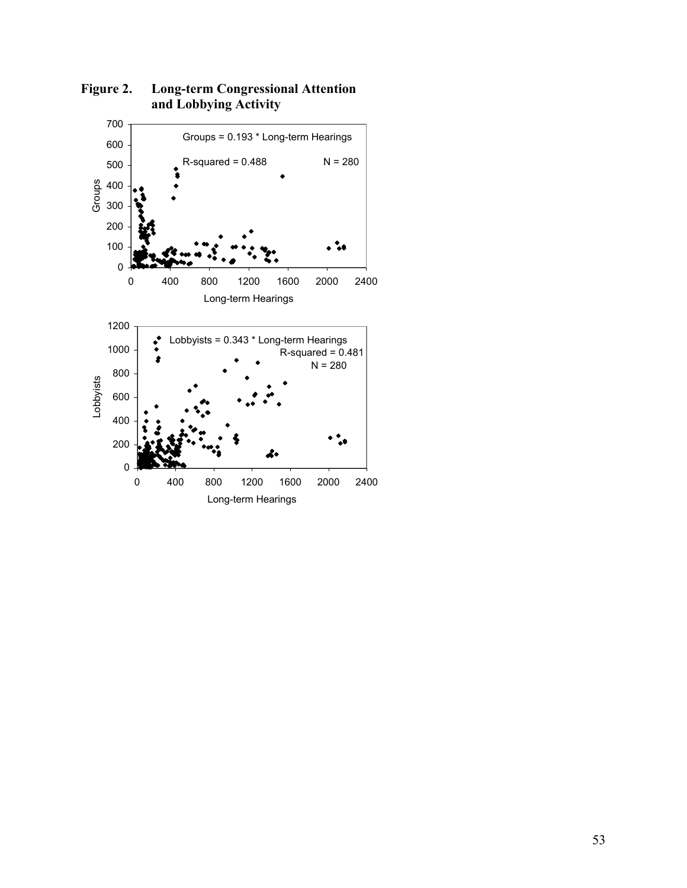

**Figure 2. Long-term Congressional Attention and Lobbying Activity**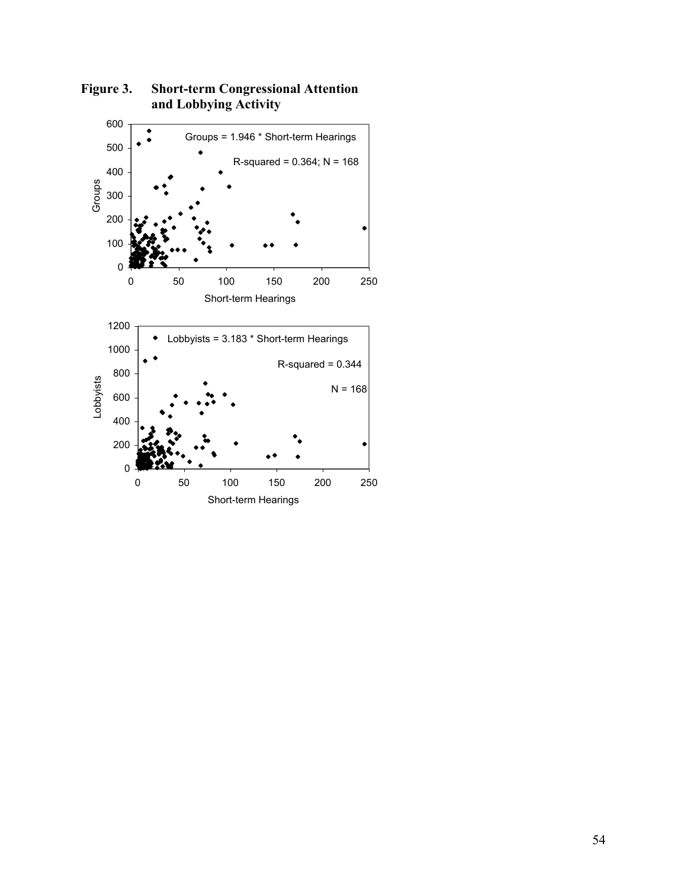

**Figure 3. Short-term Congressional Attention and Lobbying Activity**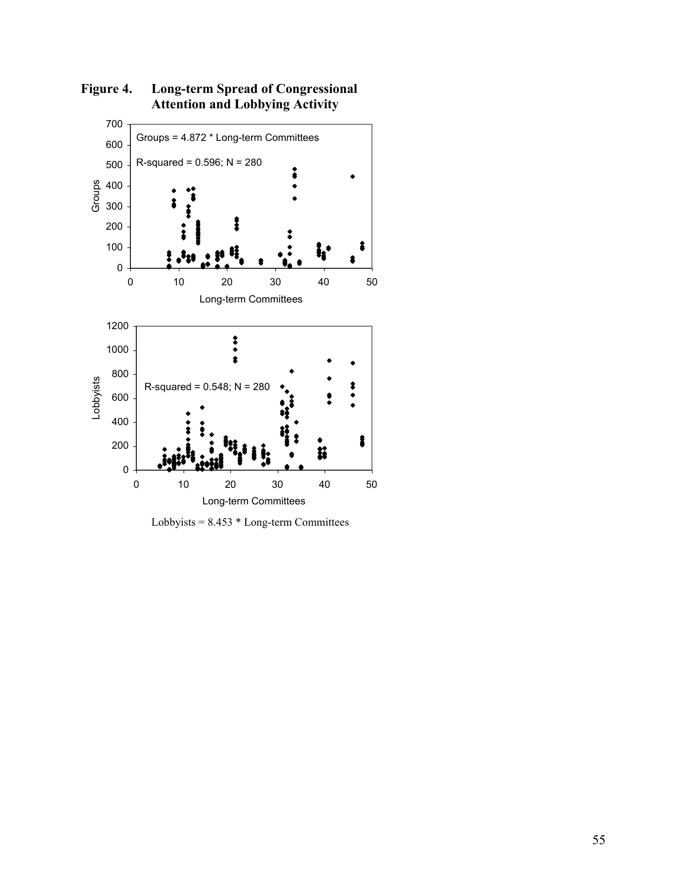

**Figure 4. Long-term Spread of Congressional Attention and Lobbying Activity** 

Lobbyists =  $8.453 * Long-term Committee$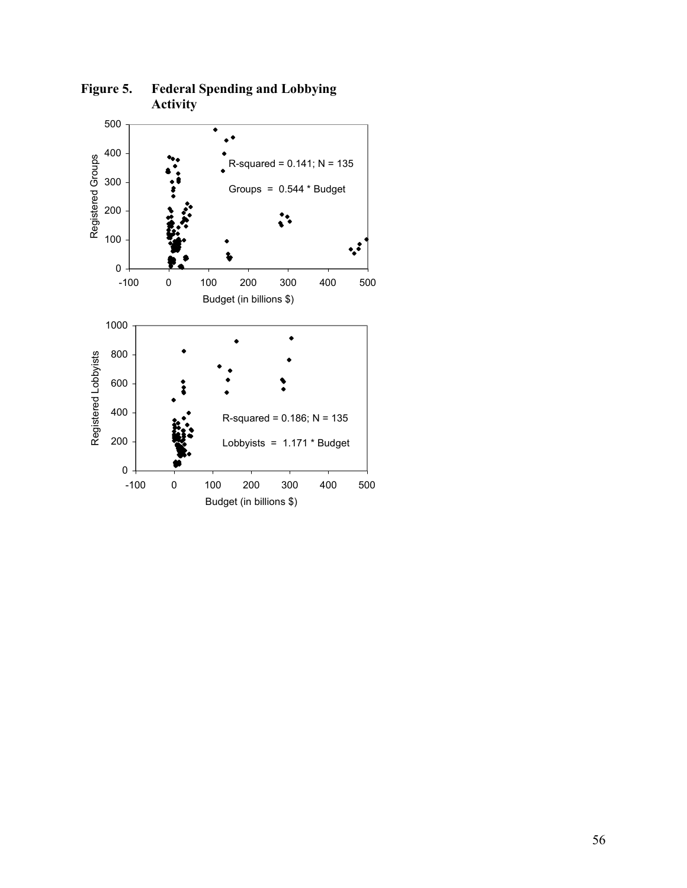

**Figure 5. Federal Spending and Lobbying Activity**